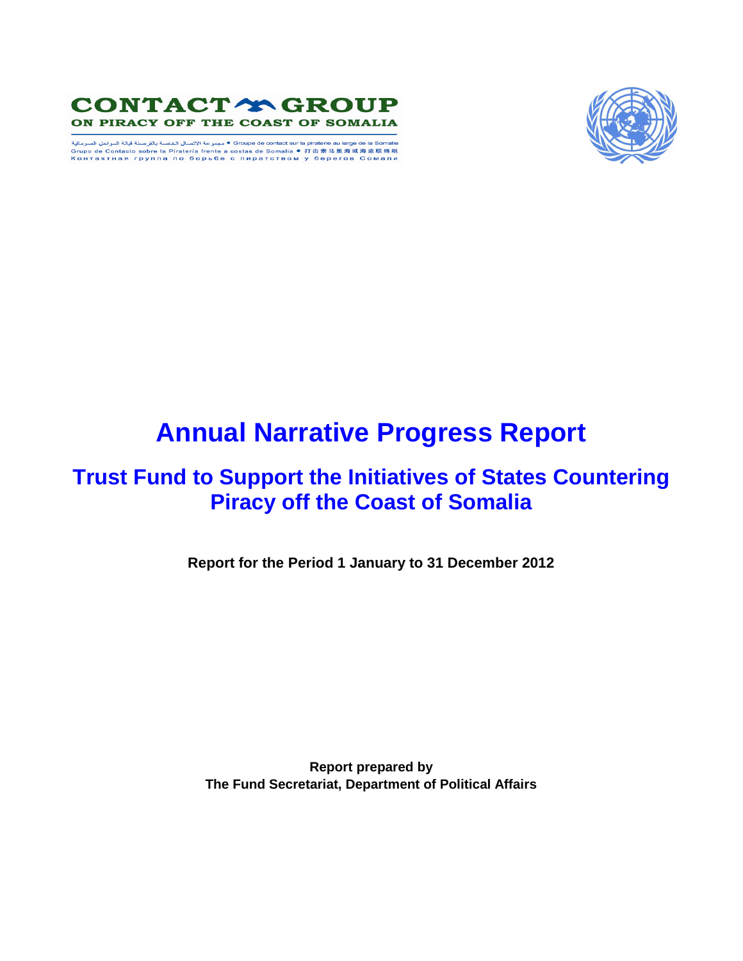

ه مجبرعة الاتصال الخاصة بالترصنة قيالة السراحل الصرمائية " Groupe de contact sur la piraterie au large de la Somalie<br>Grupo de Contacto sobre la Piratería frente a costas de Somalia ® 打击索马里海域海盗联络组<br>Контактная группа по бо



# **Annual Narrative Progress Report**

# **Trust Fund to Support the Initiatives of States Countering Piracy off the Coast of Somalia**

**Report for the Period 1 January to 31 December 2012**

**Report prepared by The Fund Secretariat, Department of Political Affairs**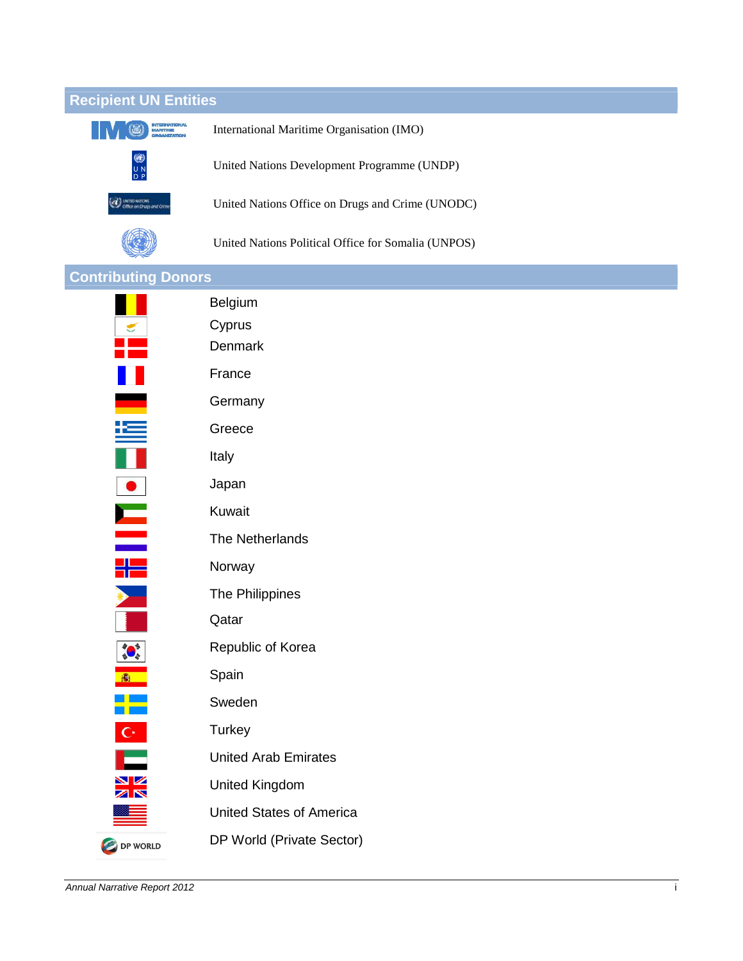| <b>Recipient UN Entities</b>                        |                                                     |  |
|-----------------------------------------------------|-----------------------------------------------------|--|
| <b>INTERNATIONAL</b><br>MARITIME                    | International Maritime Organisation (IMO)           |  |
| UN<br>DP                                            | United Nations Development Programme (UNDP)         |  |
| <b>O</b> UNTID NATIONS<br>Office on Drugs and Crime | United Nations Office on Drugs and Crime (UNODC)    |  |
|                                                     | United Nations Political Office for Somalia (UNPOS) |  |
| <b>Contributing Donors</b>                          |                                                     |  |
|                                                     | Belgium                                             |  |
| $\frac{1}{\sqrt{2}}$                                | Cyprus                                              |  |
|                                                     | Denmark                                             |  |
| H                                                   | France                                              |  |
|                                                     | Germany                                             |  |
| 垤                                                   | Greece                                              |  |
|                                                     | Italy                                               |  |
|                                                     | Japan                                               |  |
| <u>in</u>                                           | Kuwait                                              |  |
|                                                     | The Netherlands                                     |  |
| 림돌                                                  | Norway                                              |  |
|                                                     | The Philippines                                     |  |
|                                                     | Qatar                                               |  |
| <b>SALE</b>                                         | Republic of Korea                                   |  |
| ●                                                   | Spain                                               |  |
| ╄                                                   | Sweden                                              |  |
| $\mathbf{C}^*$                                      | Turkey                                              |  |
|                                                     | <b>United Arab Emirates</b>                         |  |
| XX                                                  | <b>United Kingdom</b>                               |  |
|                                                     | <b>United States of America</b>                     |  |
| DP WORLD                                            | DP World (Private Sector)                           |  |

Annual Narrative Report 2012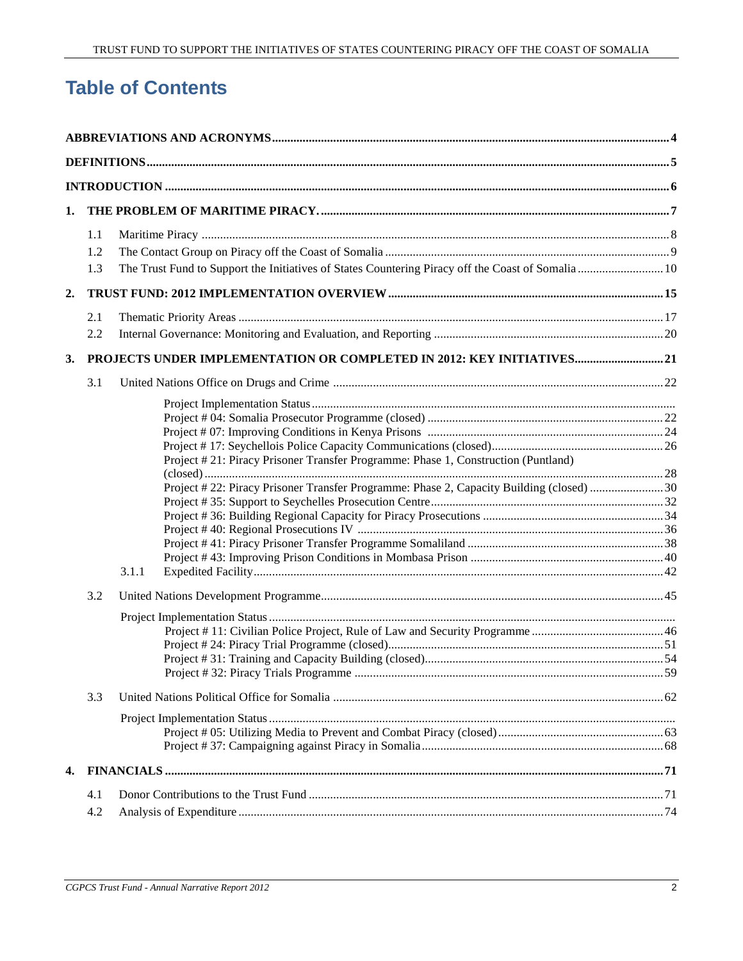# **Table of Contents**

| 1. |     |       |                                                                                                   |  |
|----|-----|-------|---------------------------------------------------------------------------------------------------|--|
|    | 1.1 |       |                                                                                                   |  |
|    | 1.2 |       |                                                                                                   |  |
|    | 1.3 |       | The Trust Fund to Support the Initiatives of States Countering Piracy off the Coast of Somalia 10 |  |
| 2. |     |       |                                                                                                   |  |
|    | 2.1 |       |                                                                                                   |  |
|    | 2.2 |       |                                                                                                   |  |
| 3. |     |       | PROJECTS UNDER IMPLEMENTATION OR COMPLETED IN 2012: KEY INITIATIVES 21                            |  |
|    | 3.1 |       |                                                                                                   |  |
|    |     |       |                                                                                                   |  |
|    |     |       |                                                                                                   |  |
|    |     |       |                                                                                                   |  |
|    |     |       |                                                                                                   |  |
|    |     |       | Project #21: Piracy Prisoner Transfer Programme: Phase 1, Construction (Puntland)                 |  |
|    |     |       |                                                                                                   |  |
|    |     |       | Project #22: Piracy Prisoner Transfer Programme: Phase 2, Capacity Building (closed) 30           |  |
|    |     |       |                                                                                                   |  |
|    |     |       |                                                                                                   |  |
|    |     |       |                                                                                                   |  |
|    |     |       |                                                                                                   |  |
|    |     | 3.1.1 |                                                                                                   |  |
|    | 3.2 |       |                                                                                                   |  |
|    |     |       |                                                                                                   |  |
|    |     |       |                                                                                                   |  |
|    |     |       |                                                                                                   |  |
|    |     |       |                                                                                                   |  |
|    |     |       |                                                                                                   |  |
|    | 3.3 |       |                                                                                                   |  |
|    |     |       |                                                                                                   |  |
|    |     |       |                                                                                                   |  |
|    |     |       |                                                                                                   |  |
| 4. |     |       |                                                                                                   |  |
|    | 4.1 |       |                                                                                                   |  |
|    | 4.2 |       |                                                                                                   |  |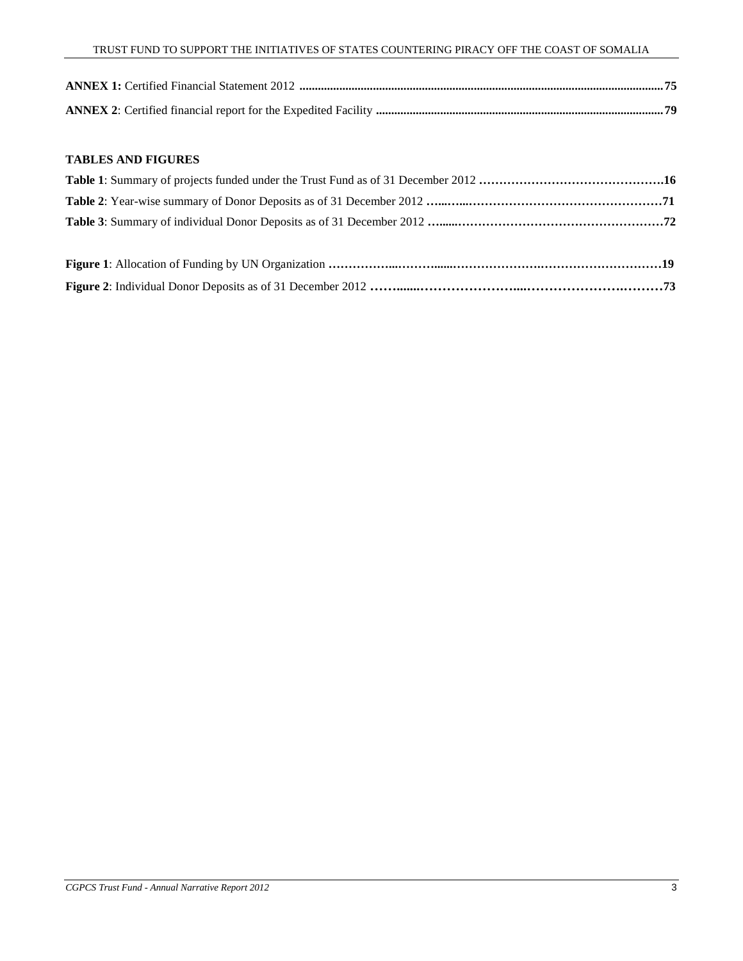#### **TABLES AND FIGURES**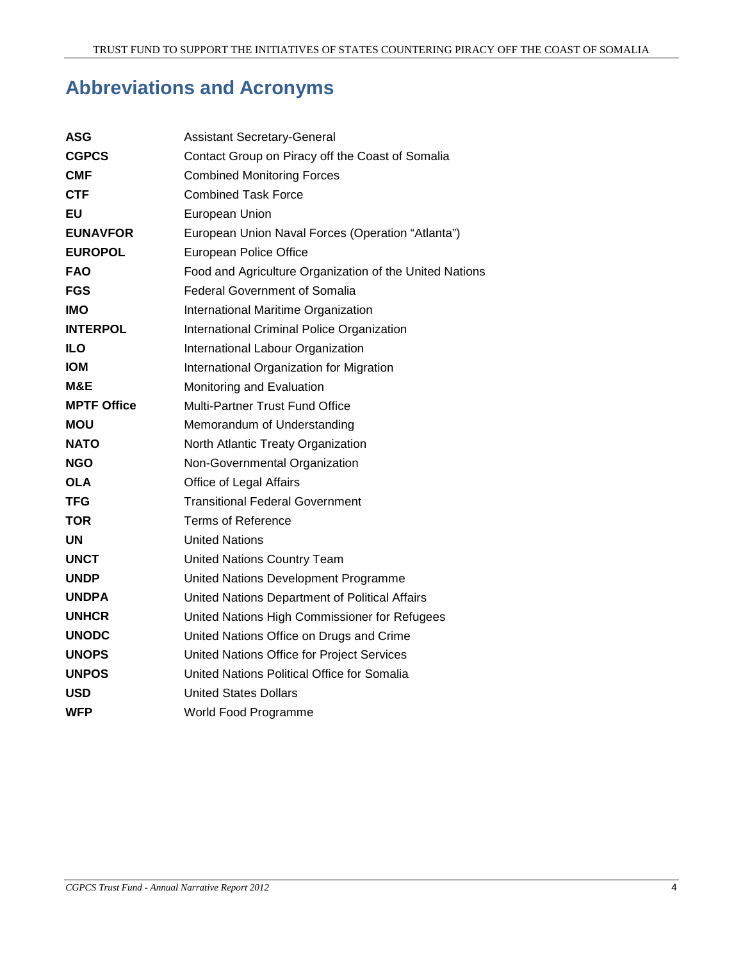# **Abbreviations and Acronyms**

| <b>ASG</b>         | <b>Assistant Secretary-General</b>                      |
|--------------------|---------------------------------------------------------|
| <b>CGPCS</b>       | Contact Group on Piracy off the Coast of Somalia        |
| CMF                | <b>Combined Monitoring Forces</b>                       |
| <b>CTF</b>         | <b>Combined Task Force</b>                              |
| EU                 | European Union                                          |
| <b>EUNAVFOR</b>    | European Union Naval Forces (Operation "Atlanta")       |
| <b>EUROPOL</b>     | European Police Office                                  |
| <b>FAO</b>         | Food and Agriculture Organization of the United Nations |
| <b>FGS</b>         | <b>Federal Government of Somalia</b>                    |
| <b>IMO</b>         | International Maritime Organization                     |
| <b>INTERPOL</b>    | International Criminal Police Organization              |
| <b>ILO</b>         | International Labour Organization                       |
| <b>IOM</b>         | International Organization for Migration                |
| M&E                | Monitoring and Evaluation                               |
| <b>MPTF Office</b> | <b>Multi-Partner Trust Fund Office</b>                  |
| <b>MOU</b>         | Memorandum of Understanding                             |
| <b>NATO</b>        | North Atlantic Treaty Organization                      |
| <b>NGO</b>         | Non-Governmental Organization                           |
| <b>OLA</b>         | Office of Legal Affairs                                 |
| TFG                | <b>Transitional Federal Government</b>                  |
| TOR                | <b>Terms of Reference</b>                               |
| <b>UN</b>          | <b>United Nations</b>                                   |
| <b>UNCT</b>        | <b>United Nations Country Team</b>                      |
| <b>UNDP</b>        | United Nations Development Programme                    |
| <b>UNDPA</b>       | United Nations Department of Political Affairs          |
| <b>UNHCR</b>       | United Nations High Commissioner for Refugees           |
| <b>UNODC</b>       | United Nations Office on Drugs and Crime                |
| <b>UNOPS</b>       | United Nations Office for Project Services              |
| <b>UNPOS</b>       | United Nations Political Office for Somalia             |
| USD                | <b>United States Dollars</b>                            |
| <b>WFP</b>         | World Food Programme                                    |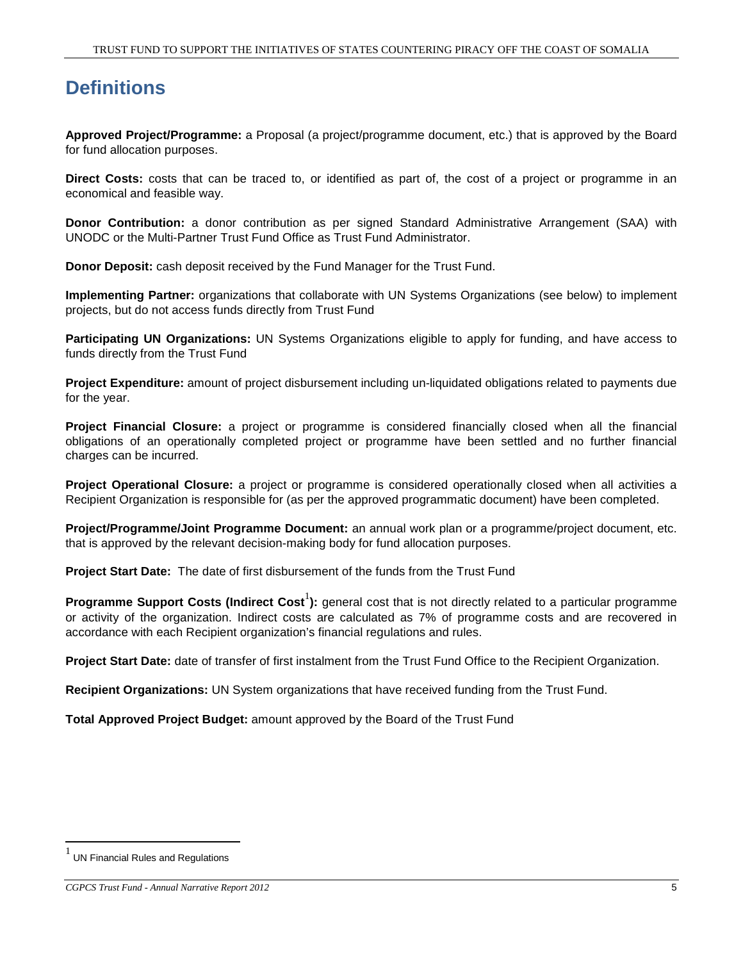# **Definitions**

**Approved Project/Programme:** a Proposal (a project/programme document, etc.) that is approved by the Board for fund allocation purposes.

**Direct Costs:** costs that can be traced to, or identified as part of, the cost of a project or programme in an economical and feasible way.

**Donor Contribution:** a donor contribution as per signed Standard Administrative Arrangement (SAA) with UNODC or the Multi-Partner Trust Fund Office as Trust Fund Administrator.

**Donor Deposit:** cash deposit received by the Fund Manager for the Trust Fund.

**Implementing Partner:** organizations that collaborate with UN Systems Organizations (see below) to implement projects, but do not access funds directly from Trust Fund

**Participating UN Organizations:** UN Systems Organizations eligible to apply for funding, and have access to funds directly from the Trust Fund

**Project Expenditure:** amount of project disbursement including un-liquidated obligations related to payments due for the year.

**Project Financial Closure:** a project or programme is considered financially closed when all the financial obligations of an operationally completed project or programme have been settled and no further financial charges can be incurred.

**Project Operational Closure:** a project or programme is considered operationally closed when all activities a Recipient Organization is responsible for (as per the approved programmatic document) have been completed.

**Project/Programme/Joint Programme Document:** an annual work plan or a programme/project document, etc. that is approved by the relevant decision-making body for fund allocation purposes.

**Project Start Date:** The date of first disbursement of the funds from the Trust Fund

Programme Support Costs (Indirect Cost<sup>1</sup>): general cost that is not directly related to a particular programme or activity of the organization. Indirect costs are calculated as 7% of programme costs and are recovered in accordance with each Recipient organization's financial regulations and rules.

**Project Start Date:** date of transfer of first instalment from the Trust Fund Office to the Recipient Organization.

**Recipient Organizations:** UN System organizations that have received funding from the Trust Fund.

**Total Approved Project Budget:** amount approved by the Board of the Trust Fund

<sup>1</sup> UN Financial Rules and Regulations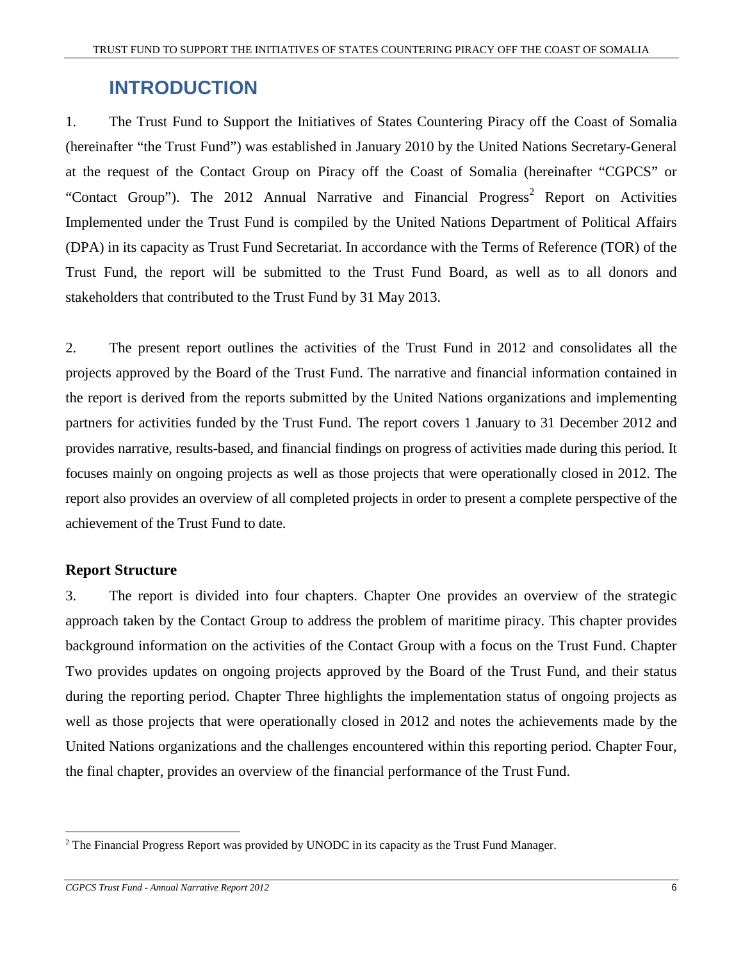# **INTRODUCTION**

1. The Trust Fund to Support the Initiatives of States Countering Piracy off the Coast of Somalia (hereinafter "the Trust Fund") was established in January 2010 by the United Nations Secretary-General at the request of the Contact Group on Piracy off the Coast of Somalia (hereinafter "CGPCS" or "Contact Group"). The 2012 Annual Narrative and Financial Progress<sup>2</sup> Report on Activities Implemented under the Trust Fund is compiled by the United Nations Department of Political Affairs (DPA) in its capacity as Trust Fund Secretariat. In accordance with the Terms of Reference (TOR) of the Trust Fund, the report will be submitted to the Trust Fund Board, as well as to all donors and stakeholders that contributed to the Trust Fund by 31 May 2013.

2. The present report outlines the activities of the Trust Fund in 2012 and consolidates all the projects approved by the Board of the Trust Fund. The narrative and financial information contained in the report is derived from the reports submitted by the United Nations organizations and implementing partners for activities funded by the Trust Fund. The report covers 1 January to 31 December 2012 and provides narrative, results-based, and financial findings on progress of activities made during this period. It focuses mainly on ongoing projects as well as those projects that were operationally closed in 2012. The report also provides an overview of all completed projects in order to present a complete perspective of the achievement of the Trust Fund to date.

#### **Report Structure**

3. The report is divided into four chapters. Chapter One provides an overview of the strategic approach taken by the Contact Group to address the problem of maritime piracy. This chapter provides background information on the activities of the Contact Group with a focus on the Trust Fund. Chapter Two provides updates on ongoing projects approved by the Board of the Trust Fund, and their status during the reporting period. Chapter Three highlights the implementation status of ongoing projects as well as those projects that were operationally closed in 2012 and notes the achievements made by the United Nations organizations and the challenges encountered within this reporting period. Chapter Four, the final chapter, provides an overview of the financial performance of the Trust Fund.

<sup>-</sup> $2$  The Financial Progress Report was provided by UNODC in its capacity as the Trust Fund Manager.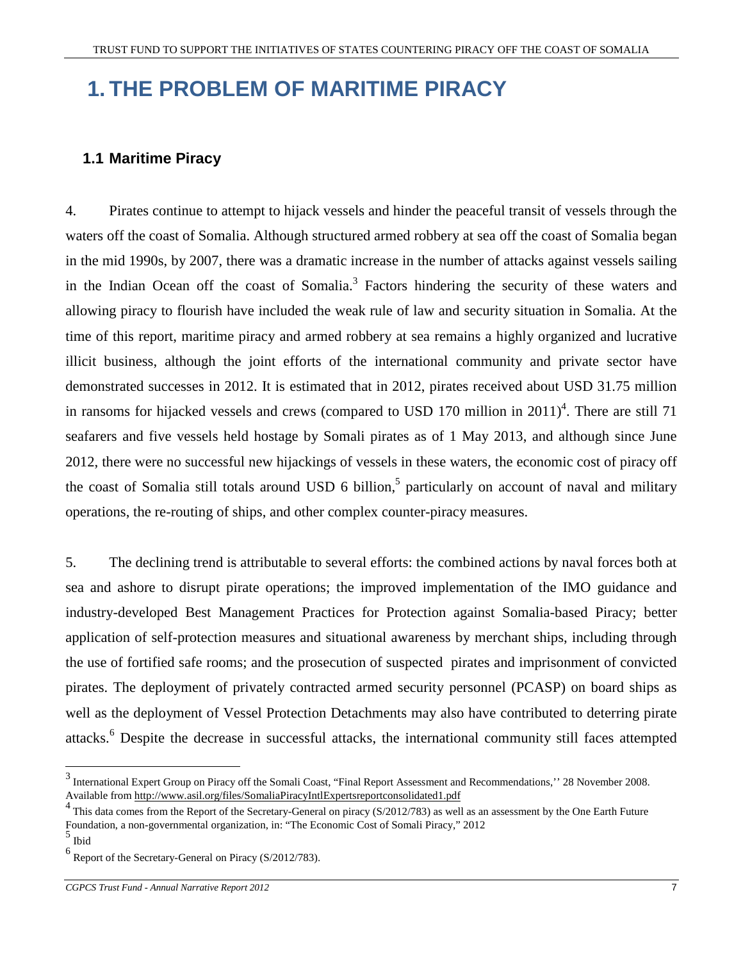# **1. THE PROBLEM OF MARITIME PIRACY**

#### **1.1 Maritime Piracy**

4. Pirates continue to attempt to hijack vessels and hinder the peaceful transit of vessels through the waters off the coast of Somalia. Although structured armed robbery at sea off the coast of Somalia began in the mid 1990s, by 2007, there was a dramatic increase in the number of attacks against vessels sailing in the Indian Ocean off the coast of Somalia.<sup>3</sup> Factors hindering the security of these waters and allowing piracy to flourish have included the weak rule of law and security situation in Somalia. At the time of this report, maritime piracy and armed robbery at sea remains a highly organized and lucrative illicit business, although the joint efforts of the international community and private sector have demonstrated successes in 2012. It is estimated that in 2012, pirates received about USD 31.75 million in ransoms for hijacked vessels and crews (compared to USD 170 million in  $2011)^4$ . There are still 71 seafarers and five vessels held hostage by Somali pirates as of 1 May 2013, and although since June 2012, there were no successful new hijackings of vessels in these waters, the economic cost of piracy off the coast of Somalia still totals around USD 6 billion,<sup>5</sup> particularly on account of naval and military operations, the re-routing of ships, and other complex counter-piracy measures.

5. The declining trend is attributable to several efforts: the combined actions by naval forces both at sea and ashore to disrupt pirate operations; the improved implementation of the IMO guidance and industry-developed Best Management Practices for Protection against Somalia-based Piracy; better application of self-protection measures and situational awareness by merchant ships, including through the use of fortified safe rooms; and the prosecution of suspected pirates and imprisonment of convicted pirates. The deployment of privately contracted armed security personnel (PCASP) on board ships as well as the deployment of Vessel Protection Detachments may also have contributed to deterring pirate attacks.<sup>6</sup> Despite the decrease in successful attacks, the international community still faces attempted

 $3$  International Expert Group on Piracy off the Somali Coast, "Final Report Assessment and Recommendations," 28 November 2008. Available from http://www.asil.org/files/SomaliaPiracyIntlExpertsreportconsolidated1.pdf

This data comes from the Report of the Secretary-General on piracy (S/2012/783) as well as an assessment by the One Earth Future Foundation, a non-governmental organization, in: "The Economic Cost of Somali Piracy," 2012

<sup>5</sup> Ibid

<sup>6</sup> Report of the Secretary-General on Piracy (S/2012/783).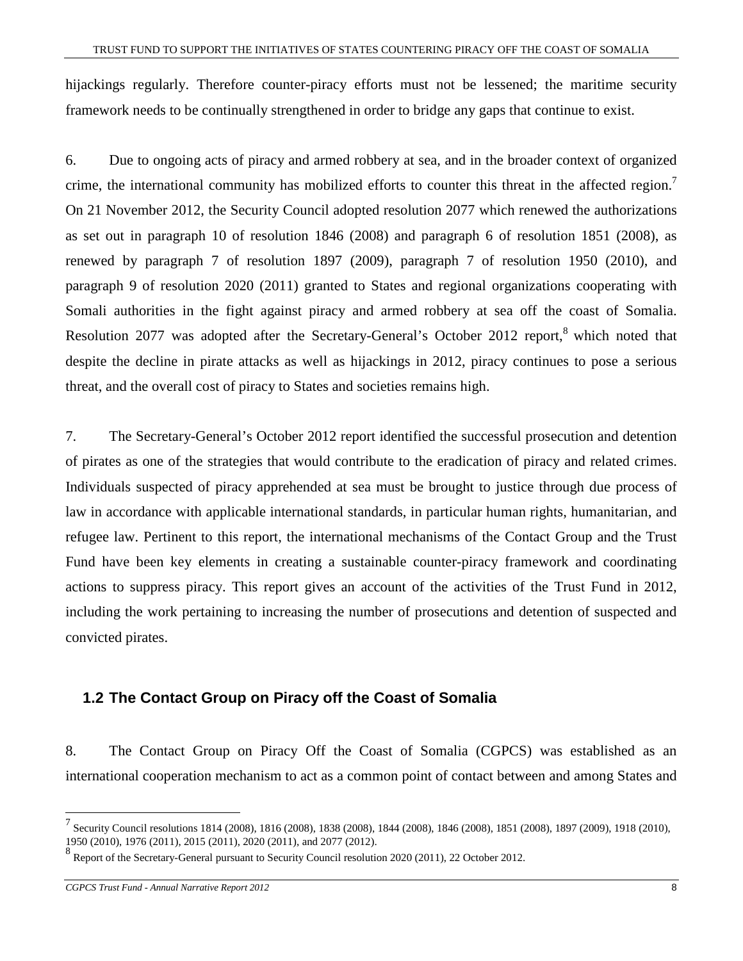hijackings regularly. Therefore counter-piracy efforts must not be lessened; the maritime security framework needs to be continually strengthened in order to bridge any gaps that continue to exist.

6. Due to ongoing acts of piracy and armed robbery at sea, and in the broader context of organized crime, the international community has mobilized efforts to counter this threat in the affected region.<sup>7</sup> On 21 November 2012, the Security Council adopted resolution 2077 which renewed the authorizations as set out in paragraph 10 of resolution 1846 (2008) and paragraph 6 of resolution 1851 (2008), as renewed by paragraph 7 of resolution 1897 (2009), paragraph 7 of resolution 1950 (2010), and paragraph 9 of resolution 2020 (2011) granted to States and regional organizations cooperating with Somali authorities in the fight against piracy and armed robbery at sea off the coast of Somalia. Resolution 2077 was adopted after the Secretary-General's October 2012 report,<sup>8</sup> which noted that despite the decline in pirate attacks as well as hijackings in 2012, piracy continues to pose a serious threat, and the overall cost of piracy to States and societies remains high.

7. The Secretary-General's October 2012 report identified the successful prosecution and detention of pirates as one of the strategies that would contribute to the eradication of piracy and related crimes. Individuals suspected of piracy apprehended at sea must be brought to justice through due process of law in accordance with applicable international standards, in particular human rights, humanitarian, and refugee law. Pertinent to this report, the international mechanisms of the Contact Group and the Trust Fund have been key elements in creating a sustainable counter-piracy framework and coordinating actions to suppress piracy. This report gives an account of the activities of the Trust Fund in 2012, including the work pertaining to increasing the number of prosecutions and detention of suspected and convicted pirates.

## **1.2 The Contact Group on Piracy off the Coast of Somalia**

8. The Contact Group on Piracy Off the Coast of Somalia (CGPCS) was established as an international cooperation mechanism to act as a common point of contact between and among States and

<sup>7</sup> Security Council resolutions 1814 (2008), 1816 (2008), 1838 (2008), 1844 (2008), 1846 (2008), 1851 (2008), 1897 (2009), 1918 (2010), 1950 (2010), 1976 (2011), 2015 (2011), 2020 (2011), and 2077 (2012).

<sup>&</sup>lt;sup>8</sup> Report of the Secretary-General pursuant to Security Council resolution 2020 (2011), 22 October 2012.

*CGPCS Trust Fund - Annual Narrative Report 2012* 8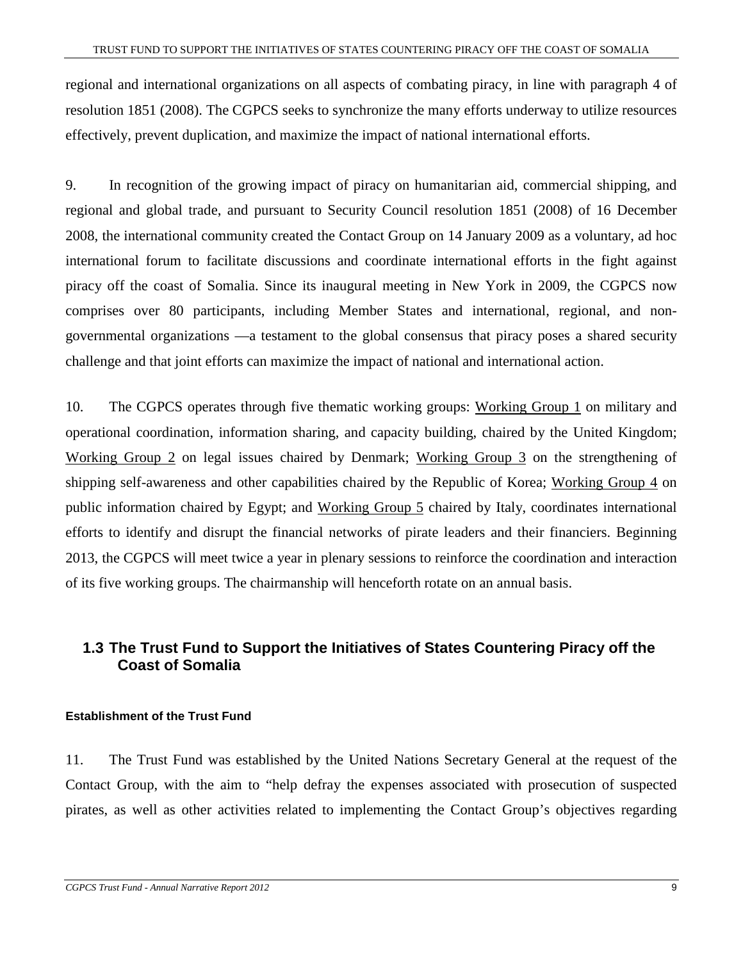regional and international organizations on all aspects of combating piracy, in line with paragraph 4 of resolution 1851 (2008). The CGPCS seeks to synchronize the many efforts underway to utilize resources effectively, prevent duplication, and maximize the impact of national international efforts.

9. In recognition of the growing impact of piracy on humanitarian aid, commercial shipping, and regional and global trade, and pursuant to Security Council resolution 1851 (2008) of 16 December 2008, the international community created the Contact Group on 14 January 2009 as a voluntary, ad hoc international forum to facilitate discussions and coordinate international efforts in the fight against piracy off the coast of Somalia. Since its inaugural meeting in New York in 2009, the CGPCS now comprises over 80 participants, including Member States and international, regional, and nongovernmental organizations —a testament to the global consensus that piracy poses a shared security challenge and that joint efforts can maximize the impact of national and international action.

10. The CGPCS operates through five thematic working groups: Working Group 1 on military and operational coordination, information sharing, and capacity building, chaired by the United Kingdom; Working Group 2 on legal issues chaired by Denmark; Working Group 3 on the strengthening of shipping self-awareness and other capabilities chaired by the Republic of Korea; Working Group 4 on public information chaired by Egypt; and Working Group 5 chaired by Italy, coordinates international efforts to identify and disrupt the financial networks of pirate leaders and their financiers. Beginning 2013, the CGPCS will meet twice a year in plenary sessions to reinforce the coordination and interaction of its five working groups. The chairmanship will henceforth rotate on an annual basis.

## **1.3 The Trust Fund to Support the Initiatives of States Countering Piracy off the Coast of Somalia**

#### **Establishment of the Trust Fund**

11. The Trust Fund was established by the United Nations Secretary General at the request of the Contact Group, with the aim to "help defray the expenses associated with prosecution of suspected pirates, as well as other activities related to implementing the Contact Group's objectives regarding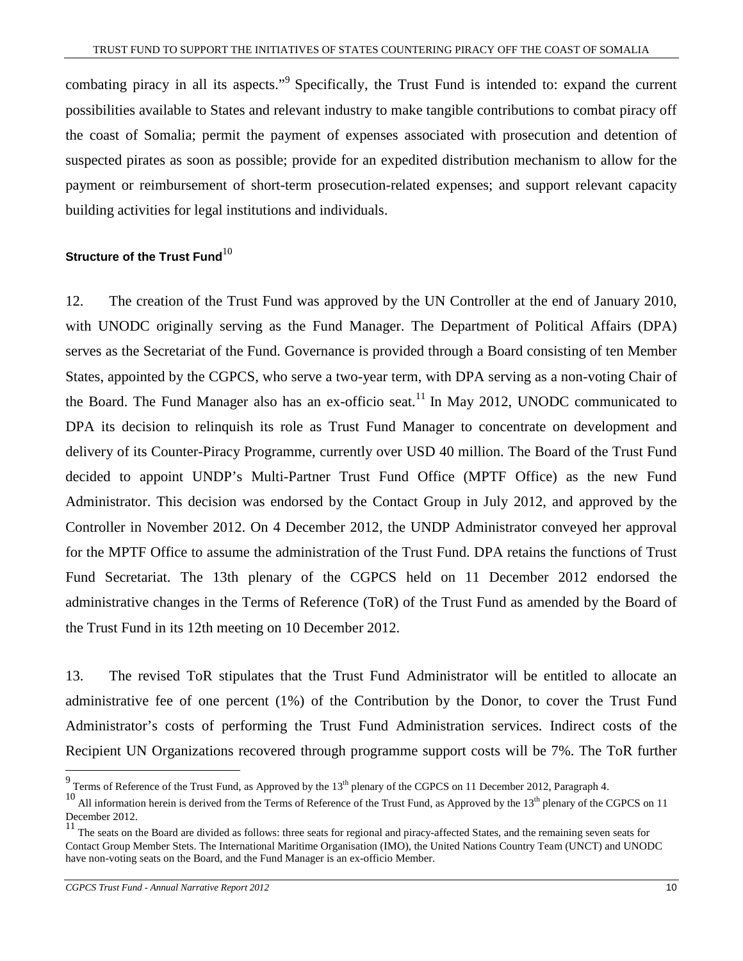combating piracy in all its aspects."<sup>9</sup> Specifically, the Trust Fund is intended to: expand the current possibilities available to States and relevant industry to make tangible contributions to combat piracy off the coast of Somalia; permit the payment of expenses associated with prosecution and detention of suspected pirates as soon as possible; provide for an expedited distribution mechanism to allow for the payment or reimbursement of short-term prosecution-related expenses; and support relevant capacity building activities for legal institutions and individuals.

#### **Structure of the Trust Fund**<sup>10</sup>

12. The creation of the Trust Fund was approved by the UN Controller at the end of January 2010, with UNODC originally serving as the Fund Manager. The Department of Political Affairs (DPA) serves as the Secretariat of the Fund. Governance is provided through a Board consisting of ten Member States, appointed by the CGPCS, who serve a two-year term, with DPA serving as a non-voting Chair of the Board. The Fund Manager also has an ex-officio seat.<sup>11</sup> In May 2012, UNODC communicated to DPA its decision to relinquish its role as Trust Fund Manager to concentrate on development and delivery of its Counter-Piracy Programme, currently over USD 40 million. The Board of the Trust Fund decided to appoint UNDP's Multi-Partner Trust Fund Office (MPTF Office) as the new Fund Administrator. This decision was endorsed by the Contact Group in July 2012, and approved by the Controller in November 2012. On 4 December 2012, the UNDP Administrator conveyed her approval for the MPTF Office to assume the administration of the Trust Fund. DPA retains the functions of Trust Fund Secretariat. The 13th plenary of the CGPCS held on 11 December 2012 endorsed the administrative changes in the Terms of Reference (ToR) of the Trust Fund as amended by the Board of the Trust Fund in its 12th meeting on 10 December 2012.

13. The revised ToR stipulates that the Trust Fund Administrator will be entitled to allocate an administrative fee of one percent (1%) of the Contribution by the Donor, to cover the Trust Fund Administrator's costs of performing the Trust Fund Administration services. Indirect costs of the Recipient UN Organizations recovered through programme support costs will be 7%. The ToR further

*CGPCS Trust Fund - Annual Narrative Report 2012* 10

1

 $9$  Terms of Reference of the Trust Fund, as Approved by the  $13<sup>th</sup>$  plenary of the CGPCS on 11 December 2012, Paragraph 4.

<sup>&</sup>lt;sup>10</sup> All information herein is derived from the Terms of Reference of the Trust Fund, as Approved by the 13<sup>th</sup> plenary of the CGPCS on 11 December 2012.

<sup>&</sup>lt;sup>11</sup> The seats on the Board are divided as follows: three seats for regional and piracy-affected States, and the remaining seven seats for Contact Group Member Stets. The International Maritime Organisation (IMO), the United Nations Country Team (UNCT) and UNODC have non-voting seats on the Board, and the Fund Manager is an ex-officio Member.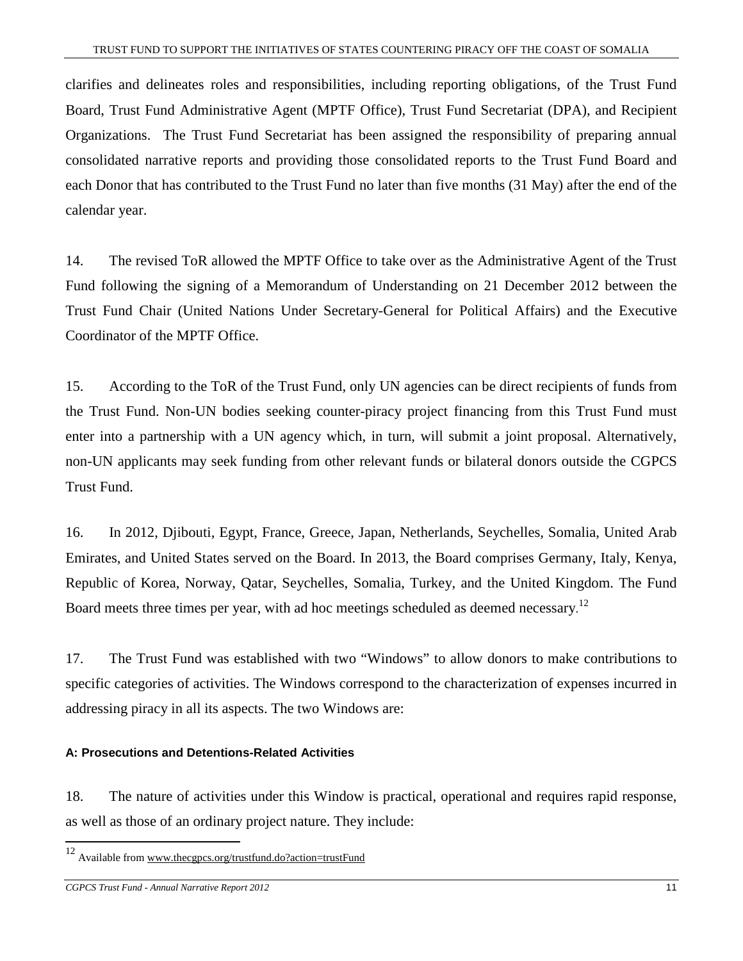clarifies and delineates roles and responsibilities, including reporting obligations, of the Trust Fund Board, Trust Fund Administrative Agent (MPTF Office), Trust Fund Secretariat (DPA), and Recipient Organizations. The Trust Fund Secretariat has been assigned the responsibility of preparing annual consolidated narrative reports and providing those consolidated reports to the Trust Fund Board and each Donor that has contributed to the Trust Fund no later than five months (31 May) after the end of the calendar year.

14. The revised ToR allowed the MPTF Office to take over as the Administrative Agent of the Trust Fund following the signing of a Memorandum of Understanding on 21 December 2012 between the Trust Fund Chair (United Nations Under Secretary-General for Political Affairs) and the Executive Coordinator of the MPTF Office.

15. According to the ToR of the Trust Fund, only UN agencies can be direct recipients of funds from the Trust Fund. Non-UN bodies seeking counter-piracy project financing from this Trust Fund must enter into a partnership with a UN agency which, in turn, will submit a joint proposal. Alternatively, non-UN applicants may seek funding from other relevant funds or bilateral donors outside the CGPCS Trust Fund.

16. In 2012, Djibouti, Egypt, France, Greece, Japan, Netherlands, Seychelles, Somalia, United Arab Emirates, and United States served on the Board. In 2013, the Board comprises Germany, Italy, Kenya, Republic of Korea, Norway, Qatar, Seychelles, Somalia, Turkey, and the United Kingdom. The Fund Board meets three times per year, with ad hoc meetings scheduled as deemed necessary.<sup>12</sup>

17. The Trust Fund was established with two "Windows" to allow donors to make contributions to specific categories of activities. The Windows correspond to the characterization of expenses incurred in addressing piracy in all its aspects. The two Windows are:

#### **A: Prosecutions and Detentions-Related Activities**

18. The nature of activities under this Window is practical, operational and requires rapid response, as well as those of an ordinary project nature. They include:

<sup>12</sup> Available from www.thecgpcs.org/trustfund.do?action=trustFund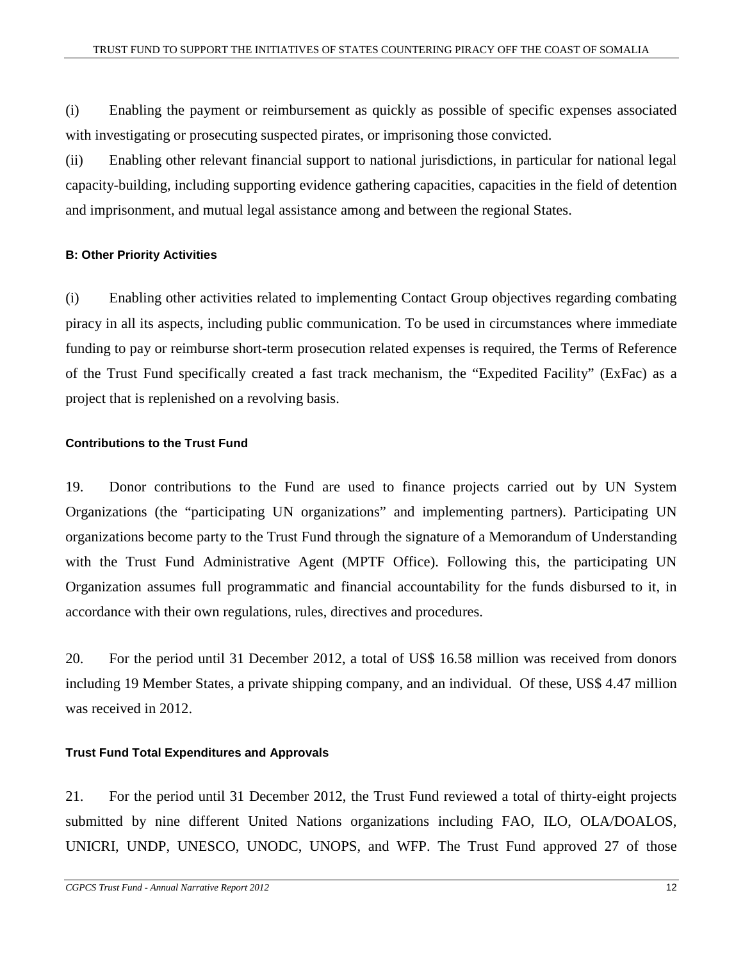(i) Enabling the payment or reimbursement as quickly as possible of specific expenses associated with investigating or prosecuting suspected pirates, or imprisoning those convicted.

(ii) Enabling other relevant financial support to national jurisdictions, in particular for national legal capacity-building, including supporting evidence gathering capacities, capacities in the field of detention and imprisonment, and mutual legal assistance among and between the regional States.

#### **B: Other Priority Activities**

(i) Enabling other activities related to implementing Contact Group objectives regarding combating piracy in all its aspects, including public communication. To be used in circumstances where immediate funding to pay or reimburse short-term prosecution related expenses is required, the Terms of Reference of the Trust Fund specifically created a fast track mechanism, the "Expedited Facility" (ExFac) as a project that is replenished on a revolving basis.

#### **Contributions to the Trust Fund**

19. Donor contributions to the Fund are used to finance projects carried out by UN System Organizations (the "participating UN organizations" and implementing partners). Participating UN organizations become party to the Trust Fund through the signature of a Memorandum of Understanding with the Trust Fund Administrative Agent (MPTF Office). Following this, the participating UN Organization assumes full programmatic and financial accountability for the funds disbursed to it, in accordance with their own regulations, rules, directives and procedures.

20. For the period until 31 December 2012, a total of US\$ 16.58 million was received from donors including 19 Member States, a private shipping company, and an individual. Of these, US\$ 4.47 million was received in 2012.

#### **Trust Fund Total Expenditures and Approvals**

21. For the period until 31 December 2012, the Trust Fund reviewed a total of thirty-eight projects submitted by nine different United Nations organizations including FAO, ILO, OLA/DOALOS, UNICRI, UNDP, UNESCO, UNODC, UNOPS, and WFP. The Trust Fund approved 27 of those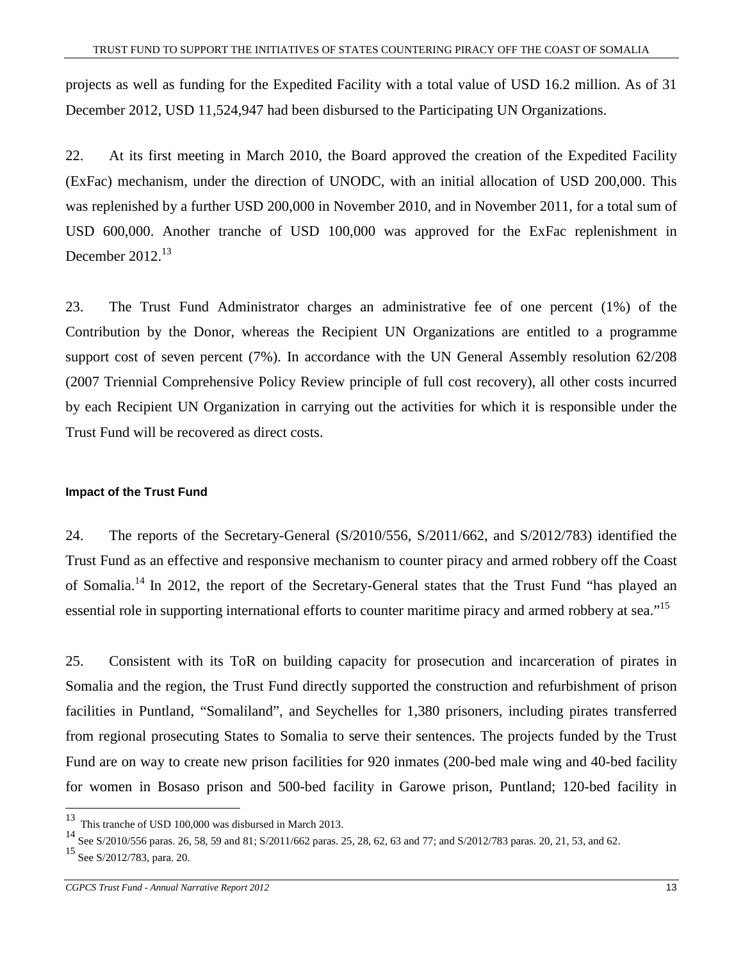projects as well as funding for the Expedited Facility with a total value of USD 16.2 million. As of 31 December 2012, USD 11,524,947 had been disbursed to the Participating UN Organizations.

22. At its first meeting in March 2010, the Board approved the creation of the Expedited Facility (ExFac) mechanism, under the direction of UNODC, with an initial allocation of USD 200,000. This was replenished by a further USD 200,000 in November 2010, and in November 2011, for a total sum of USD 600,000. Another tranche of USD 100,000 was approved for the ExFac replenishment in December  $2012.<sup>13</sup>$ 

23. The Trust Fund Administrator charges an administrative fee of one percent (1%) of the Contribution by the Donor, whereas the Recipient UN Organizations are entitled to a programme support cost of seven percent (7%). In accordance with the UN General Assembly resolution 62/208 (2007 Triennial Comprehensive Policy Review principle of full cost recovery), all other costs incurred by each Recipient UN Organization in carrying out the activities for which it is responsible under the Trust Fund will be recovered as direct costs.

#### **Impact of the Trust Fund**

24. The reports of the Secretary-General (S/2010/556, S/2011/662, and S/2012/783) identified the Trust Fund as an effective and responsive mechanism to counter piracy and armed robbery off the Coast of Somalia.<sup>14</sup> In 2012, the report of the Secretary-General states that the Trust Fund "has played an essential role in supporting international efforts to counter maritime piracy and armed robbery at sea."<sup>15</sup>

25. Consistent with its ToR on building capacity for prosecution and incarceration of pirates in Somalia and the region, the Trust Fund directly supported the construction and refurbishment of prison facilities in Puntland, "Somaliland", and Seychelles for 1,380 prisoners, including pirates transferred from regional prosecuting States to Somalia to serve their sentences. The projects funded by the Trust Fund are on way to create new prison facilities for 920 inmates (200-bed male wing and 40-bed facility for women in Bosaso prison and 500-bed facility in Garowe prison, Puntland; 120-bed facility in

This tranche of USD 100,000 was disbursed in March 2013.

<sup>&</sup>lt;sup>14</sup> See S/2010/556 paras. 26, 58, 59 and 81; S/2011/662 paras. 25, 28, 62, 63 and 77; and S/2012/783 paras. 20, 21, 53, and 62.

 $15$  See S/2012/783, para. 20.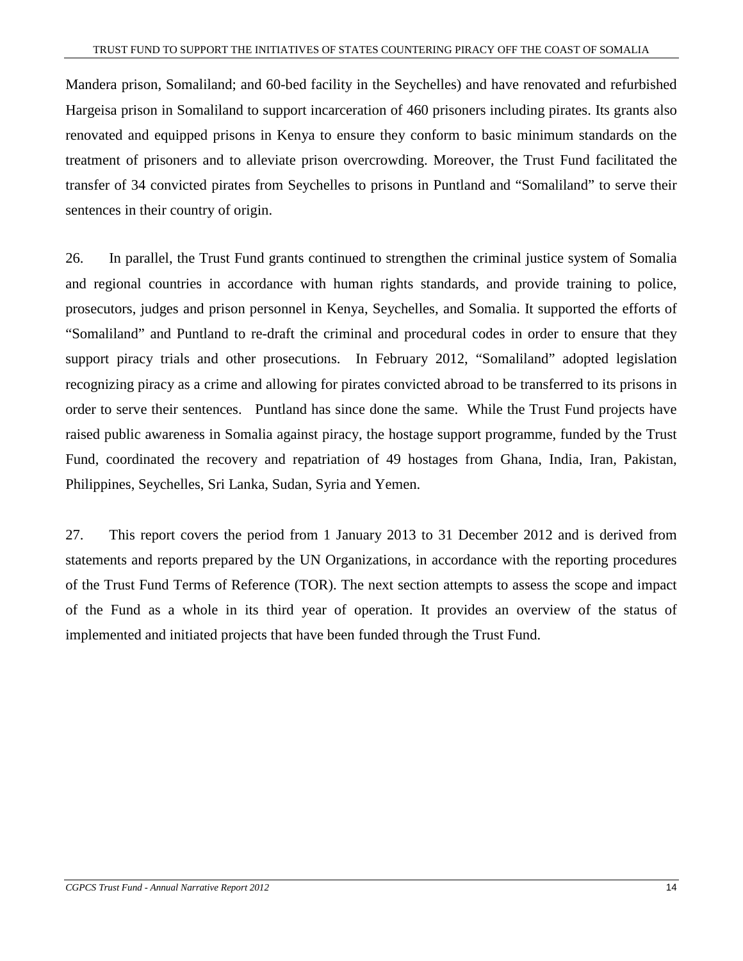Mandera prison, Somaliland; and 60-bed facility in the Seychelles) and have renovated and refurbished Hargeisa prison in Somaliland to support incarceration of 460 prisoners including pirates. Its grants also renovated and equipped prisons in Kenya to ensure they conform to basic minimum standards on the treatment of prisoners and to alleviate prison overcrowding. Moreover, the Trust Fund facilitated the transfer of 34 convicted pirates from Seychelles to prisons in Puntland and "Somaliland" to serve their sentences in their country of origin.

26. In parallel, the Trust Fund grants continued to strengthen the criminal justice system of Somalia and regional countries in accordance with human rights standards, and provide training to police, prosecutors, judges and prison personnel in Kenya, Seychelles, and Somalia. It supported the efforts of "Somaliland" and Puntland to re-draft the criminal and procedural codes in order to ensure that they support piracy trials and other prosecutions. In February 2012, "Somaliland" adopted legislation recognizing piracy as a crime and allowing for pirates convicted abroad to be transferred to its prisons in order to serve their sentences. Puntland has since done the same. While the Trust Fund projects have raised public awareness in Somalia against piracy, the hostage support programme, funded by the Trust Fund, coordinated the recovery and repatriation of 49 hostages from Ghana, India, Iran, Pakistan, Philippines, Seychelles, Sri Lanka, Sudan, Syria and Yemen.

27. This report covers the period from 1 January 2013 to 31 December 2012 and is derived from statements and reports prepared by the UN Organizations, in accordance with the reporting procedures of the Trust Fund Terms of Reference (TOR). The next section attempts to assess the scope and impact of the Fund as a whole in its third year of operation. It provides an overview of the status of implemented and initiated projects that have been funded through the Trust Fund.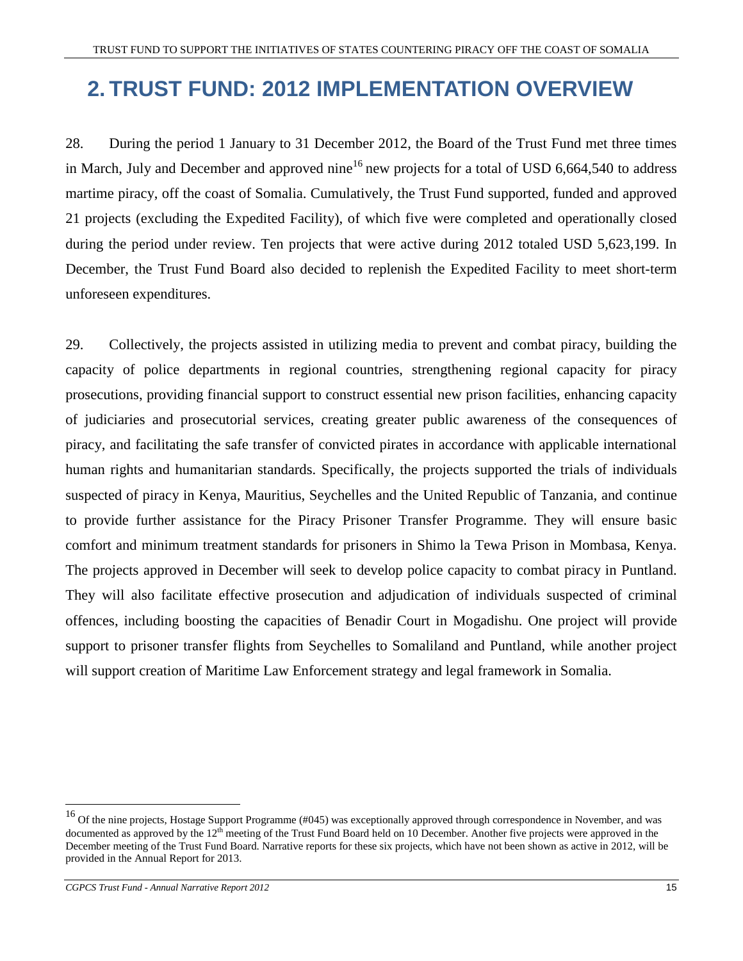# **2. TRUST FUND: 2012 IMPLEMENTATION OVERVIEW**

28. During the period 1 January to 31 December 2012, the Board of the Trust Fund met three times in March, July and December and approved nine<sup>16</sup> new projects for a total of USD 6,664,540 to address martime piracy, off the coast of Somalia. Cumulatively, the Trust Fund supported, funded and approved 21 projects (excluding the Expedited Facility), of which five were completed and operationally closed during the period under review. Ten projects that were active during 2012 totaled USD 5,623,199. In December, the Trust Fund Board also decided to replenish the Expedited Facility to meet short-term unforeseen expenditures.

29. Collectively, the projects assisted in utilizing media to prevent and combat piracy, building the capacity of police departments in regional countries, strengthening regional capacity for piracy prosecutions, providing financial support to construct essential new prison facilities, enhancing capacity of judiciaries and prosecutorial services, creating greater public awareness of the consequences of piracy, and facilitating the safe transfer of convicted pirates in accordance with applicable international human rights and humanitarian standards. Specifically, the projects supported the trials of individuals suspected of piracy in Kenya, Mauritius, Seychelles and the United Republic of Tanzania, and continue to provide further assistance for the Piracy Prisoner Transfer Programme. They will ensure basic comfort and minimum treatment standards for prisoners in Shimo la Tewa Prison in Mombasa, Kenya. The projects approved in December will seek to develop police capacity to combat piracy in Puntland. They will also facilitate effective prosecution and adjudication of individuals suspected of criminal offences, including boosting the capacities of Benadir Court in Mogadishu. One project will provide support to prisoner transfer flights from Seychelles to Somaliland and Puntland, while another project will support creation of Maritime Law Enforcement strategy and legal framework in Somalia.

<sup>&</sup>lt;sup>16</sup> Of the nine projects, Hostage Support Programme (#045) was exceptionally approved through correspondence in November, and was documented as approved by the 12<sup>th</sup> meeting of the Trust Fund Board held on 10 December. Another five projects were approved in the December meeting of the Trust Fund Board. Narrative reports for these six projects, which have not been shown as active in 2012, will be provided in the Annual Report for 2013.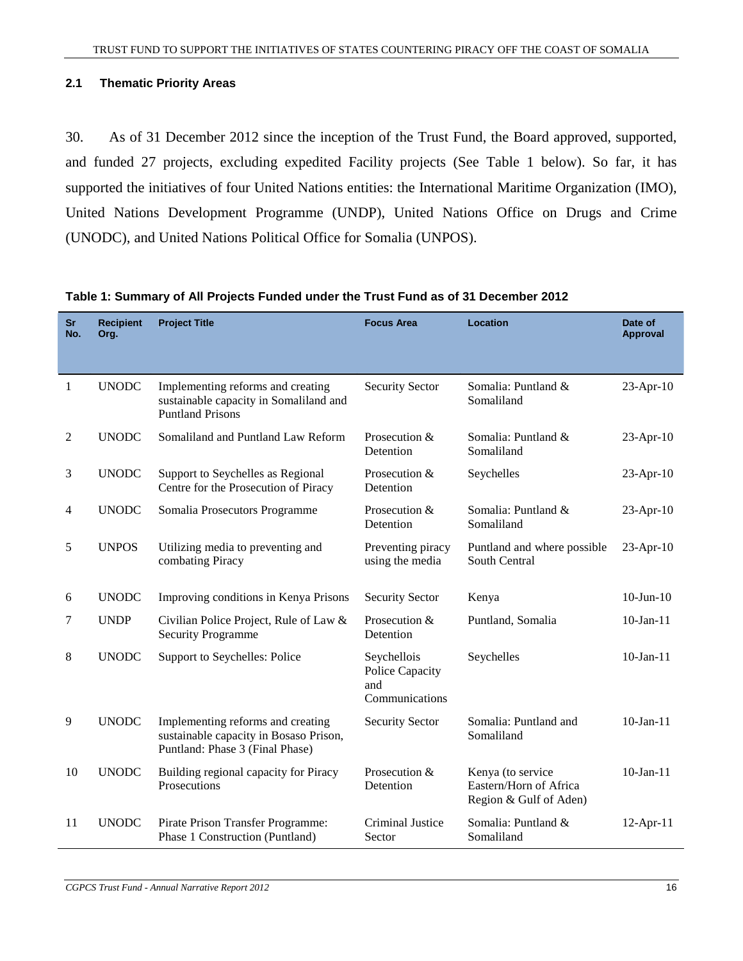#### **2.1 Thematic Priority Areas**

30. As of 31 December 2012 since the inception of the Trust Fund, the Board approved, supported, and funded 27 projects, excluding expedited Facility projects (See Table 1 below). So far, it has supported the initiatives of four United Nations entities: the International Maritime Organization (IMO), United Nations Development Programme (UNDP), United Nations Office on Drugs and Crime (UNODC), and United Nations Political Office for Somalia (UNPOS).

| <b>Sr</b><br>No. | <b>Recipient</b><br>Org. | <b>Project Title</b>                                                                                           | <b>Focus Area</b>                                       | <b>Location</b>                                                       | Date of<br><b>Approval</b> |
|------------------|--------------------------|----------------------------------------------------------------------------------------------------------------|---------------------------------------------------------|-----------------------------------------------------------------------|----------------------------|
| $\mathbf{1}$     | <b>UNODC</b>             | Implementing reforms and creating<br>sustainable capacity in Somaliland and<br><b>Puntland Prisons</b>         | <b>Security Sector</b>                                  | Somalia: Puntland &<br>Somaliland                                     | 23-Apr-10                  |
| 2                | <b>UNODC</b>             | Somaliland and Puntland Law Reform                                                                             | Prosecution &<br>Detention                              | Somalia: Puntland &<br>Somaliland                                     | $23$ -Apr-10               |
| 3                | <b>UNODC</b>             | Support to Seychelles as Regional<br>Centre for the Prosecution of Piracy                                      | Prosecution &<br>Detention                              | Seychelles                                                            | 23-Apr-10                  |
| 4                | <b>UNODC</b>             | Somalia Prosecutors Programme                                                                                  | Prosecution &<br>Detention                              | Somalia: Puntland &<br>Somaliland                                     | 23-Apr-10                  |
| 5                | <b>UNPOS</b>             | Utilizing media to preventing and<br>combating Piracy                                                          | Preventing piracy<br>using the media                    | Puntland and where possible<br>South Central                          | $23$ -Apr-10               |
| 6                | <b>UNODC</b>             | Improving conditions in Kenya Prisons                                                                          | <b>Security Sector</b>                                  | Kenya                                                                 | $10 - Jun - 10$            |
| 7                | <b>UNDP</b>              | Civilian Police Project, Rule of Law &<br><b>Security Programme</b>                                            | Prosecution &<br>Detention                              | Puntland, Somalia                                                     | $10$ -Jan-11               |
| 8                | <b>UNODC</b>             | Support to Seychelles: Police                                                                                  | Seychellois<br>Police Capacity<br>and<br>Communications | Seychelles                                                            | $10$ -Jan- $11$            |
| 9                | <b>UNODC</b>             | Implementing reforms and creating<br>sustainable capacity in Bosaso Prison,<br>Puntland: Phase 3 (Final Phase) | <b>Security Sector</b>                                  | Somalia: Puntland and<br>Somaliland                                   | $10$ -Jan-11               |
| 10               | <b>UNODC</b>             | Building regional capacity for Piracy<br>Prosecutions                                                          | Prosecution &<br>Detention                              | Kenya (to service<br>Eastern/Horn of Africa<br>Region & Gulf of Aden) | $10$ -Jan- $11$            |
| 11               | <b>UNODC</b>             | Pirate Prison Transfer Programme:<br>Phase 1 Construction (Puntland)                                           | Criminal Justice<br>Sector                              | Somalia: Puntland &<br>Somaliland                                     | $12$ -Apr-11               |

#### **Table 1: Summary of All Projects Funded under the Trust Fund as of 31 December 2012**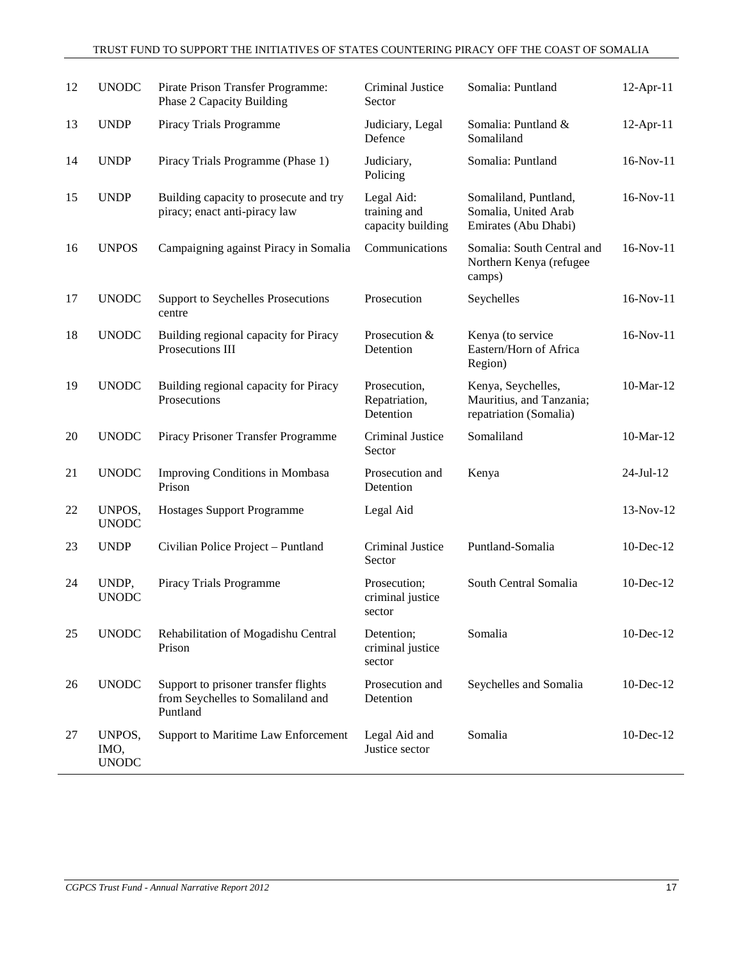| 12 | <b>UNODC</b>                   | Pirate Prison Transfer Programme:<br>Phase 2 Capacity Building                        | Criminal Justice<br>Sector                      | Somalia: Puntland                                                        | 12-Apr-11       |
|----|--------------------------------|---------------------------------------------------------------------------------------|-------------------------------------------------|--------------------------------------------------------------------------|-----------------|
| 13 | <b>UNDP</b>                    | Piracy Trials Programme                                                               | Judiciary, Legal<br>Defence                     | Somalia: Puntland &<br>Somaliland                                        | 12-Apr-11       |
| 14 | <b>UNDP</b>                    | Piracy Trials Programme (Phase 1)                                                     | Judiciary,<br>Policing                          | Somalia: Puntland                                                        | 16-Nov-11       |
| 15 | <b>UNDP</b>                    | Building capacity to prosecute and try<br>piracy; enact anti-piracy law               | Legal Aid:<br>training and<br>capacity building | Somaliland, Puntland,<br>Somalia, United Arab<br>Emirates (Abu Dhabi)    | $16-Nov-11$     |
| 16 | <b>UNPOS</b>                   | Campaigning against Piracy in Somalia                                                 | Communications                                  | Somalia: South Central and<br>Northern Kenya (refugee<br>camps)          | $16-Nov-11$     |
| 17 | <b>UNODC</b>                   | <b>Support to Seychelles Prosecutions</b><br>centre                                   | Prosecution                                     | Seychelles                                                               | 16-Nov-11       |
| 18 | <b>UNODC</b>                   | Building regional capacity for Piracy<br>Prosecutions III                             | Prosecution &<br>Detention                      | Kenya (to service<br>Eastern/Horn of Africa<br>Region)                   | $16-Nov-11$     |
| 19 | <b>UNODC</b>                   | Building regional capacity for Piracy<br>Prosecutions                                 | Prosecution,<br>Repatriation,<br>Detention      | Kenya, Seychelles,<br>Mauritius, and Tanzania;<br>repatriation (Somalia) | 10-Mar-12       |
| 20 | <b>UNODC</b>                   | Piracy Prisoner Transfer Programme                                                    | Criminal Justice<br>Sector                      | Somaliland                                                               | 10-Mar-12       |
| 21 | <b>UNODC</b>                   | <b>Improving Conditions in Mombasa</b><br>Prison                                      | Prosecution and<br>Detention                    | Kenya                                                                    | $24$ -Jul-12    |
| 22 | UNPOS,<br><b>UNODC</b>         | <b>Hostages Support Programme</b>                                                     | Legal Aid                                       |                                                                          | 13-Nov-12       |
| 23 | <b>UNDP</b>                    | Civilian Police Project - Puntland                                                    | Criminal Justice<br>Sector                      | Puntland-Somalia                                                         | $10$ -Dec- $12$ |
| 24 | UNDP,<br><b>UNODC</b>          | Piracy Trials Programme                                                               | Prosecution;<br>criminal justice<br>sector      | South Central Somalia                                                    | $10$ -Dec- $12$ |
| 25 | <b>UNODC</b>                   | Rehabilitation of Mogadishu Central<br>Prison                                         | Detention;<br>criminal justice<br>sector        | Somalia                                                                  | 10-Dec-12       |
| 26 | <b>UNODC</b>                   | Support to prisoner transfer flights<br>from Seychelles to Somaliland and<br>Puntland | Prosecution and<br>Detention                    | Seychelles and Somalia                                                   | 10-Dec-12       |
| 27 | UNPOS,<br>IMO,<br><b>UNODC</b> | Support to Maritime Law Enforcement                                                   | Legal Aid and<br>Justice sector                 | Somalia                                                                  | $10$ -Dec- $12$ |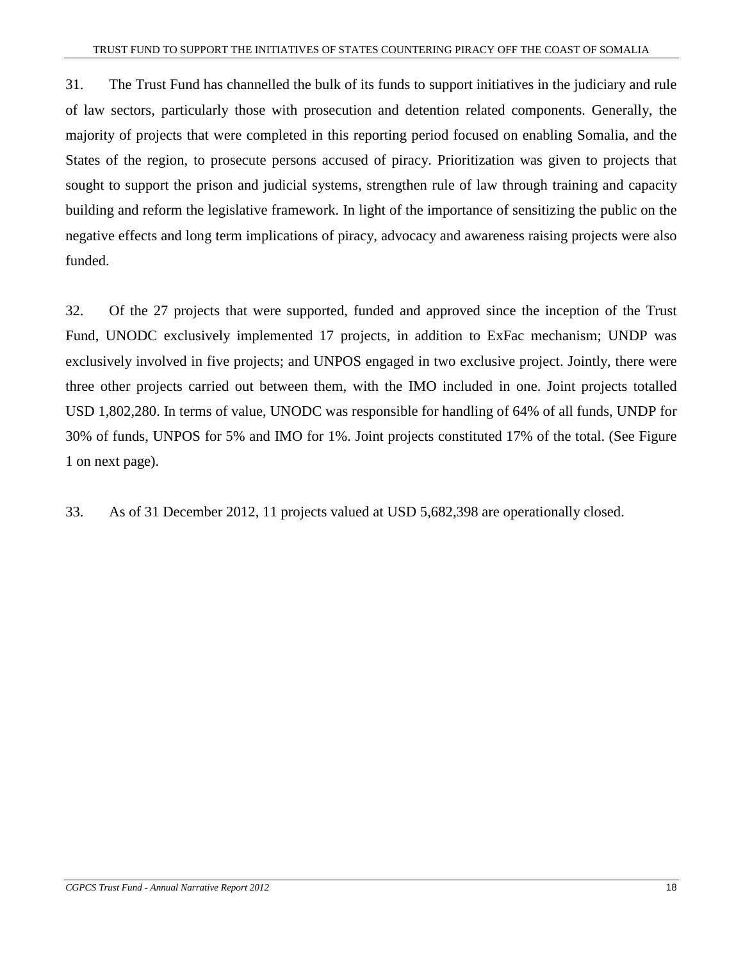31. The Trust Fund has channelled the bulk of its funds to support initiatives in the judiciary and rule of law sectors, particularly those with prosecution and detention related components. Generally, the majority of projects that were completed in this reporting period focused on enabling Somalia, and the States of the region, to prosecute persons accused of piracy. Prioritization was given to projects that sought to support the prison and judicial systems, strengthen rule of law through training and capacity building and reform the legislative framework. In light of the importance of sensitizing the public on the negative effects and long term implications of piracy, advocacy and awareness raising projects were also funded.

32. Of the 27 projects that were supported, funded and approved since the inception of the Trust Fund, UNODC exclusively implemented 17 projects, in addition to ExFac mechanism; UNDP was exclusively involved in five projects; and UNPOS engaged in two exclusive project. Jointly, there were three other projects carried out between them, with the IMO included in one. Joint projects totalled USD 1,802,280. In terms of value, UNODC was responsible for handling of 64% of all funds, UNDP for 30% of funds, UNPOS for 5% and IMO for 1%. Joint projects constituted 17% of the total. (See Figure 1 on next page).

33. As of 31 December 2012, 11 projects valued at USD 5,682,398 are operationally closed.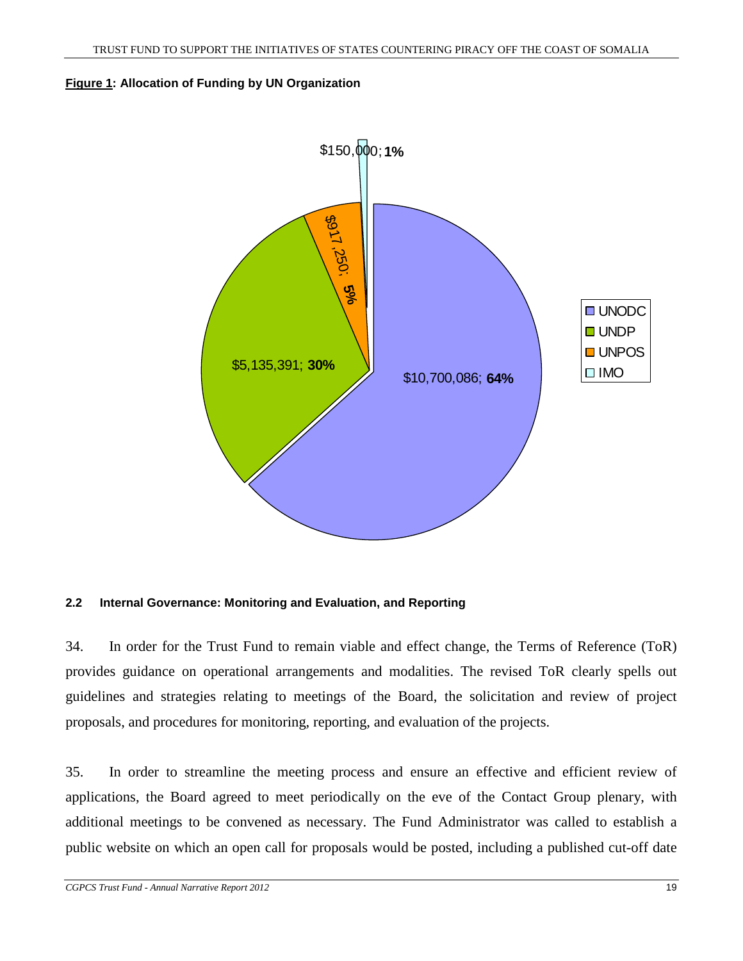#### **Figure 1: Allocation of Funding by UN Organization**



#### **2.2 Internal Governance: Monitoring and Evaluation, and Reporting**

34. In order for the Trust Fund to remain viable and effect change, the Terms of Reference (ToR) provides guidance on operational arrangements and modalities. The revised ToR clearly spells out guidelines and strategies relating to meetings of the Board, the solicitation and review of project proposals, and procedures for monitoring, reporting, and evaluation of the projects.

35. In order to streamline the meeting process and ensure an effective and efficient review of applications, the Board agreed to meet periodically on the eve of the Contact Group plenary, with additional meetings to be convened as necessary. The Fund Administrator was called to establish a public website on which an open call for proposals would be posted, including a published cut-off date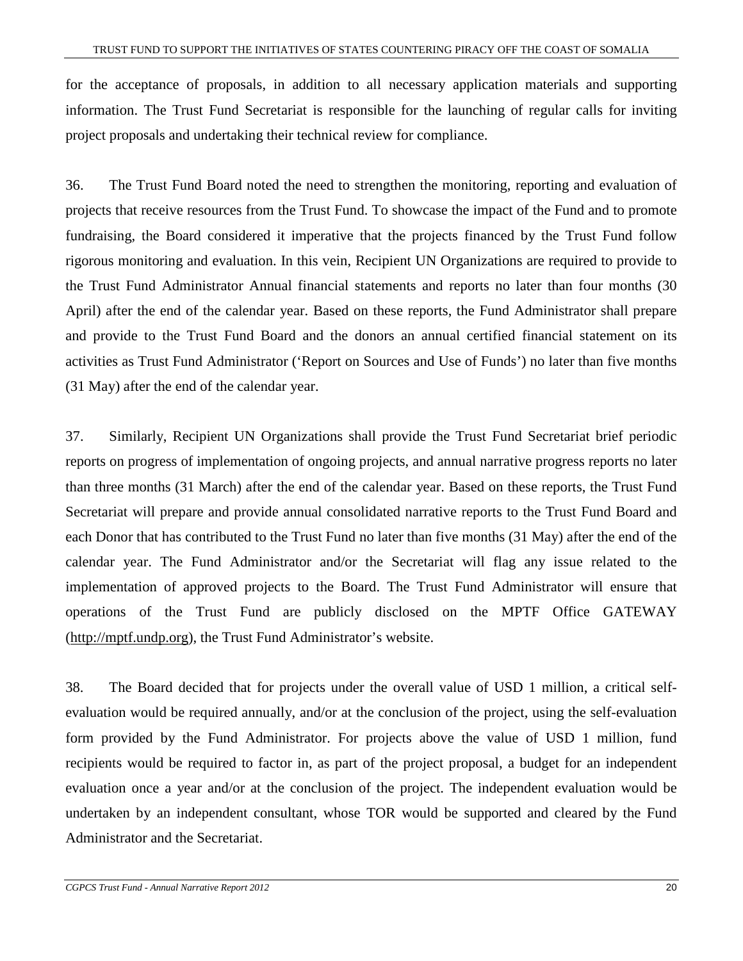for the acceptance of proposals, in addition to all necessary application materials and supporting information. The Trust Fund Secretariat is responsible for the launching of regular calls for inviting project proposals and undertaking their technical review for compliance.

36. The Trust Fund Board noted the need to strengthen the monitoring, reporting and evaluation of projects that receive resources from the Trust Fund. To showcase the impact of the Fund and to promote fundraising, the Board considered it imperative that the projects financed by the Trust Fund follow rigorous monitoring and evaluation. In this vein, Recipient UN Organizations are required to provide to the Trust Fund Administrator Annual financial statements and reports no later than four months (30 April) after the end of the calendar year. Based on these reports, the Fund Administrator shall prepare and provide to the Trust Fund Board and the donors an annual certified financial statement on its activities as Trust Fund Administrator ('Report on Sources and Use of Funds') no later than five months (31 May) after the end of the calendar year.

37. Similarly, Recipient UN Organizations shall provide the Trust Fund Secretariat brief periodic reports on progress of implementation of ongoing projects, and annual narrative progress reports no later than three months (31 March) after the end of the calendar year. Based on these reports, the Trust Fund Secretariat will prepare and provide annual consolidated narrative reports to the Trust Fund Board and each Donor that has contributed to the Trust Fund no later than five months (31 May) after the end of the calendar year. The Fund Administrator and/or the Secretariat will flag any issue related to the implementation of approved projects to the Board. The Trust Fund Administrator will ensure that operations of the Trust Fund are publicly disclosed on the MPTF Office GATEWAY (http://mptf.undp.org), the Trust Fund Administrator's website.

38. The Board decided that for projects under the overall value of USD 1 million, a critical selfevaluation would be required annually, and/or at the conclusion of the project, using the self-evaluation form provided by the Fund Administrator. For projects above the value of USD 1 million, fund recipients would be required to factor in, as part of the project proposal, a budget for an independent evaluation once a year and/or at the conclusion of the project. The independent evaluation would be undertaken by an independent consultant, whose TOR would be supported and cleared by the Fund Administrator and the Secretariat.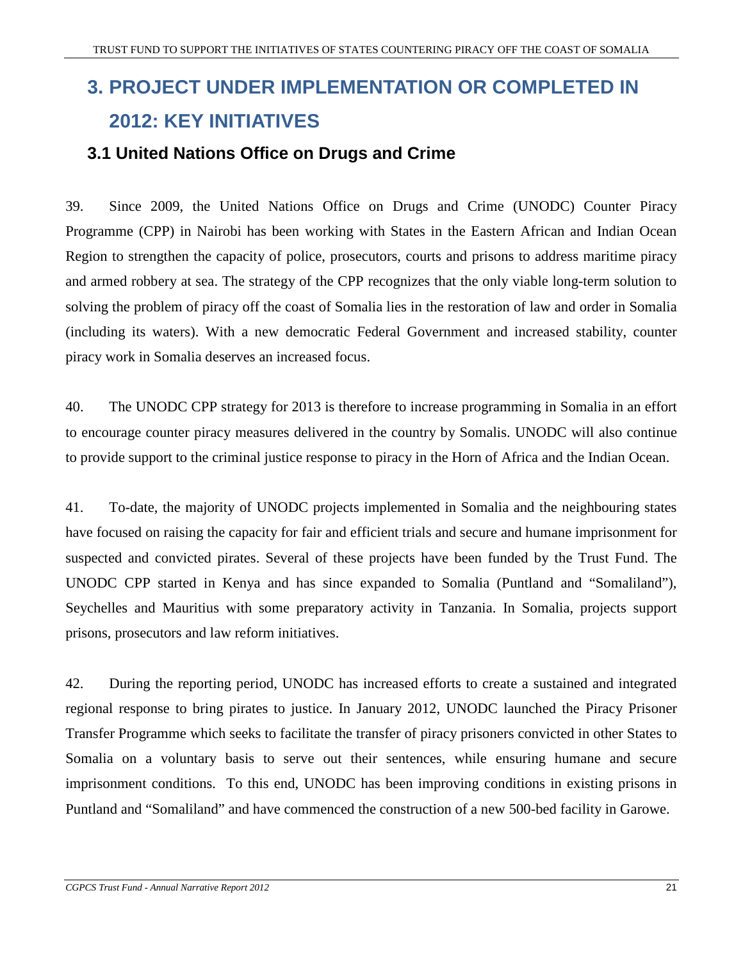# **3. PROJECT UNDER IMPLEMENTATION OR COMPLETED IN 2012: KEY INITIATIVES**

## **3.1 United Nations Office on Drugs and Crime**

39. Since 2009, the United Nations Office on Drugs and Crime (UNODC) Counter Piracy Programme (CPP) in Nairobi has been working with States in the Eastern African and Indian Ocean Region to strengthen the capacity of police, prosecutors, courts and prisons to address maritime piracy and armed robbery at sea. The strategy of the CPP recognizes that the only viable long-term solution to solving the problem of piracy off the coast of Somalia lies in the restoration of law and order in Somalia (including its waters). With a new democratic Federal Government and increased stability, counter piracy work in Somalia deserves an increased focus.

40. The UNODC CPP strategy for 2013 is therefore to increase programming in Somalia in an effort to encourage counter piracy measures delivered in the country by Somalis. UNODC will also continue to provide support to the criminal justice response to piracy in the Horn of Africa and the Indian Ocean.

41. To-date, the majority of UNODC projects implemented in Somalia and the neighbouring states have focused on raising the capacity for fair and efficient trials and secure and humane imprisonment for suspected and convicted pirates. Several of these projects have been funded by the Trust Fund. The UNODC CPP started in Kenya and has since expanded to Somalia (Puntland and "Somaliland"), Seychelles and Mauritius with some preparatory activity in Tanzania. In Somalia, projects support prisons, prosecutors and law reform initiatives.

42. During the reporting period, UNODC has increased efforts to create a sustained and integrated regional response to bring pirates to justice. In January 2012, UNODC launched the Piracy Prisoner Transfer Programme which seeks to facilitate the transfer of piracy prisoners convicted in other States to Somalia on a voluntary basis to serve out their sentences, while ensuring humane and secure imprisonment conditions. To this end, UNODC has been improving conditions in existing prisons in Puntland and "Somaliland" and have commenced the construction of a new 500-bed facility in Garowe.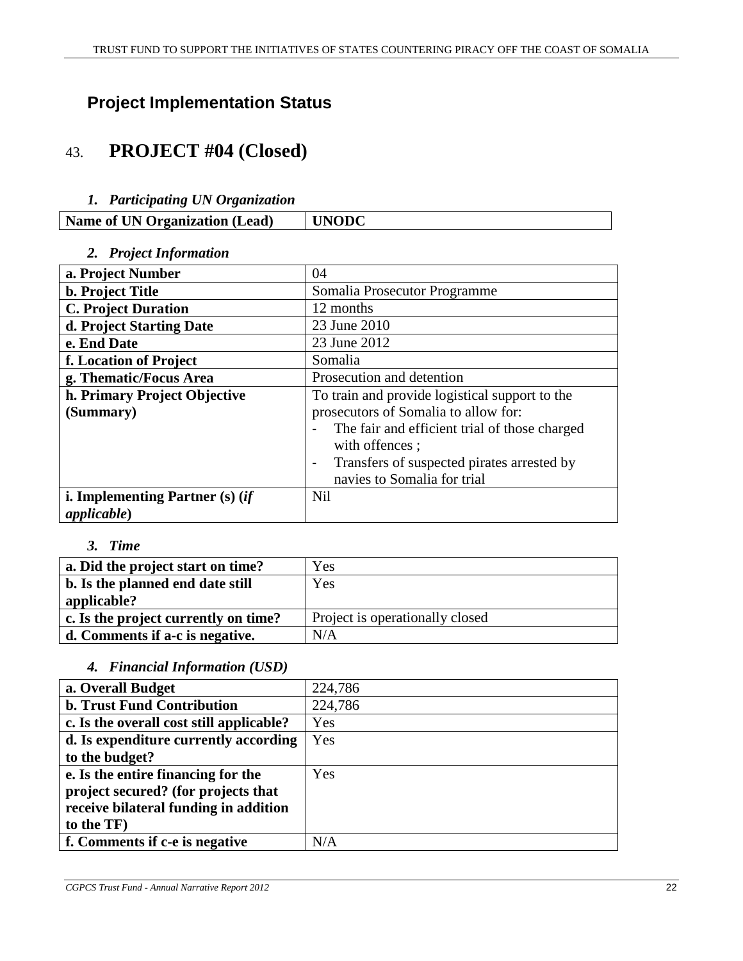# **Project Implementation Status**

# 43. **PROJECT #04 (Closed)**

#### *1. Participating UN Organization*

| <b>Name of UN Organization (Lead)</b> | <b>UNODC</b> |
|---------------------------------------|--------------|

#### *2. Project Information*

| a. Project Number                 | 04                                                                     |
|-----------------------------------|------------------------------------------------------------------------|
| <b>b.</b> Project Title           | Somalia Prosecutor Programme                                           |
| <b>C. Project Duration</b>        | 12 months                                                              |
| d. Project Starting Date          | 23 June 2010                                                           |
| e. End Date                       | 23 June 2012                                                           |
| f. Location of Project            | Somalia                                                                |
| g. Thematic/Focus Area            | Prosecution and detention                                              |
| h. Primary Project Objective      | To train and provide logistical support to the                         |
| (Summary)                         | prosecutors of Somalia to allow for:                                   |
|                                   | The fair and efficient trial of those charged                          |
|                                   | with offences;                                                         |
|                                   | Transfers of suspected pirates arrested by<br>$\overline{\phantom{a}}$ |
|                                   | navies to Somalia for trial                                            |
| i. Implementing Partner $(s)$ (if | <b>Nil</b>                                                             |
| <i>applicable</i> )               |                                                                        |

#### *3. Time*

| a. Did the project start on time?    | Yes                             |
|--------------------------------------|---------------------------------|
| b. Is the planned end date still     | Yes                             |
| applicable?                          |                                 |
| c. Is the project currently on time? | Project is operationally closed |
| d. Comments if a-c is negative.      | N/A                             |

#### *4. Financial Information (USD)*

| a. Overall Budget                        | 224,786 |
|------------------------------------------|---------|
| <b>b. Trust Fund Contribution</b>        | 224,786 |
| c. Is the overall cost still applicable? | Yes     |
| d. Is expenditure currently according    | Yes     |
| to the budget?                           |         |
| e. Is the entire financing for the       | Yes     |
| project secured? (for projects that      |         |
| receive bilateral funding in addition    |         |
| to the TF)                               |         |
| f. Comments if c-e is negative           | N/A     |
|                                          |         |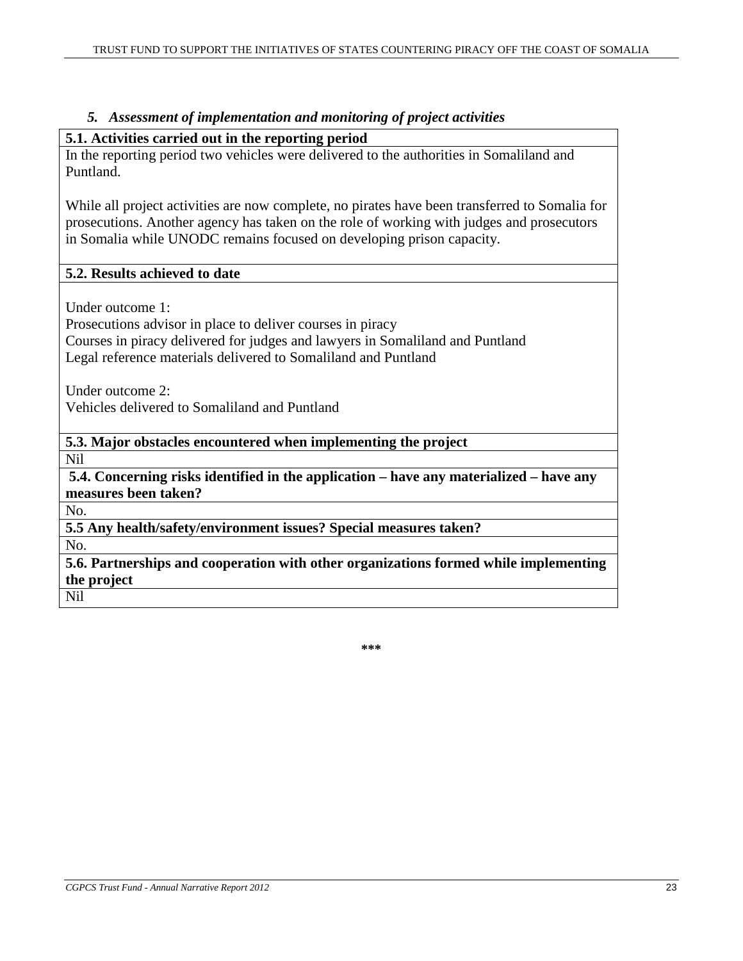#### *5. Assessment of implementation and monitoring of project activities*

#### **5.1. Activities carried out in the reporting period**

In the reporting period two vehicles were delivered to the authorities in Somaliland and Puntland.

While all project activities are now complete, no pirates have been transferred to Somalia for prosecutions. Another agency has taken on the role of working with judges and prosecutors in Somalia while UNODC remains focused on developing prison capacity.

## **5.2. Results achieved to date**

Under outcome 1:

Prosecutions advisor in place to deliver courses in piracy Courses in piracy delivered for judges and lawyers in Somaliland and Puntland

Legal reference materials delivered to Somaliland and Puntland

Under outcome 2:

Vehicles delivered to Somaliland and Puntland

**5.3. Major obstacles encountered when implementing the project**  Nil

**5.4. Concerning risks identified in the application – have any materialized – have any measures been taken?**

No.

**5.5 Any health/safety/environment issues? Special measures taken?** 

No.

**5.6. Partnerships and cooperation with other organizations formed while implementing the project** 

Nil

**\*\*\***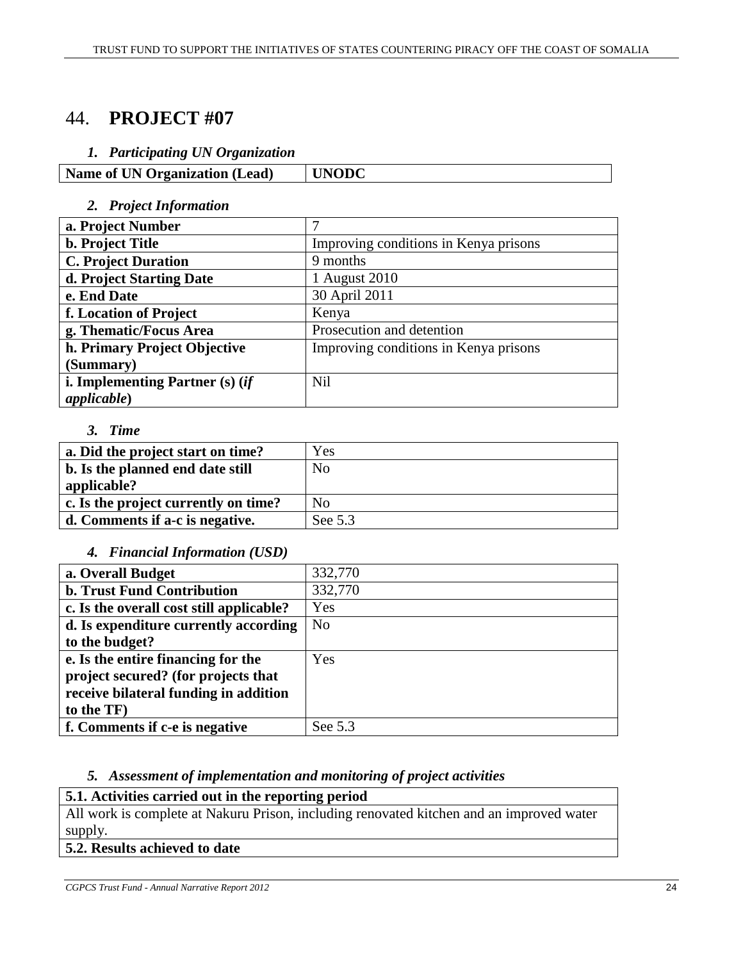# 44. **PROJECT #07**

#### *1. Participating UN Organization*

**Name of UN Organization (Lead) UNODC** 

#### *2. Project Information*

| a. Project Number                 |                                       |
|-----------------------------------|---------------------------------------|
| <b>b.</b> Project Title           | Improving conditions in Kenya prisons |
| <b>C. Project Duration</b>        | 9 months                              |
| d. Project Starting Date          | 1 August 2010                         |
| e. End Date                       | 30 April 2011                         |
| f. Location of Project            | Kenya                                 |
| g. Thematic/Focus Area            | Prosecution and detention             |
| h. Primary Project Objective      | Improving conditions in Kenya prisons |
| (Summary)                         |                                       |
| i. Implementing Partner $(s)$ (if | <b>Nil</b>                            |
| applicable)                       |                                       |

#### *3. Time*

| a. Did the project start on time?    | Yes            |
|--------------------------------------|----------------|
| b. Is the planned end date still     | N <sub>0</sub> |
| applicable?                          |                |
| c. Is the project currently on time? | N <sub>0</sub> |
| d. Comments if a-c is negative.      | See 5.3        |

#### *4. Financial Information (USD)*

| a. Overall Budget                        | 332,770        |
|------------------------------------------|----------------|
| <b>b. Trust Fund Contribution</b>        | 332,770        |
| c. Is the overall cost still applicable? | Yes            |
| d. Is expenditure currently according    | N <sub>o</sub> |
| to the budget?                           |                |
| e. Is the entire financing for the       | Yes            |
| project secured? (for projects that      |                |
| receive bilateral funding in addition    |                |
| to the TF)                               |                |
| f. Comments if c-e is negative           | See 5.3        |

#### *5. Assessment of implementation and monitoring of project activities*

#### **5.1. Activities carried out in the reporting period**

All work is complete at Nakuru Prison, including renovated kitchen and an improved water supply.

## **5.2. Results achieved to date**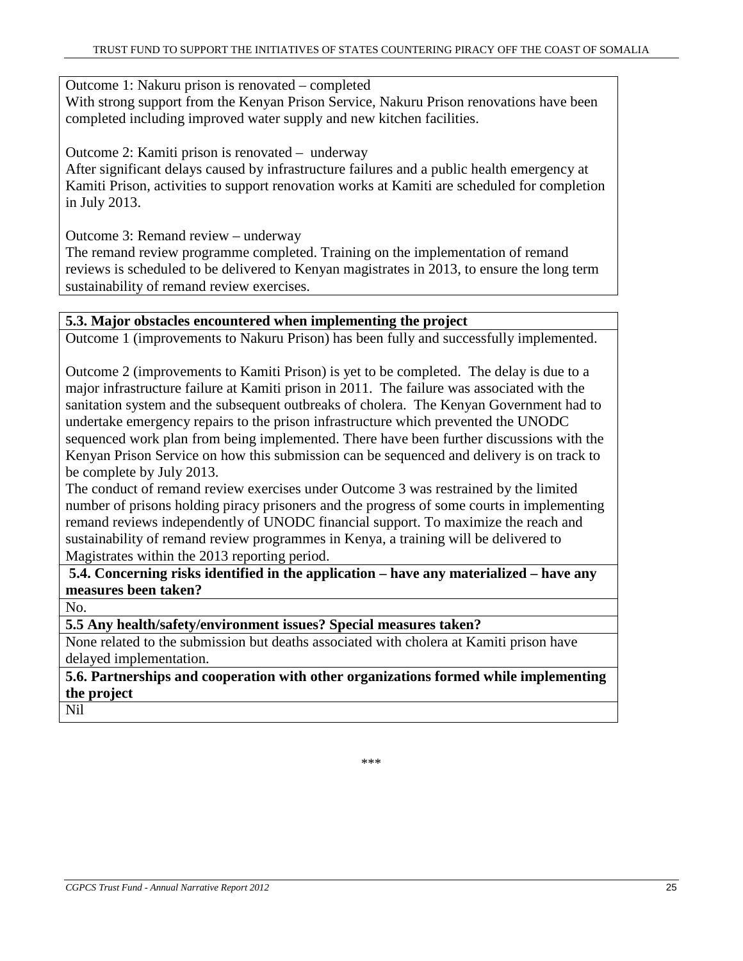Outcome 1: Nakuru prison is renovated – completed

With strong support from the Kenyan Prison Service, Nakuru Prison renovations have been completed including improved water supply and new kitchen facilities.

Outcome 2: Kamiti prison is renovated – underway

After significant delays caused by infrastructure failures and a public health emergency at Kamiti Prison, activities to support renovation works at Kamiti are scheduled for completion in July 2013.

Outcome 3: Remand review – underway

The remand review programme completed. Training on the implementation of remand reviews is scheduled to be delivered to Kenyan magistrates in 2013, to ensure the long term sustainability of remand review exercises.

#### **5.3. Major obstacles encountered when implementing the project**

Outcome 1 (improvements to Nakuru Prison) has been fully and successfully implemented.

Outcome 2 (improvements to Kamiti Prison) is yet to be completed. The delay is due to a major infrastructure failure at Kamiti prison in 2011. The failure was associated with the sanitation system and the subsequent outbreaks of cholera. The Kenyan Government had to undertake emergency repairs to the prison infrastructure which prevented the UNODC sequenced work plan from being implemented. There have been further discussions with the Kenyan Prison Service on how this submission can be sequenced and delivery is on track to be complete by July 2013.

The conduct of remand review exercises under Outcome 3 was restrained by the limited number of prisons holding piracy prisoners and the progress of some courts in implementing remand reviews independently of UNODC financial support. To maximize the reach and sustainability of remand review programmes in Kenya, a training will be delivered to Magistrates within the 2013 reporting period.

**5.4. Concerning risks identified in the application – have any materialized – have any measures been taken?**

No.

**5.5 Any health/safety/environment issues? Special measures taken?** 

None related to the submission but deaths associated with cholera at Kamiti prison have delayed implementation.

**5.6. Partnerships and cooperation with other organizations formed while implementing the project** 

Nil

\*\*\*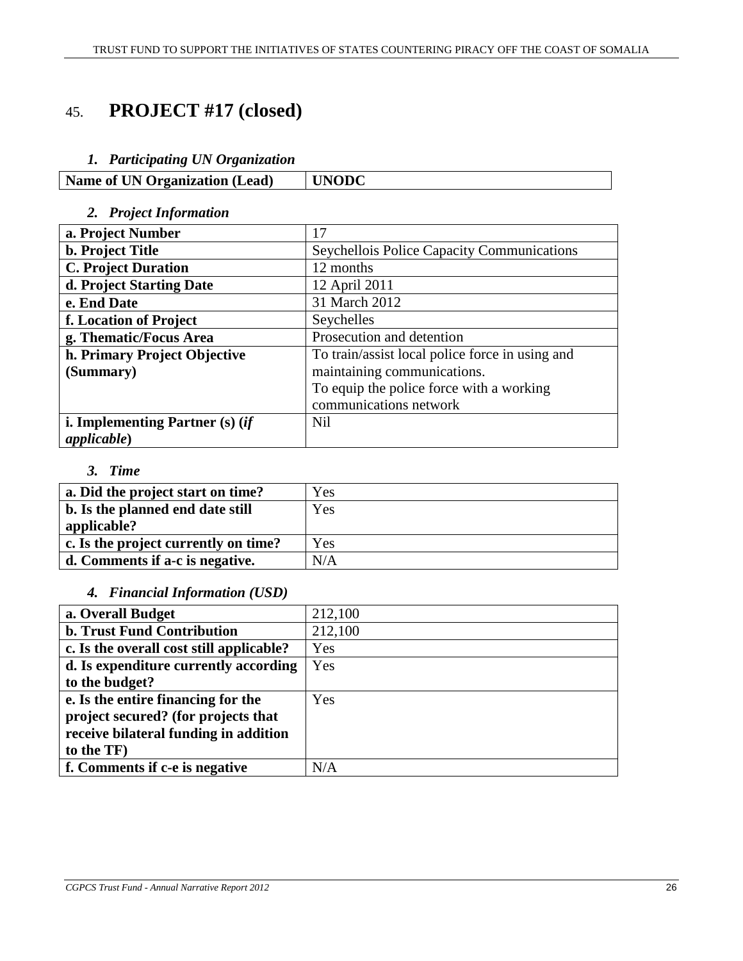# 45. **PROJECT #17 (closed)**

#### *1. Participating UN Organization*

| Name of UN Organization (Lead) | UNODC |
|--------------------------------|-------|
|--------------------------------|-------|

#### *2. Project Information*

| a. Project Number                 | 17                                              |
|-----------------------------------|-------------------------------------------------|
| <b>b. Project Title</b>           | Seychellois Police Capacity Communications      |
| <b>C. Project Duration</b>        | 12 months                                       |
| d. Project Starting Date          | 12 April 2011                                   |
| e. End Date                       | 31 March 2012                                   |
| f. Location of Project            | Seychelles                                      |
| g. Thematic/Focus Area            | Prosecution and detention                       |
| h. Primary Project Objective      | To train/assist local police force in using and |
| (Summary)                         | maintaining communications.                     |
|                                   | To equip the police force with a working        |
|                                   | communications network                          |
| i. Implementing Partner $(s)$ (if | <b>Nil</b>                                      |
| applicable)                       |                                                 |

#### *3. Time*

| a. Did the project start on time?    | Yes |
|--------------------------------------|-----|
| b. Is the planned end date still     | Yes |
| applicable?                          |     |
| c. Is the project currently on time? | Yes |
| d. Comments if a-c is negative.      | N/A |

#### *4. Financial Information (USD)*

| a. Overall Budget                        | 212,100 |
|------------------------------------------|---------|
| <b>b. Trust Fund Contribution</b>        | 212,100 |
| c. Is the overall cost still applicable? | Yes     |
| d. Is expenditure currently according    | Yes     |
| to the budget?                           |         |
| e. Is the entire financing for the       | Yes     |
| project secured? (for projects that      |         |
| receive bilateral funding in addition    |         |
| to the TF)                               |         |
| f. Comments if c-e is negative           | N/A     |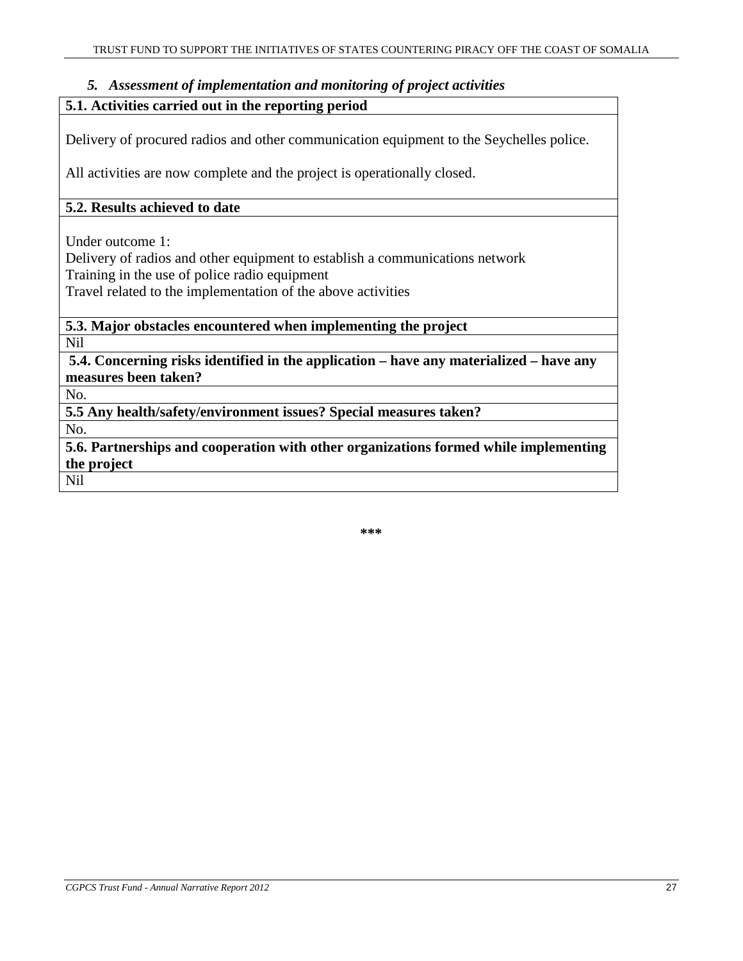#### *5. Assessment of implementation and monitoring of project activities*

#### **5.1. Activities carried out in the reporting period**

Delivery of procured radios and other communication equipment to the Seychelles police.

All activities are now complete and the project is operationally closed.

#### **5.2. Results achieved to date**

Under outcome 1:

Delivery of radios and other equipment to establish a communications network Training in the use of police radio equipment

Travel related to the implementation of the above activities

**5.3. Major obstacles encountered when implementing the project** 

Nil

**5.4. Concerning risks identified in the application – have any materialized – have any measures been taken?**

No.

**5.5 Any health/safety/environment issues? Special measures taken?** 

No.

**5.6. Partnerships and cooperation with other organizations formed while implementing the project** 

Nil

**\*\*\***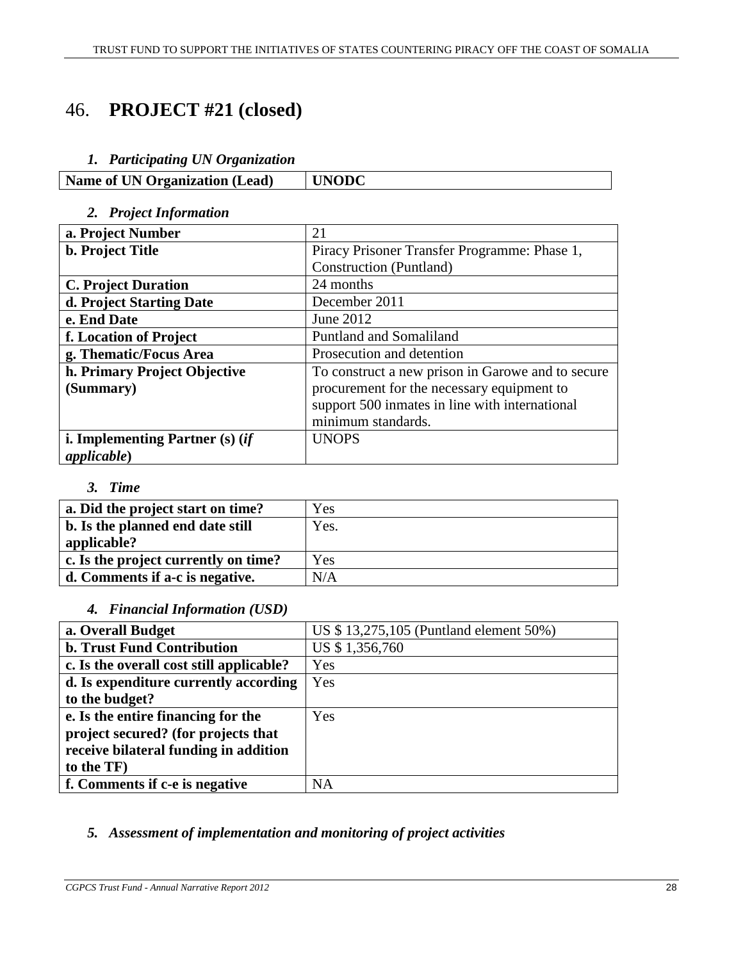# 46. **PROJECT #21 (closed)**

#### *1. Participating UN Organization*

| <b>Name of UN Organization (Lead)</b> | <b>'INODC</b> |
|---------------------------------------|---------------|

#### *2. Project Information*

| a. Project Number                 | 21                                                |
|-----------------------------------|---------------------------------------------------|
| <b>b.</b> Project Title           | Piracy Prisoner Transfer Programme: Phase 1,      |
|                                   | Construction (Puntland)                           |
| <b>C. Project Duration</b>        | 24 months                                         |
| d. Project Starting Date          | December 2011                                     |
| e. End Date                       | June 2012                                         |
| f. Location of Project            | Puntland and Somaliland                           |
| g. Thematic/Focus Area            | Prosecution and detention                         |
| h. Primary Project Objective      | To construct a new prison in Garowe and to secure |
| (Summary)                         | procurement for the necessary equipment to        |
|                                   | support 500 inmates in line with international    |
|                                   | minimum standards.                                |
| i. Implementing Partner $(s)$ (if | <b>UNOPS</b>                                      |
| <i>applicable</i> )               |                                                   |

#### *3. Time*

| a. Did the project start on time?    | Yes  |
|--------------------------------------|------|
| b. Is the planned end date still     | Yes. |
| applicable?                          |      |
| c. Is the project currently on time? | Yes  |
| d. Comments if a-c is negative.      | N/A  |

#### *4. Financial Information (USD)*

| a. Overall Budget                        | US \$13,275,105 (Puntland element 50%) |
|------------------------------------------|----------------------------------------|
| <b>b. Trust Fund Contribution</b>        | US \$1,356,760                         |
| c. Is the overall cost still applicable? | Yes                                    |
| d. Is expenditure currently according    | Yes                                    |
| to the budget?                           |                                        |
| e. Is the entire financing for the       | Yes                                    |
| project secured? (for projects that      |                                        |
| receive bilateral funding in addition    |                                        |
| to the TF)                               |                                        |
| f. Comments if c-e is negative           | <b>NA</b>                              |

## *5. Assessment of implementation and monitoring of project activities*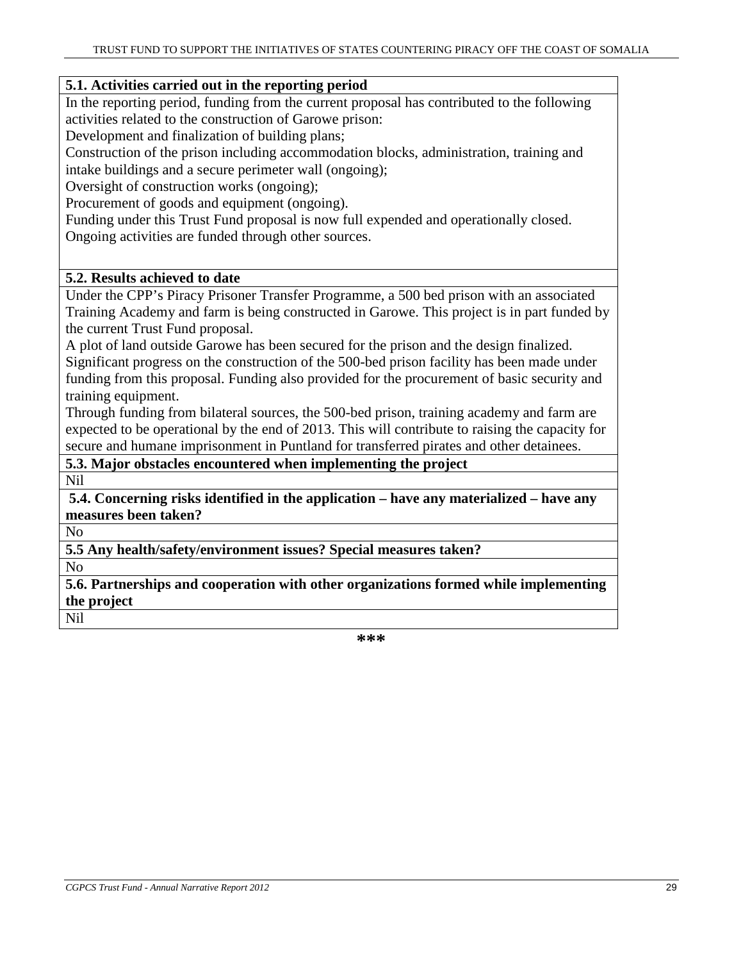#### **5.1. Activities carried out in the reporting period**

In the reporting period, funding from the current proposal has contributed to the following activities related to the construction of Garowe prison:

Development and finalization of building plans;

Construction of the prison including accommodation blocks, administration, training and intake buildings and a secure perimeter wall (ongoing);

Oversight of construction works (ongoing);

Procurement of goods and equipment (ongoing).

Funding under this Trust Fund proposal is now full expended and operationally closed. Ongoing activities are funded through other sources.

#### **5.2. Results achieved to date**

Under the CPP's Piracy Prisoner Transfer Programme, a 500 bed prison with an associated Training Academy and farm is being constructed in Garowe. This project is in part funded by the current Trust Fund proposal.

A plot of land outside Garowe has been secured for the prison and the design finalized. Significant progress on the construction of the 500-bed prison facility has been made under funding from this proposal. Funding also provided for the procurement of basic security and

training equipment. Through funding from bilateral sources, the 500-bed prison, training academy and farm are expected to be operational by the end of 2013. This will contribute to raising the capacity for secure and humane imprisonment in Puntland for transferred pirates and other detainees.

**5.3. Major obstacles encountered when implementing the project** 

Nil

**5.4. Concerning risks identified in the application – have any materialized – have any measures been taken?**

No

**5.5 Any health/safety/environment issues? Special measures taken?** 

No

**5.6. Partnerships and cooperation with other organizations formed while implementing the project** 

Nil

**\*\*\***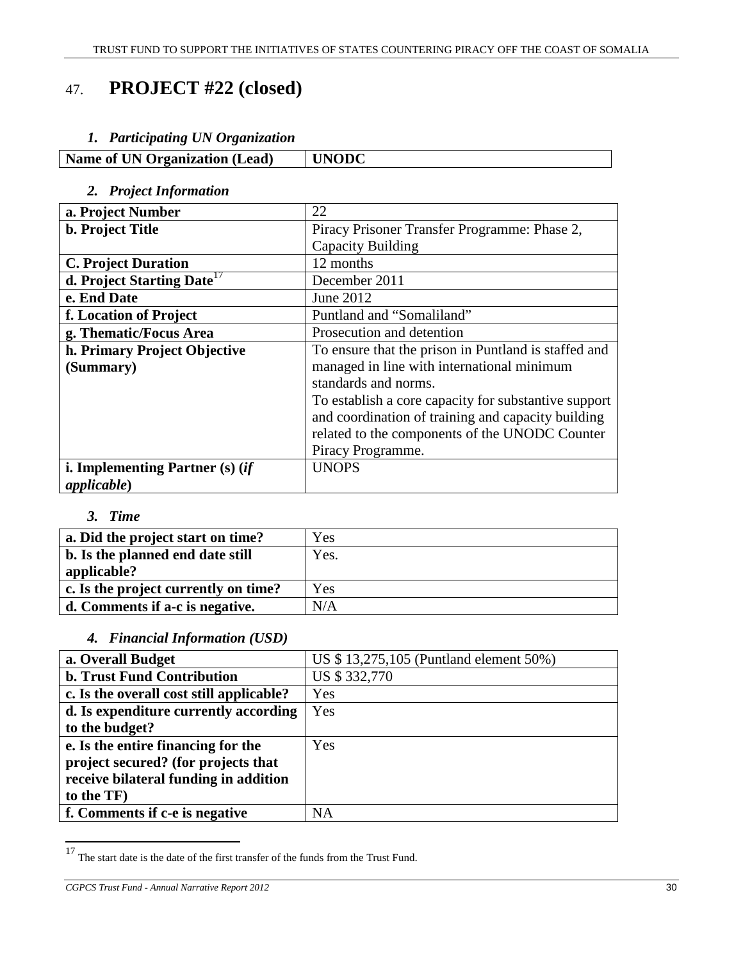# 47. **PROJECT #22 (closed)**

### *1. Participating UN Organization*

| <b>Name of UN Organization (Lead)</b> | <b>UNODC</b> |
|---------------------------------------|--------------|

## *2. Project Information*

| a. Project Number                      | 22                                                   |
|----------------------------------------|------------------------------------------------------|
| <b>b.</b> Project Title                | Piracy Prisoner Transfer Programme: Phase 2,         |
|                                        | Capacity Building                                    |
| <b>C. Project Duration</b>             | 12 months                                            |
| d. Project Starting Date <sup>17</sup> | December 2011                                        |
| e. End Date                            | June 2012                                            |
| f. Location of Project                 | Puntland and "Somaliland"                            |
| g. Thematic/Focus Area                 | Prosecution and detention                            |
| h. Primary Project Objective           | To ensure that the prison in Puntland is staffed and |
| (Summary)                              | managed in line with international minimum           |
|                                        | standards and norms.                                 |
|                                        | To establish a core capacity for substantive support |
|                                        | and coordination of training and capacity building   |
|                                        | related to the components of the UNODC Counter       |
|                                        | Piracy Programme.                                    |
| i. Implementing Partner $(s)$ (if      | <b>UNOPS</b>                                         |
| appliedble)                            |                                                      |

## *3. Time*

| a. Did the project start on time?               | Yes  |
|-------------------------------------------------|------|
| b. Is the planned end date still<br>applicable? | Yes. |
| c. Is the project currently on time?            | Yes  |
| d. Comments if a-c is negative.                 | N/A  |

## *4. Financial Information (USD)*

| a. Overall Budget                        | US \$13,275,105 (Puntland element 50%) |
|------------------------------------------|----------------------------------------|
| <b>b. Trust Fund Contribution</b>        | US \$332,770                           |
| c. Is the overall cost still applicable? | Yes                                    |
| d. Is expenditure currently according    | Yes                                    |
| to the budget?                           |                                        |
| e. Is the entire financing for the       | Yes                                    |
| project secured? (for projects that      |                                        |
| receive bilateral funding in addition    |                                        |
| to the TF)                               |                                        |
| f. Comments if c-e is negative           | NA                                     |
|                                          |                                        |

 $17$  The start date is the date of the first transfer of the funds from the Trust Fund.

*CGPCS Trust Fund - Annual Narrative Report 2012* 30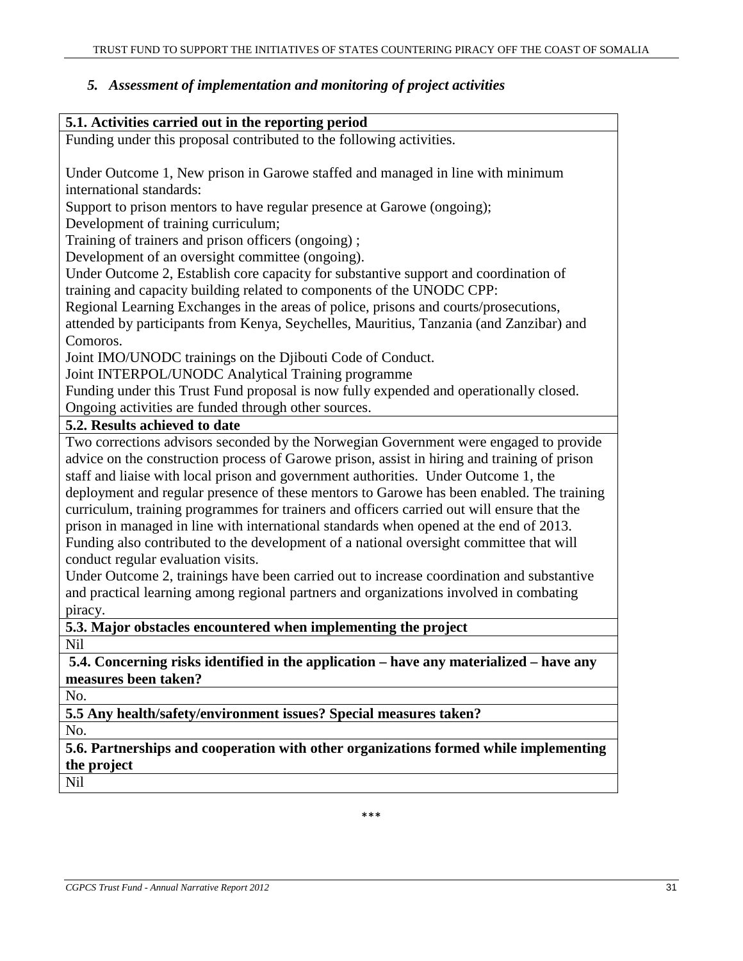## *5. Assessment of implementation and monitoring of project activities*

| 5.1. Activities carried out in the reporting period                                          |
|----------------------------------------------------------------------------------------------|
| Funding under this proposal contributed to the following activities.                         |
|                                                                                              |
| Under Outcome 1, New prison in Garowe staffed and managed in line with minimum               |
| international standards:                                                                     |
| Support to prison mentors to have regular presence at Garowe (ongoing);                      |
| Development of training curriculum;                                                          |
| Training of trainers and prison officers (ongoing);                                          |
| Development of an oversight committee (ongoing).                                             |
| Under Outcome 2, Establish core capacity for substantive support and coordination of         |
| training and capacity building related to components of the UNODC CPP:                       |
| Regional Learning Exchanges in the areas of police, prisons and courts/prosecutions,         |
| attended by participants from Kenya, Seychelles, Mauritius, Tanzania (and Zanzibar) and      |
| Comoros.                                                                                     |
| Joint IMO/UNODC trainings on the Djibouti Code of Conduct.                                   |
| Joint INTERPOL/UNODC Analytical Training programme                                           |
| Funding under this Trust Fund proposal is now fully expended and operationally closed.       |
| Ongoing activities are funded through other sources.                                         |
| 5.2. Results achieved to date                                                                |
| Two corrections advisors seconded by the Norwegian Government were engaged to provide        |
| advice on the construction process of Garowe prison, assist in hiring and training of prison |
| staff and liaise with local prison and government authorities. Under Outcome 1, the          |
| deployment and regular presence of these mentors to Garowe has been enabled. The training    |
| curriculum, training programmes for trainers and officers carried out will ensure that the   |
| prison in managed in line with international standards when opened at the end of 2013.       |
| Funding also contributed to the development of a national oversight committee that will      |
| conduct regular evaluation visits.                                                           |
| Under Outcome 2, trainings have been carried out to increase coordination and substantive    |
| and practical learning among regional partners and organizations involved in combating       |
| piracy.                                                                                      |
| $\epsilon$ 2. Moior obstocles encountered when implementing the project                      |

**5.3. Major obstacles encountered when implementing the project** 

Nil

**5.4. Concerning risks identified in the application – have any materialized – have any measures been taken?**

No.

**5.5 Any health/safety/environment issues? Special measures taken?** 

No.

**5.6. Partnerships and cooperation with other organizations formed while implementing the project** 

Nil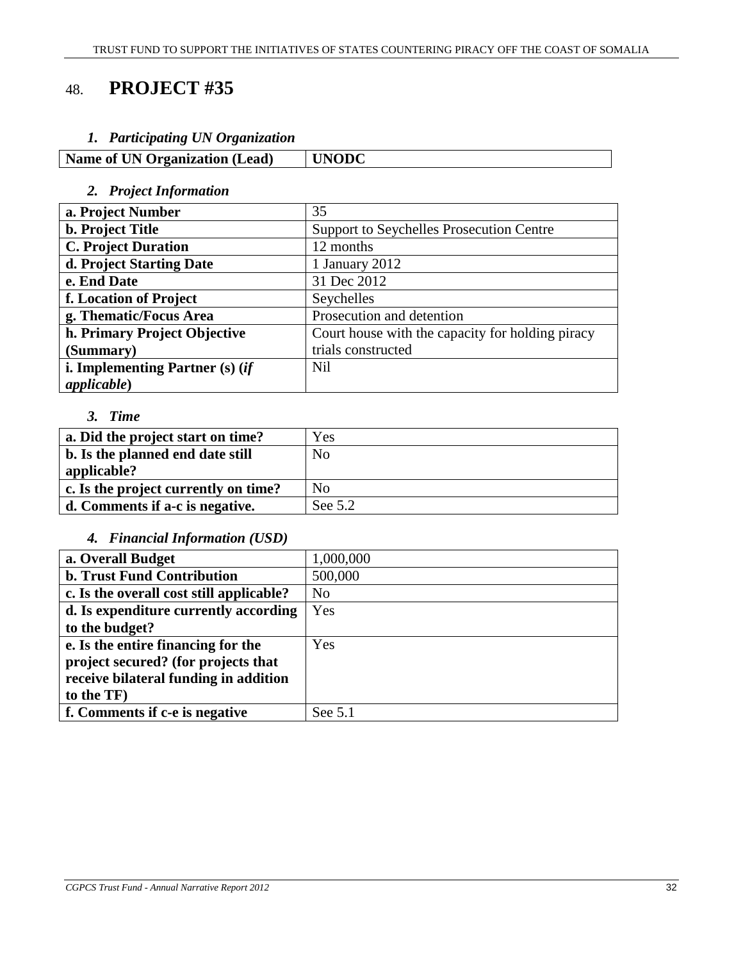# 48. **PROJECT #35**

#### *1. Participating UN Organization*

| Name of UN Organization (Lead) | <b>UNODC</b> |
|--------------------------------|--------------|

## *2. Project Information*

| a. Project Number                 | 35                                               |
|-----------------------------------|--------------------------------------------------|
| <b>b.</b> Project Title           | Support to Seychelles Prosecution Centre         |
| <b>C. Project Duration</b>        | 12 months                                        |
| d. Project Starting Date          | 1 January 2012                                   |
| e. End Date                       | 31 Dec 2012                                      |
| f. Location of Project            | Seychelles                                       |
| g. Thematic/Focus Area            | Prosecution and detention                        |
| h. Primary Project Objective      | Court house with the capacity for holding piracy |
| (Summary)                         | trials constructed                               |
| i. Implementing Partner $(s)$ (if | <b>Nil</b>                                       |
| <i>applicable</i> )               |                                                  |

#### *3. Time*

| a. Did the project start on time?    | Yes            |
|--------------------------------------|----------------|
| b. Is the planned end date still     | N <sub>0</sub> |
| applicable?                          |                |
| c. Is the project currently on time? | N <sub>0</sub> |
| d. Comments if a-c is negative.      | See 5.2        |

## *4. Financial Information (USD)*

| a. Overall Budget                        | 1,000,000      |
|------------------------------------------|----------------|
| <b>b. Trust Fund Contribution</b>        | 500,000        |
| c. Is the overall cost still applicable? | N <sub>o</sub> |
| d. Is expenditure currently according    | Yes            |
| to the budget?                           |                |
| e. Is the entire financing for the       | Yes            |
| project secured? (for projects that      |                |
| receive bilateral funding in addition    |                |
| to the TF)                               |                |
| f. Comments if c-e is negative           | See 5.1        |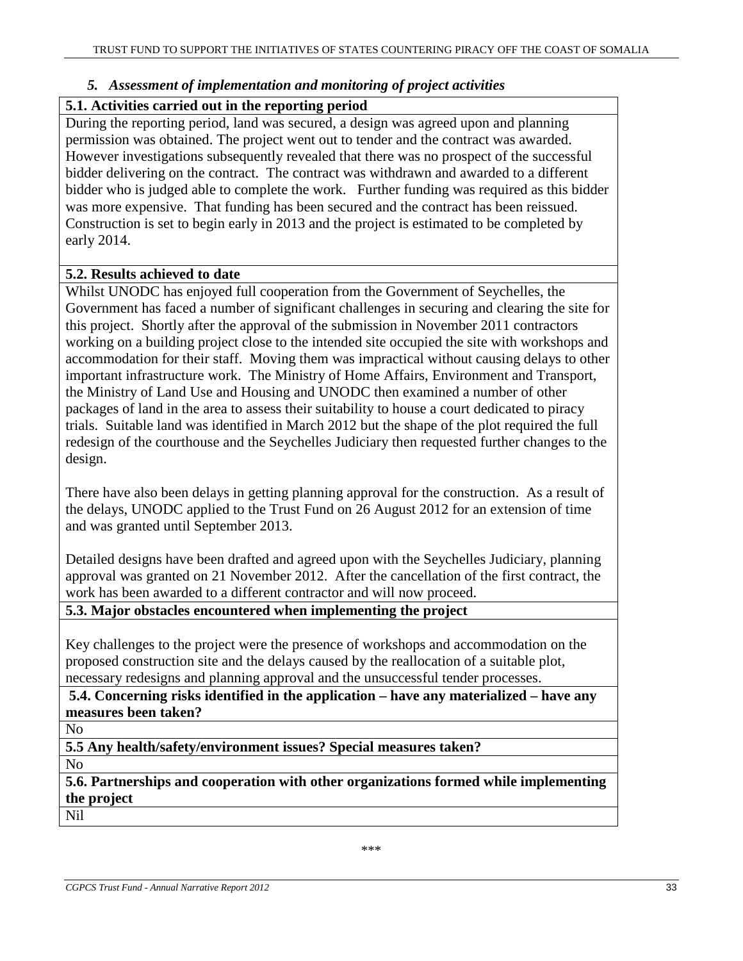#### *5. Assessment of implementation and monitoring of project activities*

#### **5.1. Activities carried out in the reporting period**

During the reporting period, land was secured, a design was agreed upon and planning permission was obtained. The project went out to tender and the contract was awarded. However investigations subsequently revealed that there was no prospect of the successful bidder delivering on the contract. The contract was withdrawn and awarded to a different bidder who is judged able to complete the work. Further funding was required as this bidder was more expensive. That funding has been secured and the contract has been reissued. Construction is set to begin early in 2013 and the project is estimated to be completed by early 2014.

#### **5.2. Results achieved to date**

Whilst UNODC has enjoyed full cooperation from the Government of Seychelles, the Government has faced a number of significant challenges in securing and clearing the site for this project. Shortly after the approval of the submission in November 2011 contractors working on a building project close to the intended site occupied the site with workshops and accommodation for their staff. Moving them was impractical without causing delays to other important infrastructure work. The Ministry of Home Affairs, Environment and Transport, the Ministry of Land Use and Housing and UNODC then examined a number of other packages of land in the area to assess their suitability to house a court dedicated to piracy trials. Suitable land was identified in March 2012 but the shape of the plot required the full redesign of the courthouse and the Seychelles Judiciary then requested further changes to the design.

There have also been delays in getting planning approval for the construction. As a result of the delays, UNODC applied to the Trust Fund on 26 August 2012 for an extension of time and was granted until September 2013.

Detailed designs have been drafted and agreed upon with the Seychelles Judiciary, planning approval was granted on 21 November 2012. After the cancellation of the first contract, the work has been awarded to a different contractor and will now proceed.

**5.3. Major obstacles encountered when implementing the project** 

Key challenges to the project were the presence of workshops and accommodation on the proposed construction site and the delays caused by the reallocation of a suitable plot, necessary redesigns and planning approval and the unsuccessful tender processes.

**5.4. Concerning risks identified in the application – have any materialized – have any measures been taken?**

No

**5.5 Any health/safety/environment issues? Special measures taken?** 

No

**5.6. Partnerships and cooperation with other organizations formed while implementing the project**  Nil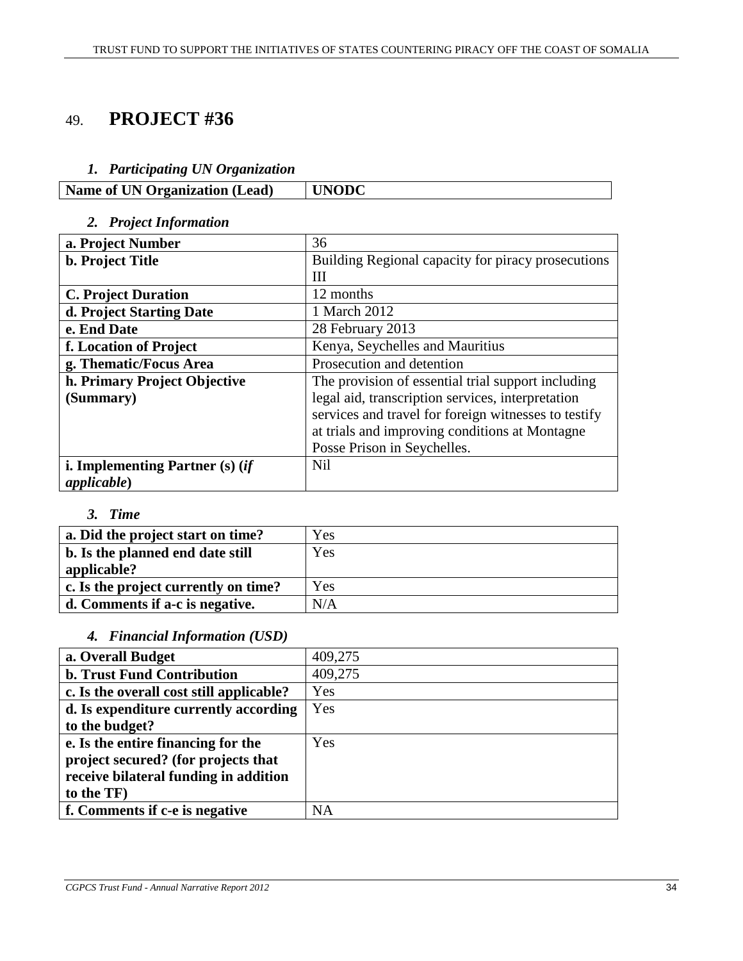# 49. **PROJECT #36**

## *1. Participating UN Organization*

|--|

## *2. Project Information*

| a. Project Number                      | 36                                                   |
|----------------------------------------|------------------------------------------------------|
| b. Project Title                       | Building Regional capacity for piracy prosecutions   |
|                                        | Ш                                                    |
| <b>C. Project Duration</b>             | 12 months                                            |
| d. Project Starting Date               | 1 March 2012                                         |
| e. End Date                            | 28 February 2013                                     |
| f. Location of Project                 | Kenya, Seychelles and Mauritius                      |
| g. Thematic/Focus Area                 | Prosecution and detention                            |
| h. Primary Project Objective           | The provision of essential trial support including   |
| (Summary)                              | legal aid, transcription services, interpretation    |
|                                        | services and travel for foreign witnesses to testify |
|                                        | at trials and improving conditions at Montagne       |
|                                        | Posse Prison in Seychelles.                          |
| <b>i. Implementing Partner (s) (if</b> | <b>Nil</b>                                           |
| <i>applicable</i> )                    |                                                      |

## *3. Time*

| a. Did the project start on time?    | Yes |
|--------------------------------------|-----|
| b. Is the planned end date still     | Yes |
| applicable?                          |     |
| c. Is the project currently on time? | Yes |
| d. Comments if a-c is negative.      | N/A |

### *4. Financial Information (USD)*

| a. Overall Budget                        | 409,275   |
|------------------------------------------|-----------|
| <b>b. Trust Fund Contribution</b>        | 409,275   |
| c. Is the overall cost still applicable? | Yes       |
| d. Is expenditure currently according    | Yes       |
| to the budget?                           |           |
| e. Is the entire financing for the       | Yes       |
| project secured? (for projects that      |           |
| receive bilateral funding in addition    |           |
| to the TF)                               |           |
| f. Comments if c-e is negative           | <b>NA</b> |
|                                          |           |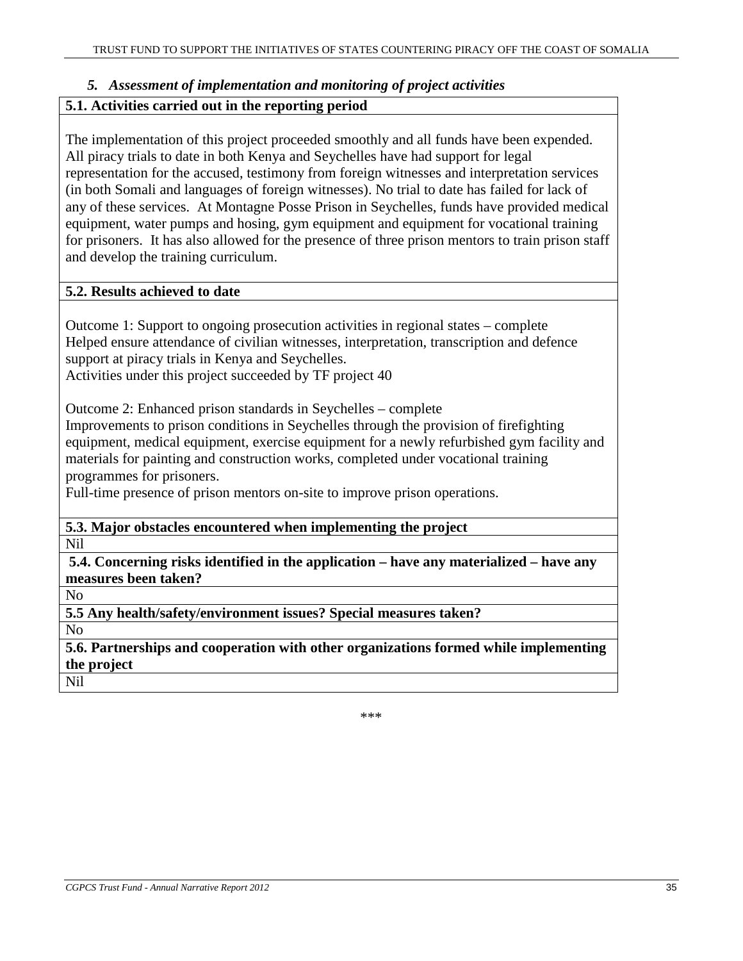#### *5. Assessment of implementation and monitoring of project activities*

#### **5.1. Activities carried out in the reporting period**

The implementation of this project proceeded smoothly and all funds have been expended. All piracy trials to date in both Kenya and Seychelles have had support for legal representation for the accused, testimony from foreign witnesses and interpretation services (in both Somali and languages of foreign witnesses). No trial to date has failed for lack of any of these services. At Montagne Posse Prison in Seychelles, funds have provided medical equipment, water pumps and hosing, gym equipment and equipment for vocational training for prisoners. It has also allowed for the presence of three prison mentors to train prison staff and develop the training curriculum.

#### **5.2. Results achieved to date**

Outcome 1: Support to ongoing prosecution activities in regional states – complete Helped ensure attendance of civilian witnesses, interpretation, transcription and defence support at piracy trials in Kenya and Seychelles.

Activities under this project succeeded by TF project 40

Outcome 2: Enhanced prison standards in Seychelles – complete

Improvements to prison conditions in Seychelles through the provision of firefighting equipment, medical equipment, exercise equipment for a newly refurbished gym facility and materials for painting and construction works, completed under vocational training programmes for prisoners.

Full-time presence of prison mentors on-site to improve prison operations.

**5.3. Major obstacles encountered when implementing the project** 

Nil

**5.4. Concerning risks identified in the application – have any materialized – have any measures been taken?**

No

**5.5 Any health/safety/environment issues? Special measures taken?** 

No

**5.6. Partnerships and cooperation with other organizations formed while implementing the project** 

Nil

\*\*\*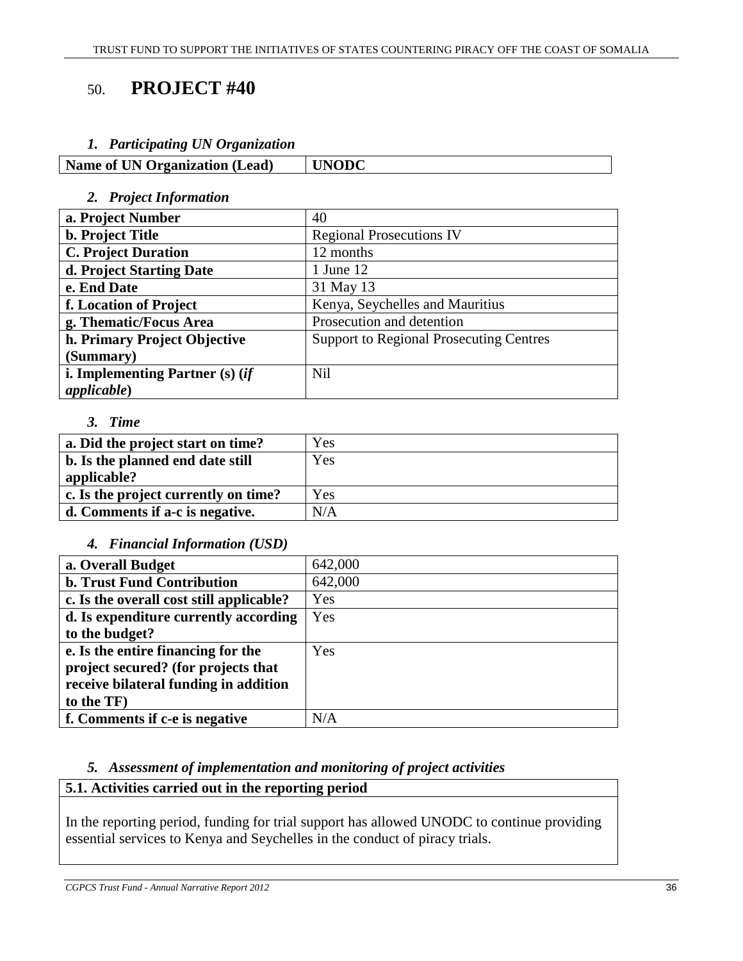# 50. **PROJECT #40**

#### *1. Participating UN Organization*

| <b>Name of UN Organization (Lead)</b> | UNODC |
|---------------------------------------|-------|
|---------------------------------------|-------|

#### *2. Project Information*

| a. Project Number               | 40                                             |
|---------------------------------|------------------------------------------------|
| <b>b. Project Title</b>         | <b>Regional Prosecutions IV</b>                |
| <b>C. Project Duration</b>      | 12 months                                      |
| d. Project Starting Date        | 1 June 12                                      |
| e. End Date                     | 31 May 13                                      |
| f. Location of Project          | Kenya, Seychelles and Mauritius                |
| g. Thematic/Focus Area          | Prosecution and detention                      |
| h. Primary Project Objective    | <b>Support to Regional Prosecuting Centres</b> |
| (Summary)                       |                                                |
| i. Implementing Partner (s) (if | <b>Nil</b>                                     |
| <i>applicable</i> )             |                                                |

# *3. Time*

| a. Did the project start on time?    | Yes |
|--------------------------------------|-----|
| b. Is the planned end date still     | Yes |
| applicable?                          |     |
| c. Is the project currently on time? | Yes |
| d. Comments if a-c is negative.      | N/A |

# *4. Financial Information (USD)*

| 642,000<br><b>b. Trust Fund Contribution</b><br>642,000<br>Yes<br>Yes<br>to the budget?<br>Yes<br>project secured? (for projects that<br>receive bilateral funding in addition<br>to the TF)<br>N/A |                                          |  |
|-----------------------------------------------------------------------------------------------------------------------------------------------------------------------------------------------------|------------------------------------------|--|
|                                                                                                                                                                                                     | a. Overall Budget                        |  |
|                                                                                                                                                                                                     |                                          |  |
|                                                                                                                                                                                                     | c. Is the overall cost still applicable? |  |
|                                                                                                                                                                                                     | d. Is expenditure currently according    |  |
|                                                                                                                                                                                                     |                                          |  |
|                                                                                                                                                                                                     | e. Is the entire financing for the       |  |
|                                                                                                                                                                                                     |                                          |  |
|                                                                                                                                                                                                     |                                          |  |
|                                                                                                                                                                                                     |                                          |  |
|                                                                                                                                                                                                     | f. Comments if c-e is negative           |  |

# *5. Assessment of implementation and monitoring of project activities*

# **5.1. Activities carried out in the reporting period**

In the reporting period, funding for trial support has allowed UNODC to continue providing essential services to Kenya and Seychelles in the conduct of piracy trials.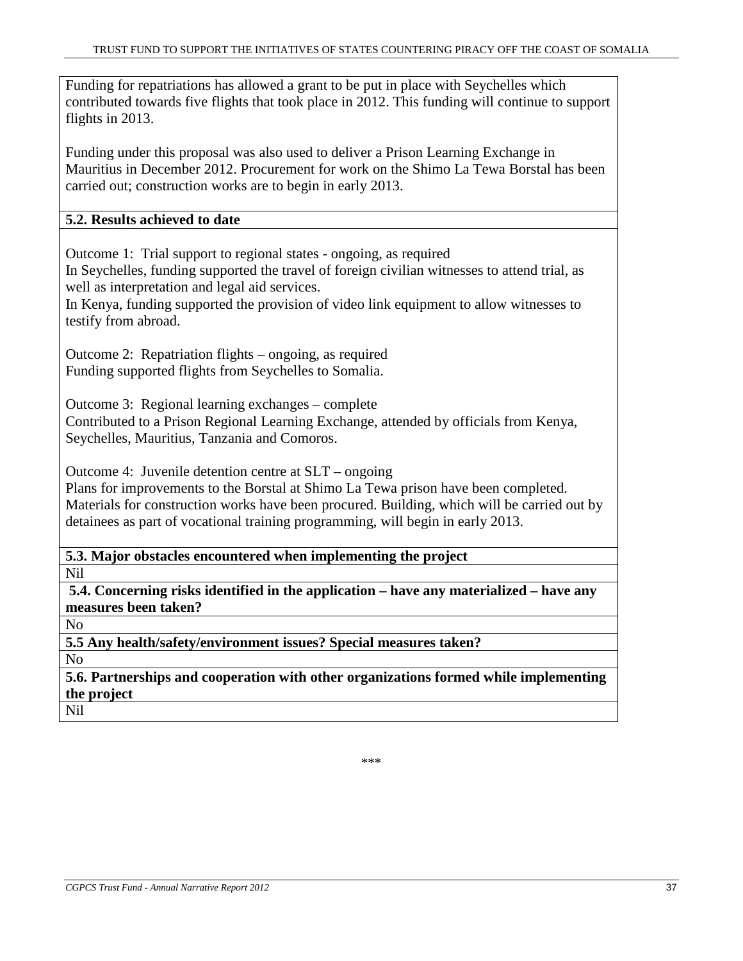Funding for repatriations has allowed a grant to be put in place with Seychelles which contributed towards five flights that took place in 2012. This funding will continue to support flights in 2013.

Funding under this proposal was also used to deliver a Prison Learning Exchange in Mauritius in December 2012. Procurement for work on the Shimo La Tewa Borstal has been carried out; construction works are to begin in early 2013.

# **5.2. Results achieved to date**

Outcome 1: Trial support to regional states - ongoing, as required

In Seychelles, funding supported the travel of foreign civilian witnesses to attend trial, as well as interpretation and legal aid services.

In Kenya, funding supported the provision of video link equipment to allow witnesses to testify from abroad.

Outcome 2: Repatriation flights – ongoing, as required Funding supported flights from Seychelles to Somalia.

Outcome 3: Regional learning exchanges – complete

Contributed to a Prison Regional Learning Exchange, attended by officials from Kenya, Seychelles, Mauritius, Tanzania and Comoros.

Outcome 4: Juvenile detention centre at SLT – ongoing

Plans for improvements to the Borstal at Shimo La Tewa prison have been completed. Materials for construction works have been procured. Building, which will be carried out by detainees as part of vocational training programming, will begin in early 2013.

**5.3. Major obstacles encountered when implementing the project** 

Nil

**5.4. Concerning risks identified in the application – have any materialized – have any measures been taken?**

No

**5.5 Any health/safety/environment issues? Special measures taken?**  No

**5.6. Partnerships and cooperation with other organizations formed while implementing the project** 

Nil

\*\*\*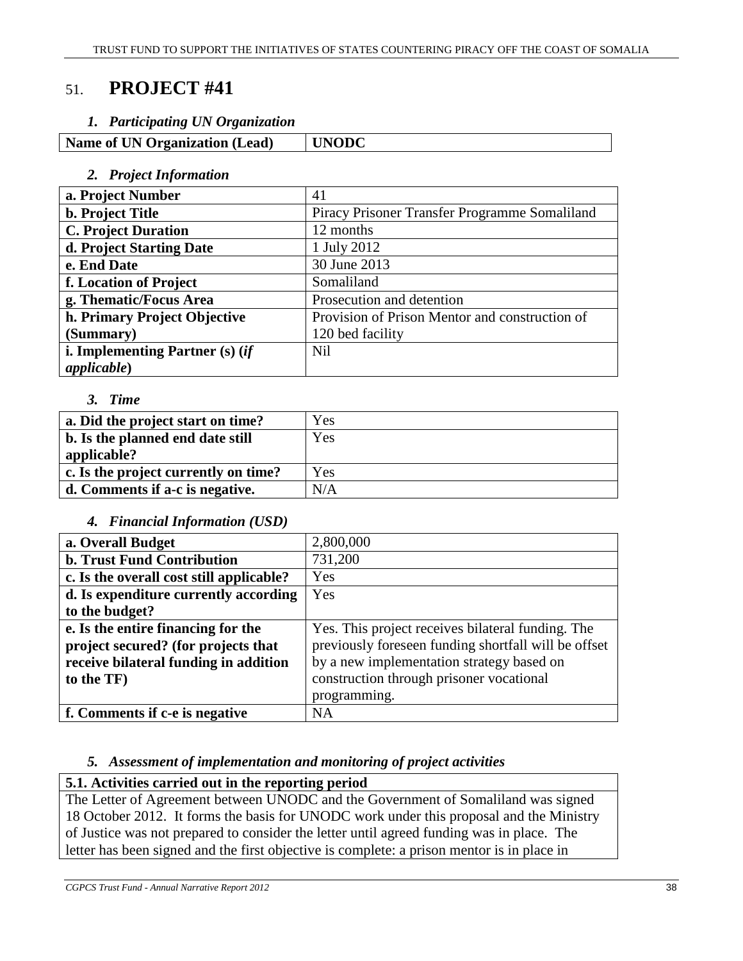# 51. **PROJECT #41**

# *1. Participating UN Organization*

| <b>Name of UN Organization (Lead)</b> | <b>UNODC</b> |
|---------------------------------------|--------------|
|                                       |              |

#### *2. Project Information*

| a. Project Number                 | 41                                             |
|-----------------------------------|------------------------------------------------|
| <b>b.</b> Project Title           | Piracy Prisoner Transfer Programme Somaliland  |
| <b>C. Project Duration</b>        | 12 months                                      |
| d. Project Starting Date          | 1 July 2012                                    |
| e. End Date                       | 30 June 2013                                   |
| f. Location of Project            | Somaliland                                     |
| g. Thematic/Focus Area            | Prosecution and detention                      |
| h. Primary Project Objective      | Provision of Prison Mentor and construction of |
| (Summary)                         | 120 bed facility                               |
| i. Implementing Partner $(s)$ (if | <b>Nil</b>                                     |
| <i>applicable</i> )               |                                                |

#### *3. Time*

| a. Did the project start on time?    | Yes |
|--------------------------------------|-----|
| b. Is the planned end date still     | Yes |
| applicable?                          |     |
| c. Is the project currently on time? | Yes |
| d. Comments if a-c is negative.      | N/A |
|                                      |     |

# *4. Financial Information (USD)*

| a. Overall Budget                        | 2,800,000                                            |
|------------------------------------------|------------------------------------------------------|
| <b>b. Trust Fund Contribution</b>        | 731,200                                              |
| c. Is the overall cost still applicable? | Yes                                                  |
| d. Is expenditure currently according    | Yes                                                  |
| to the budget?                           |                                                      |
| e. Is the entire financing for the       | Yes. This project receives bilateral funding. The    |
| project secured? (for projects that      | previously foreseen funding shortfall will be offset |
| receive bilateral funding in addition    | by a new implementation strategy based on            |
| to the TF)                               | construction through prisoner vocational             |
|                                          | programming.                                         |
| f. Comments if c-e is negative           | <b>NA</b>                                            |

# *5. Assessment of implementation and monitoring of project activities*

# **5.1. Activities carried out in the reporting period**

The Letter of Agreement between UNODC and the Government of Somaliland was signed 18 October 2012. It forms the basis for UNODC work under this proposal and the Ministry of Justice was not prepared to consider the letter until agreed funding was in place. The letter has been signed and the first objective is complete: a prison mentor is in place in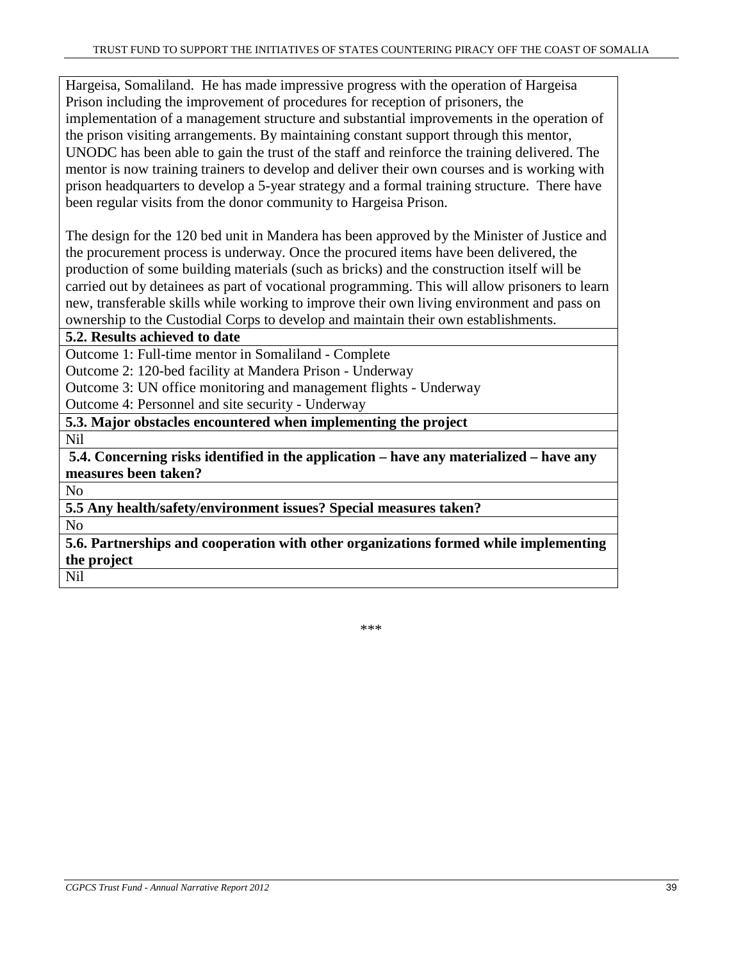Hargeisa, Somaliland. He has made impressive progress with the operation of Hargeisa Prison including the improvement of procedures for reception of prisoners, the implementation of a management structure and substantial improvements in the operation of the prison visiting arrangements. By maintaining constant support through this mentor, UNODC has been able to gain the trust of the staff and reinforce the training delivered. The mentor is now training trainers to develop and deliver their own courses and is working with prison headquarters to develop a 5-year strategy and a formal training structure. There have been regular visits from the donor community to Hargeisa Prison.

The design for the 120 bed unit in Mandera has been approved by the Minister of Justice and the procurement process is underway. Once the procured items have been delivered, the production of some building materials (such as bricks) and the construction itself will be carried out by detainees as part of vocational programming. This will allow prisoners to learn new, transferable skills while working to improve their own living environment and pass on ownership to the Custodial Corps to develop and maintain their own establishments.

**5.2. Results achieved to date** 

Outcome 1: Full-time mentor in Somaliland - Complete

Outcome 2: 120-bed facility at Mandera Prison - Underway

Outcome 3: UN office monitoring and management flights - Underway

Outcome 4: Personnel and site security - Underway

**5.3. Major obstacles encountered when implementing the project** 

Nil

**5.4. Concerning risks identified in the application – have any materialized – have any measures been taken?**

No

**5.5 Any health/safety/environment issues? Special measures taken?** 

No

**5.6. Partnerships and cooperation with other organizations formed while implementing the project**  Nil

\*\*\*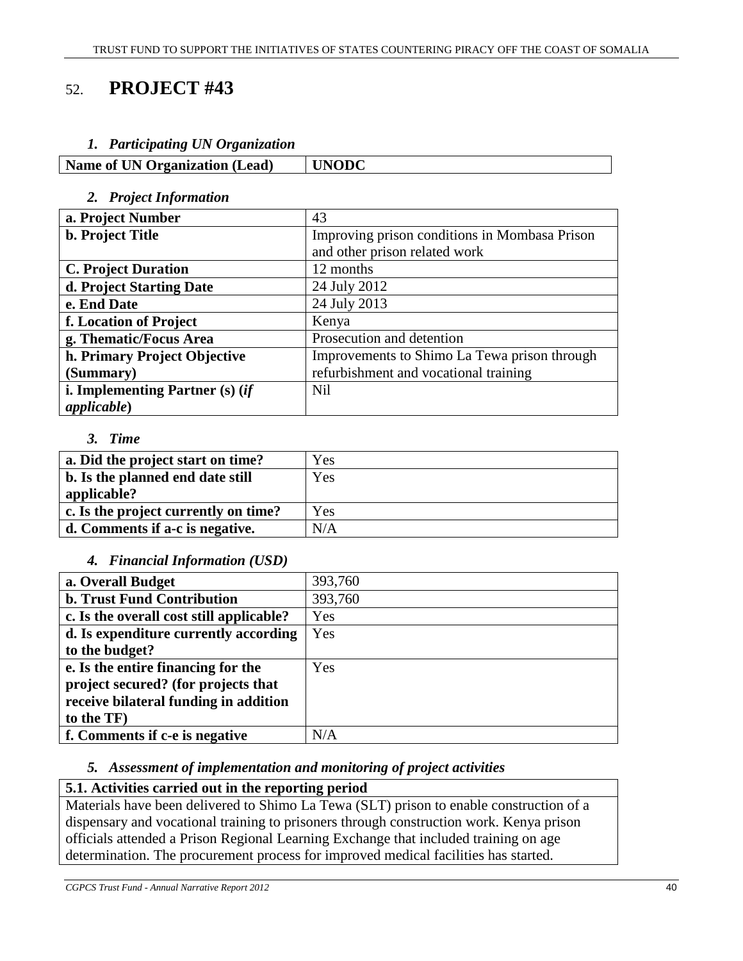# 52. **PROJECT #43**

#### *1. Participating UN Organization*

| Name of UN Organization (Lead) | <b>UNODC</b> |
|--------------------------------|--------------|
|--------------------------------|--------------|

#### *2. Project Information*

| a. Project Number                 | 43                                            |
|-----------------------------------|-----------------------------------------------|
| <b>b. Project Title</b>           | Improving prison conditions in Mombasa Prison |
|                                   | and other prison related work                 |
| <b>C. Project Duration</b>        | 12 months                                     |
| d. Project Starting Date          | 24 July 2012                                  |
| e. End Date                       | 24 July 2013                                  |
| f. Location of Project            | Kenya                                         |
| g. Thematic/Focus Area            | Prosecution and detention                     |
| h. Primary Project Objective      | Improvements to Shimo La Tewa prison through  |
| (Summary)                         | refurbishment and vocational training         |
| i. Implementing Partner $(s)$ (if | <b>Nil</b>                                    |
| <i>applicable</i> )               |                                               |

#### *3. Time*

| a. Did the project start on time?               | Yes |
|-------------------------------------------------|-----|
| b. Is the planned end date still<br>applicable? | Yes |
| c. Is the project currently on time?            | Yes |
| d. Comments if a-c is negative.                 | N/A |

#### *4. Financial Information (USD)*

| a. Overall Budget                        | 393,760 |
|------------------------------------------|---------|
| <b>b. Trust Fund Contribution</b>        | 393,760 |
| c. Is the overall cost still applicable? | Yes     |
| d. Is expenditure currently according    | Yes     |
| to the budget?                           |         |
| e. Is the entire financing for the       | Yes     |
| project secured? (for projects that      |         |
| receive bilateral funding in addition    |         |
| to the TF)                               |         |
| f. Comments if c-e is negative           | N/A     |

# *5. Assessment of implementation and monitoring of project activities*

# **5.1. Activities carried out in the reporting period**

Materials have been delivered to Shimo La Tewa (SLT) prison to enable construction of a dispensary and vocational training to prisoners through construction work. Kenya prison officials attended a Prison Regional Learning Exchange that included training on age determination. The procurement process for improved medical facilities has started.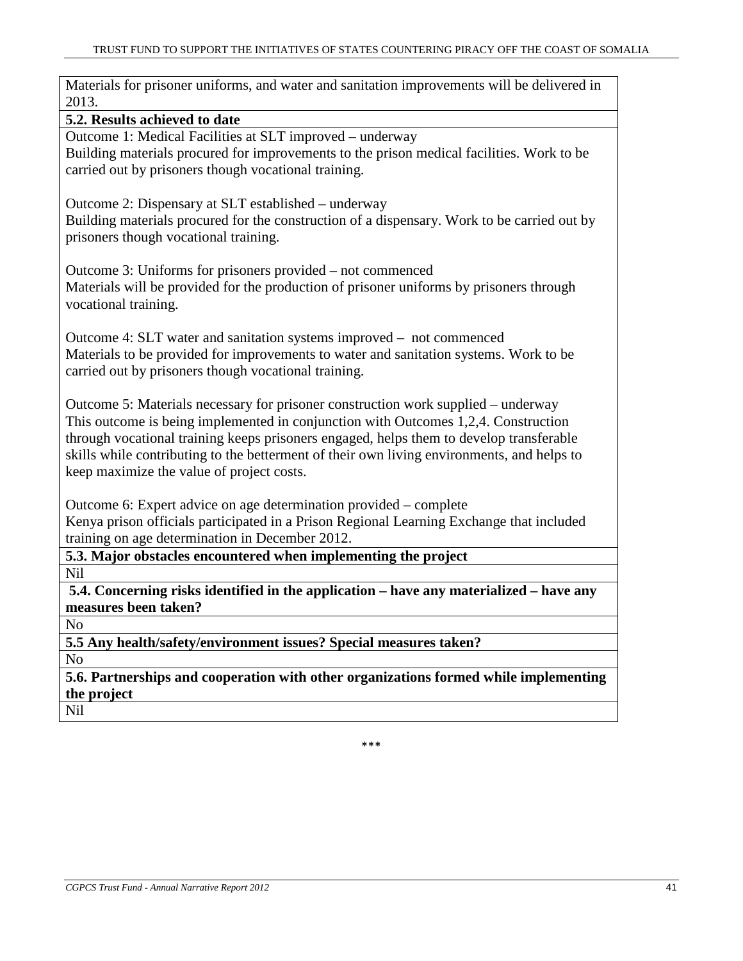| Materials for prisoner uniforms, and water and sanitation improvements will be delivered in<br>2013. |
|------------------------------------------------------------------------------------------------------|
| 5.2. Results achieved to date                                                                        |
| Outcome 1: Medical Facilities at SLT improved – underway                                             |
| Building materials procured for improvements to the prison medical facilities. Work to be            |
| carried out by prisoners though vocational training.                                                 |
|                                                                                                      |
| Outcome 2: Dispensary at SLT established – underway                                                  |
| Building materials procured for the construction of a dispensary. Work to be carried out by          |
| prisoners though vocational training.                                                                |
|                                                                                                      |
| Outcome 3: Uniforms for prisoners provided - not commenced                                           |
| Materials will be provided for the production of prisoner uniforms by prisoners through              |
| vocational training.                                                                                 |
|                                                                                                      |
| Outcome 4: SLT water and sanitation systems improved – not commenced                                 |
| Materials to be provided for improvements to water and sanitation systems. Work to be                |
| carried out by prisoners though vocational training.                                                 |
|                                                                                                      |
| Outcome 5: Materials necessary for prisoner construction work supplied – underway                    |
| This outcome is being implemented in conjunction with Outcomes 1,2,4. Construction                   |
| through vocational training keeps prisoners engaged, helps them to develop transferable              |
| skills while contributing to the betterment of their own living environments, and helps to           |
| keep maximize the value of project costs.                                                            |
| Outcome 6: Expert advice on age determination provided – complete                                    |
| Kenya prison officials participated in a Prison Regional Learning Exchange that included             |
| training on age determination in December 2012.                                                      |
| 5.3. Major obstacles encountered when implementing the project                                       |
| Nil                                                                                                  |
| 5.4. Concerning risks identified in the application – have any materialized – have any               |
| measures been taken?                                                                                 |
| N <sub>o</sub>                                                                                       |
| 5.5 Any health/safety/environment issues? Special measures taken?                                    |
| N <sub>o</sub>                                                                                       |
| 5.6. Partnerships and cooperation with other organizations formed while implementing                 |
| the project                                                                                          |
| Nil                                                                                                  |
|                                                                                                      |

\*\*\*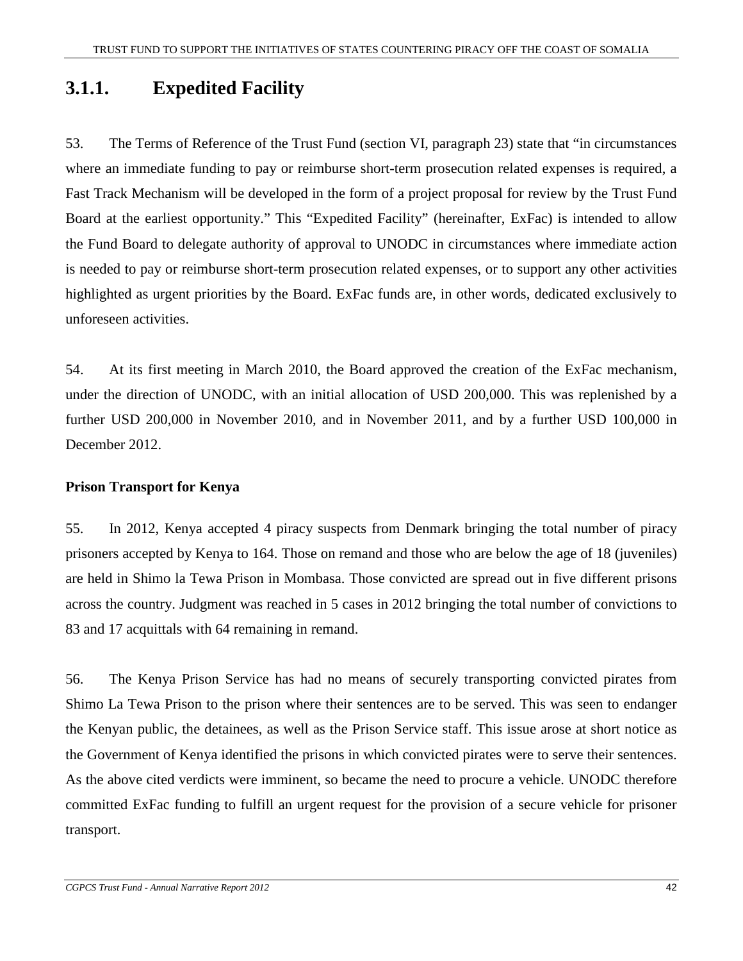# **3.1.1. Expedited Facility**

53. The Terms of Reference of the Trust Fund (section VI, paragraph 23) state that "in circumstances where an immediate funding to pay or reimburse short-term prosecution related expenses is required, a Fast Track Mechanism will be developed in the form of a project proposal for review by the Trust Fund Board at the earliest opportunity." This "Expedited Facility" (hereinafter, ExFac) is intended to allow the Fund Board to delegate authority of approval to UNODC in circumstances where immediate action is needed to pay or reimburse short-term prosecution related expenses, or to support any other activities highlighted as urgent priorities by the Board. ExFac funds are, in other words, dedicated exclusively to unforeseen activities.

54. At its first meeting in March 2010, the Board approved the creation of the ExFac mechanism, under the direction of UNODC, with an initial allocation of USD 200,000. This was replenished by a further USD 200,000 in November 2010, and in November 2011, and by a further USD 100,000 in December 2012.

# **Prison Transport for Kenya**

55. In 2012, Kenya accepted 4 piracy suspects from Denmark bringing the total number of piracy prisoners accepted by Kenya to 164. Those on remand and those who are below the age of 18 (juveniles) are held in Shimo la Tewa Prison in Mombasa. Those convicted are spread out in five different prisons across the country. Judgment was reached in 5 cases in 2012 bringing the total number of convictions to 83 and 17 acquittals with 64 remaining in remand.

56. The Kenya Prison Service has had no means of securely transporting convicted pirates from Shimo La Tewa Prison to the prison where their sentences are to be served. This was seen to endanger the Kenyan public, the detainees, as well as the Prison Service staff. This issue arose at short notice as the Government of Kenya identified the prisons in which convicted pirates were to serve their sentences. As the above cited verdicts were imminent, so became the need to procure a vehicle. UNODC therefore committed ExFac funding to fulfill an urgent request for the provision of a secure vehicle for prisoner transport.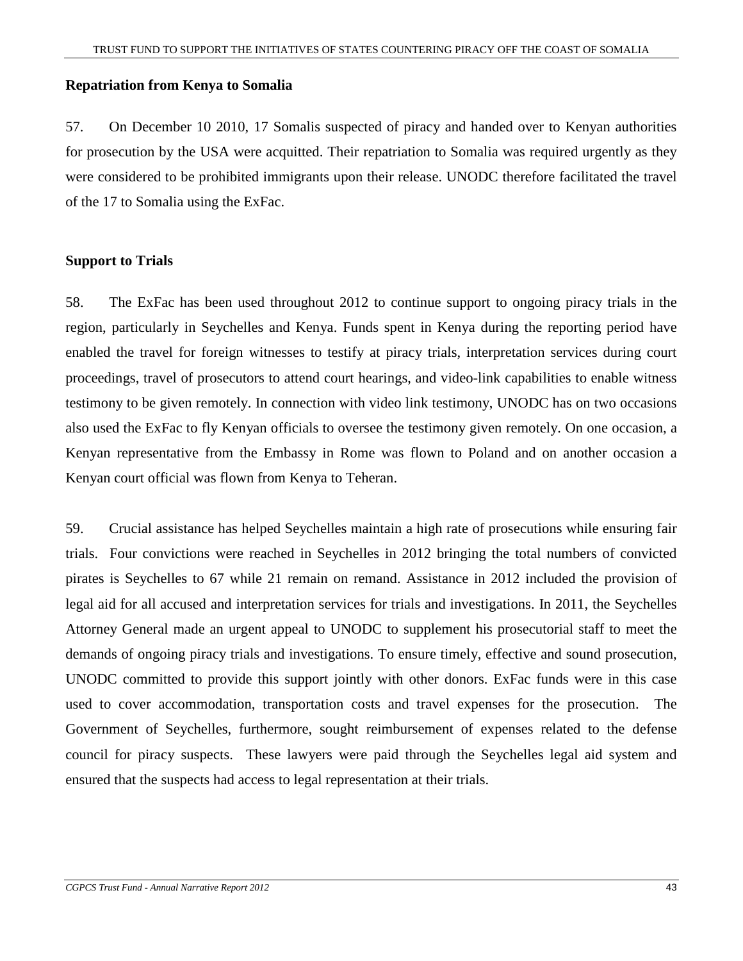#### **Repatriation from Kenya to Somalia**

57. On December 10 2010, 17 Somalis suspected of piracy and handed over to Kenyan authorities for prosecution by the USA were acquitted. Their repatriation to Somalia was required urgently as they were considered to be prohibited immigrants upon their release. UNODC therefore facilitated the travel of the 17 to Somalia using the ExFac.

#### **Support to Trials**

58. The ExFac has been used throughout 2012 to continue support to ongoing piracy trials in the region, particularly in Seychelles and Kenya. Funds spent in Kenya during the reporting period have enabled the travel for foreign witnesses to testify at piracy trials, interpretation services during court proceedings, travel of prosecutors to attend court hearings, and video-link capabilities to enable witness testimony to be given remotely. In connection with video link testimony, UNODC has on two occasions also used the ExFac to fly Kenyan officials to oversee the testimony given remotely. On one occasion, a Kenyan representative from the Embassy in Rome was flown to Poland and on another occasion a Kenyan court official was flown from Kenya to Teheran.

59. Crucial assistance has helped Seychelles maintain a high rate of prosecutions while ensuring fair trials. Four convictions were reached in Seychelles in 2012 bringing the total numbers of convicted pirates is Seychelles to 67 while 21 remain on remand. Assistance in 2012 included the provision of legal aid for all accused and interpretation services for trials and investigations. In 2011, the Seychelles Attorney General made an urgent appeal to UNODC to supplement his prosecutorial staff to meet the demands of ongoing piracy trials and investigations. To ensure timely, effective and sound prosecution, UNODC committed to provide this support jointly with other donors. ExFac funds were in this case used to cover accommodation, transportation costs and travel expenses for the prosecution. The Government of Seychelles, furthermore, sought reimbursement of expenses related to the defense council for piracy suspects. These lawyers were paid through the Seychelles legal aid system and ensured that the suspects had access to legal representation at their trials.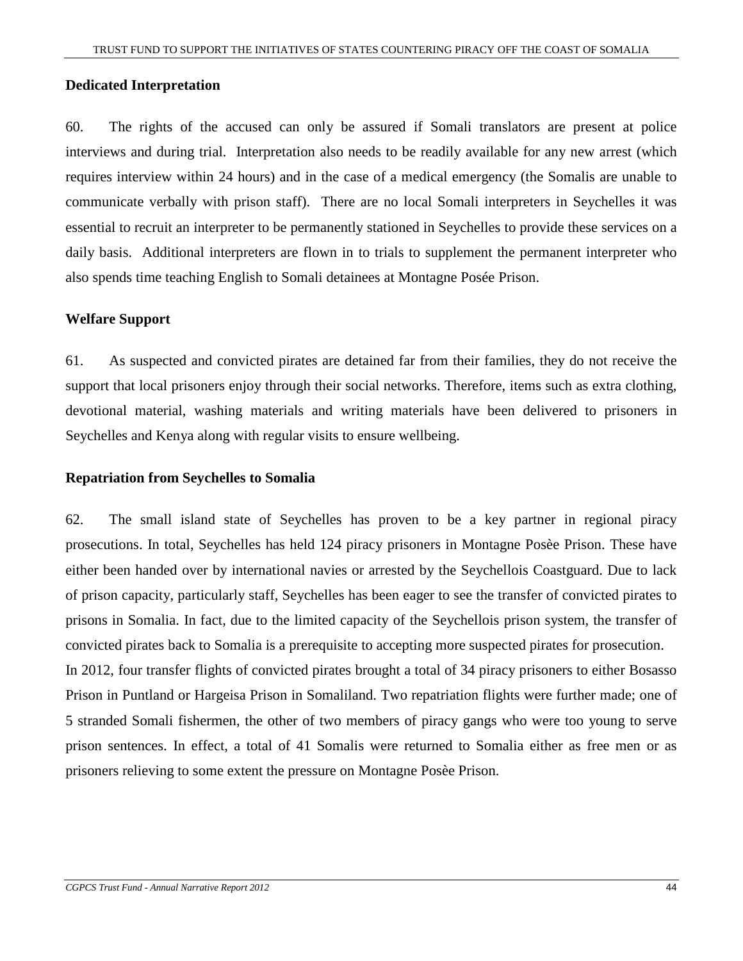#### **Dedicated Interpretation**

60. The rights of the accused can only be assured if Somali translators are present at police interviews and during trial. Interpretation also needs to be readily available for any new arrest (which requires interview within 24 hours) and in the case of a medical emergency (the Somalis are unable to communicate verbally with prison staff). There are no local Somali interpreters in Seychelles it was essential to recruit an interpreter to be permanently stationed in Seychelles to provide these services on a daily basis. Additional interpreters are flown in to trials to supplement the permanent interpreter who also spends time teaching English to Somali detainees at Montagne Posée Prison.

#### **Welfare Support**

61. As suspected and convicted pirates are detained far from their families, they do not receive the support that local prisoners enjoy through their social networks. Therefore, items such as extra clothing, devotional material, washing materials and writing materials have been delivered to prisoners in Seychelles and Kenya along with regular visits to ensure wellbeing.

#### **Repatriation from Seychelles to Somalia**

62. The small island state of Seychelles has proven to be a key partner in regional piracy prosecutions. In total, Seychelles has held 124 piracy prisoners in Montagne Posèe Prison. These have either been handed over by international navies or arrested by the Seychellois Coastguard. Due to lack of prison capacity, particularly staff, Seychelles has been eager to see the transfer of convicted pirates to prisons in Somalia. In fact, due to the limited capacity of the Seychellois prison system, the transfer of convicted pirates back to Somalia is a prerequisite to accepting more suspected pirates for prosecution. In 2012, four transfer flights of convicted pirates brought a total of 34 piracy prisoners to either Bosasso Prison in Puntland or Hargeisa Prison in Somaliland. Two repatriation flights were further made; one of 5 stranded Somali fishermen, the other of two members of piracy gangs who were too young to serve prison sentences. In effect, a total of 41 Somalis were returned to Somalia either as free men or as prisoners relieving to some extent the pressure on Montagne Posèe Prison.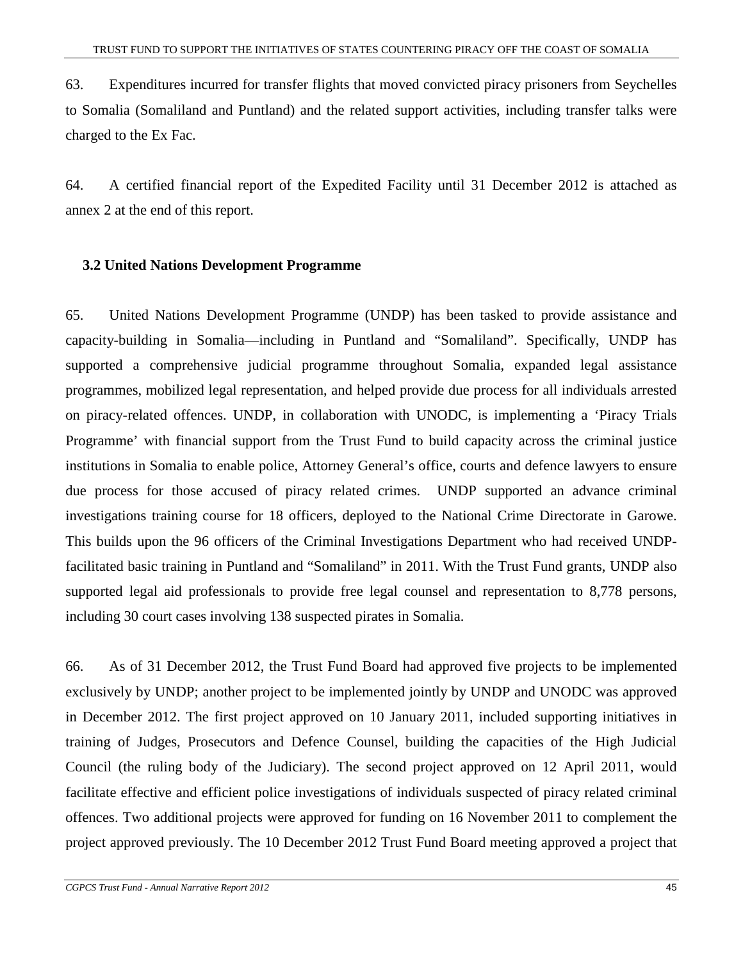63. Expenditures incurred for transfer flights that moved convicted piracy prisoners from Seychelles to Somalia (Somaliland and Puntland) and the related support activities, including transfer talks were charged to the Ex Fac.

64. A certified financial report of the Expedited Facility until 31 December 2012 is attached as annex 2 at the end of this report.

#### **3.2 United Nations Development Programme**

65. United Nations Development Programme (UNDP) has been tasked to provide assistance and capacity-building in Somalia—including in Puntland and "Somaliland". Specifically, UNDP has supported a comprehensive judicial programme throughout Somalia, expanded legal assistance programmes, mobilized legal representation, and helped provide due process for all individuals arrested on piracy-related offences. UNDP, in collaboration with UNODC, is implementing a 'Piracy Trials Programme' with financial support from the Trust Fund to build capacity across the criminal justice institutions in Somalia to enable police, Attorney General's office, courts and defence lawyers to ensure due process for those accused of piracy related crimes. UNDP supported an advance criminal investigations training course for 18 officers, deployed to the National Crime Directorate in Garowe. This builds upon the 96 officers of the Criminal Investigations Department who had received UNDPfacilitated basic training in Puntland and "Somaliland" in 2011. With the Trust Fund grants, UNDP also supported legal aid professionals to provide free legal counsel and representation to 8,778 persons, including 30 court cases involving 138 suspected pirates in Somalia.

66. As of 31 December 2012, the Trust Fund Board had approved five projects to be implemented exclusively by UNDP; another project to be implemented jointly by UNDP and UNODC was approved in December 2012. The first project approved on 10 January 2011, included supporting initiatives in training of Judges, Prosecutors and Defence Counsel, building the capacities of the High Judicial Council (the ruling body of the Judiciary). The second project approved on 12 April 2011, would facilitate effective and efficient police investigations of individuals suspected of piracy related criminal offences. Two additional projects were approved for funding on 16 November 2011 to complement the project approved previously. The 10 December 2012 Trust Fund Board meeting approved a project that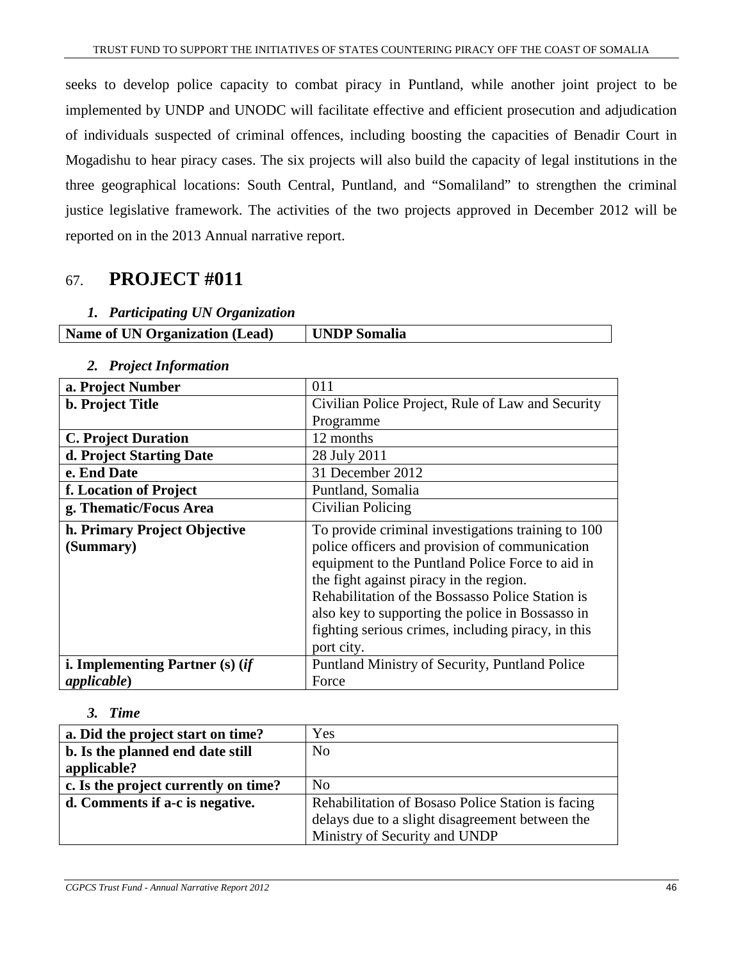seeks to develop police capacity to combat piracy in Puntland, while another joint project to be implemented by UNDP and UNODC will facilitate effective and efficient prosecution and adjudication of individuals suspected of criminal offences, including boosting the capacities of Benadir Court in Mogadishu to hear piracy cases. The six projects will also build the capacity of legal institutions in the three geographical locations: South Central, Puntland, and "Somaliland" to strengthen the criminal justice legislative framework. The activities of the two projects approved in December 2012 will be reported on in the 2013 Annual narrative report.

# 67. **PROJECT #011**

#### *1. Participating UN Organization*

| <b>Name of UN Organization (Lead)</b> | UNDP Somalia |
|---------------------------------------|--------------|
|                                       |              |

#### **a. Project Number**  011 **b. Project Title Civilian Police Project, Rule of Law and Security** Programme **C. Project Duration** 12 months **d. Project Starting Date** | 28 July 2011 **e. End Date** 31 December 2012 **f. Location of Project** | Puntland, Somalia **g. Thematic/Focus Area Civilian Policing h. Primary Project Objective (Summary)**  To provide criminal investigations training to 100 police officers and provision of communication equipment to the Puntland Police Force to aid in the fight against piracy in the region. Rehabilitation of the Bossasso Police Station is also key to supporting the police in Bossasso in fighting serious crimes, including piracy, in this port city. **i. Implementing Partner (s) (***if applicable***)**  Puntland Ministry of Security, Puntland Police Force

# *2. Project Information*

#### *3. Time*

| a. Did the project start on time?    | Yes                                               |
|--------------------------------------|---------------------------------------------------|
| b. Is the planned end date still     | N <sub>0</sub>                                    |
| applicable?                          |                                                   |
| c. Is the project currently on time? | N <sub>0</sub>                                    |
| d. Comments if a-c is negative.      | Rehabilitation of Bosaso Police Station is facing |
|                                      | delays due to a slight disagreement between the   |
|                                      | Ministry of Security and UNDP                     |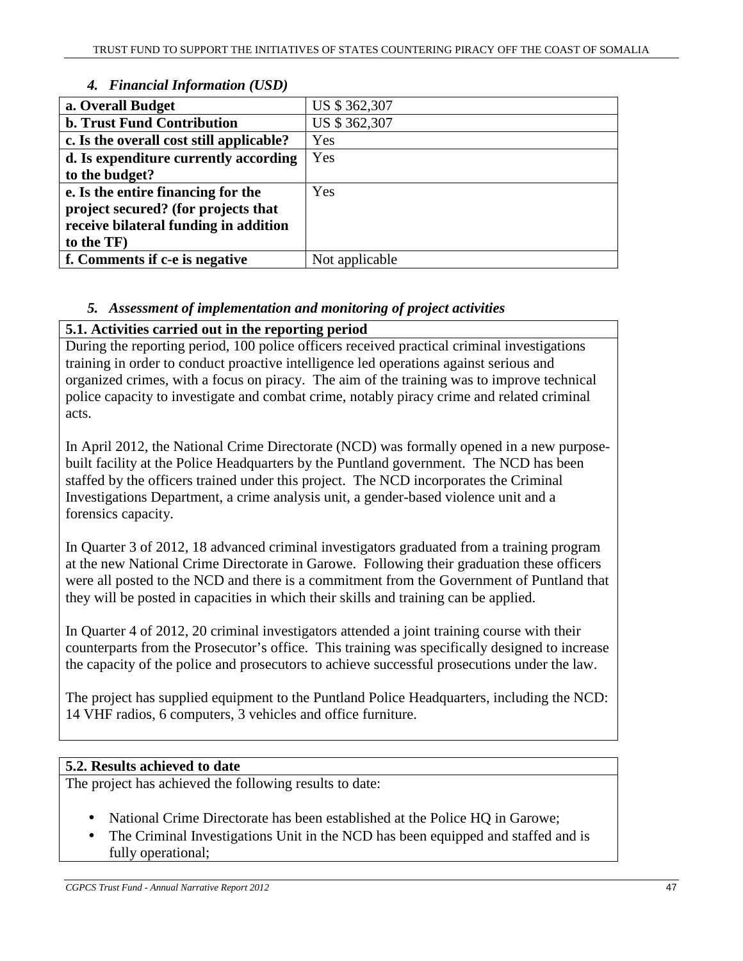| a. Overall Budget                        | US \$ 362,307  |
|------------------------------------------|----------------|
| <b>b. Trust Fund Contribution</b>        | US \$ 362,307  |
| c. Is the overall cost still applicable? | Yes            |
| d. Is expenditure currently according    | Yes            |
| to the budget?                           |                |
| e. Is the entire financing for the       | Yes            |
| project secured? (for projects that      |                |
| receive bilateral funding in addition    |                |
| to the TF)                               |                |
| f. Comments if c-e is negative           | Not applicable |
|                                          |                |

# *4. Financial Information (USD)*

# *5. Assessment of implementation and monitoring of project activities*

# **5.1. Activities carried out in the reporting period**

During the reporting period, 100 police officers received practical criminal investigations training in order to conduct proactive intelligence led operations against serious and organized crimes, with a focus on piracy. The aim of the training was to improve technical police capacity to investigate and combat crime, notably piracy crime and related criminal acts.

In April 2012, the National Crime Directorate (NCD) was formally opened in a new purposebuilt facility at the Police Headquarters by the Puntland government. The NCD has been staffed by the officers trained under this project. The NCD incorporates the Criminal Investigations Department, a crime analysis unit, a gender-based violence unit and a forensics capacity.

In Quarter 3 of 2012, 18 advanced criminal investigators graduated from a training program at the new National Crime Directorate in Garowe. Following their graduation these officers were all posted to the NCD and there is a commitment from the Government of Puntland that they will be posted in capacities in which their skills and training can be applied.

In Quarter 4 of 2012, 20 criminal investigators attended a joint training course with their counterparts from the Prosecutor's office. This training was specifically designed to increase the capacity of the police and prosecutors to achieve successful prosecutions under the law.

The project has supplied equipment to the Puntland Police Headquarters, including the NCD: 14 VHF radios, 6 computers, 3 vehicles and office furniture.

# **5.2. Results achieved to date**

The project has achieved the following results to date:

- National Crime Directorate has been established at the Police HQ in Garowe;
- The Criminal Investigations Unit in the NCD has been equipped and staffed and is fully operational;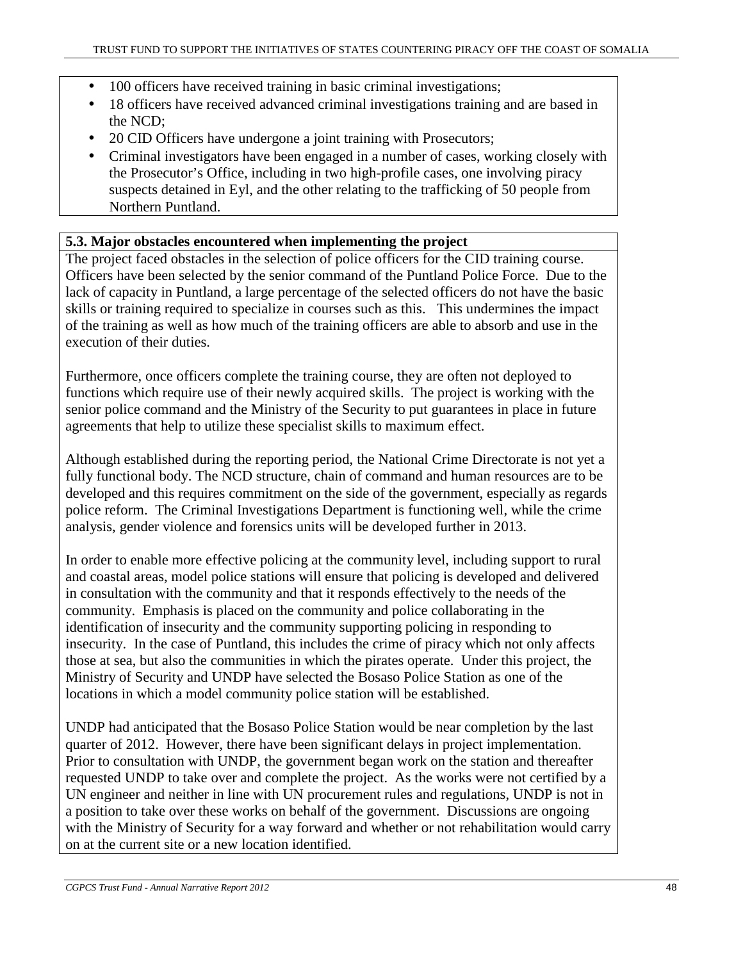- 100 officers have received training in basic criminal investigations;
- 18 officers have received advanced criminal investigations training and are based in the NCD;
- 20 CID Officers have undergone a joint training with Prosecutors;
- Criminal investigators have been engaged in a number of cases, working closely with the Prosecutor's Office, including in two high-profile cases, one involving piracy suspects detained in Eyl, and the other relating to the trafficking of 50 people from Northern Puntland.

# **5.3. Major obstacles encountered when implementing the project**

The project faced obstacles in the selection of police officers for the CID training course. Officers have been selected by the senior command of the Puntland Police Force. Due to the lack of capacity in Puntland, a large percentage of the selected officers do not have the basic skills or training required to specialize in courses such as this. This undermines the impact of the training as well as how much of the training officers are able to absorb and use in the execution of their duties.

Furthermore, once officers complete the training course, they are often not deployed to functions which require use of their newly acquired skills. The project is working with the senior police command and the Ministry of the Security to put guarantees in place in future agreements that help to utilize these specialist skills to maximum effect.

Although established during the reporting period, the National Crime Directorate is not yet a fully functional body. The NCD structure, chain of command and human resources are to be developed and this requires commitment on the side of the government, especially as regards police reform. The Criminal Investigations Department is functioning well, while the crime analysis, gender violence and forensics units will be developed further in 2013.

In order to enable more effective policing at the community level, including support to rural and coastal areas, model police stations will ensure that policing is developed and delivered in consultation with the community and that it responds effectively to the needs of the community. Emphasis is placed on the community and police collaborating in the identification of insecurity and the community supporting policing in responding to insecurity. In the case of Puntland, this includes the crime of piracy which not only affects those at sea, but also the communities in which the pirates operate. Under this project, the Ministry of Security and UNDP have selected the Bosaso Police Station as one of the locations in which a model community police station will be established.

UNDP had anticipated that the Bosaso Police Station would be near completion by the last quarter of 2012. However, there have been significant delays in project implementation. Prior to consultation with UNDP, the government began work on the station and thereafter requested UNDP to take over and complete the project. As the works were not certified by a UN engineer and neither in line with UN procurement rules and regulations, UNDP is not in a position to take over these works on behalf of the government. Discussions are ongoing with the Ministry of Security for a way forward and whether or not rehabilitation would carry on at the current site or a new location identified.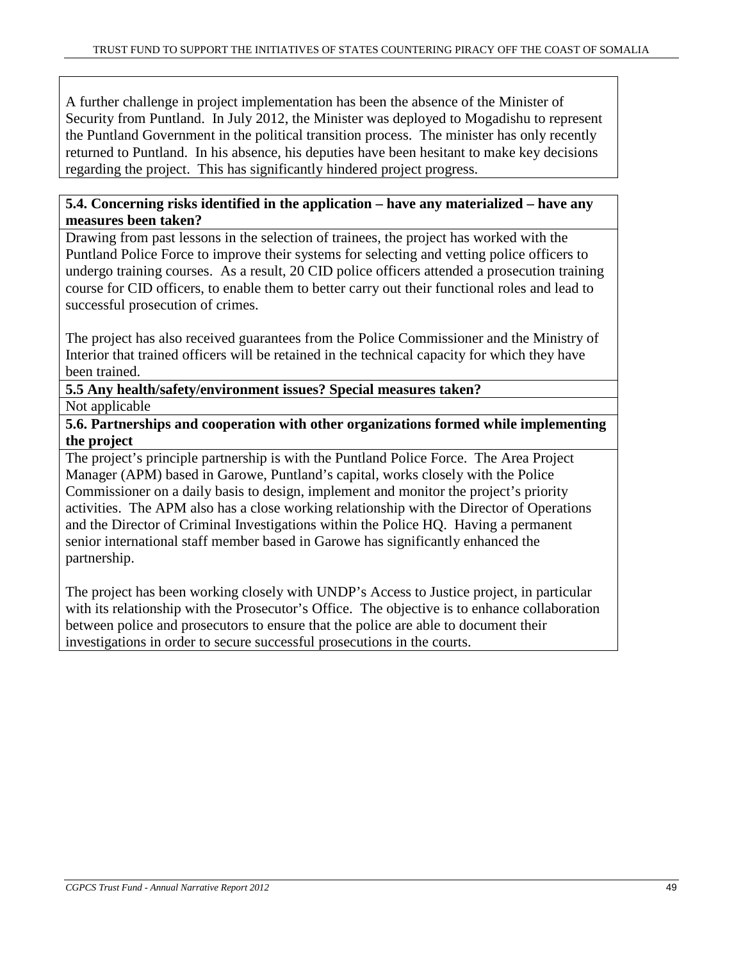A further challenge in project implementation has been the absence of the Minister of Security from Puntland. In July 2012, the Minister was deployed to Mogadishu to represent the Puntland Government in the political transition process. The minister has only recently returned to Puntland. In his absence, his deputies have been hesitant to make key decisions regarding the project. This has significantly hindered project progress.

# **5.4. Concerning risks identified in the application – have any materialized – have any measures been taken?**

Drawing from past lessons in the selection of trainees, the project has worked with the Puntland Police Force to improve their systems for selecting and vetting police officers to undergo training courses. As a result, 20 CID police officers attended a prosecution training course for CID officers, to enable them to better carry out their functional roles and lead to successful prosecution of crimes.

The project has also received guarantees from the Police Commissioner and the Ministry of Interior that trained officers will be retained in the technical capacity for which they have been trained.

**5.5 Any health/safety/environment issues? Special measures taken?** 

Not applicable

**5.6. Partnerships and cooperation with other organizations formed while implementing the project** 

The project's principle partnership is with the Puntland Police Force. The Area Project Manager (APM) based in Garowe, Puntland's capital, works closely with the Police Commissioner on a daily basis to design, implement and monitor the project's priority activities. The APM also has a close working relationship with the Director of Operations and the Director of Criminal Investigations within the Police HQ. Having a permanent senior international staff member based in Garowe has significantly enhanced the partnership.

The project has been working closely with UNDP's Access to Justice project, in particular with its relationship with the Prosecutor's Office. The objective is to enhance collaboration between police and prosecutors to ensure that the police are able to document their investigations in order to secure successful prosecutions in the courts.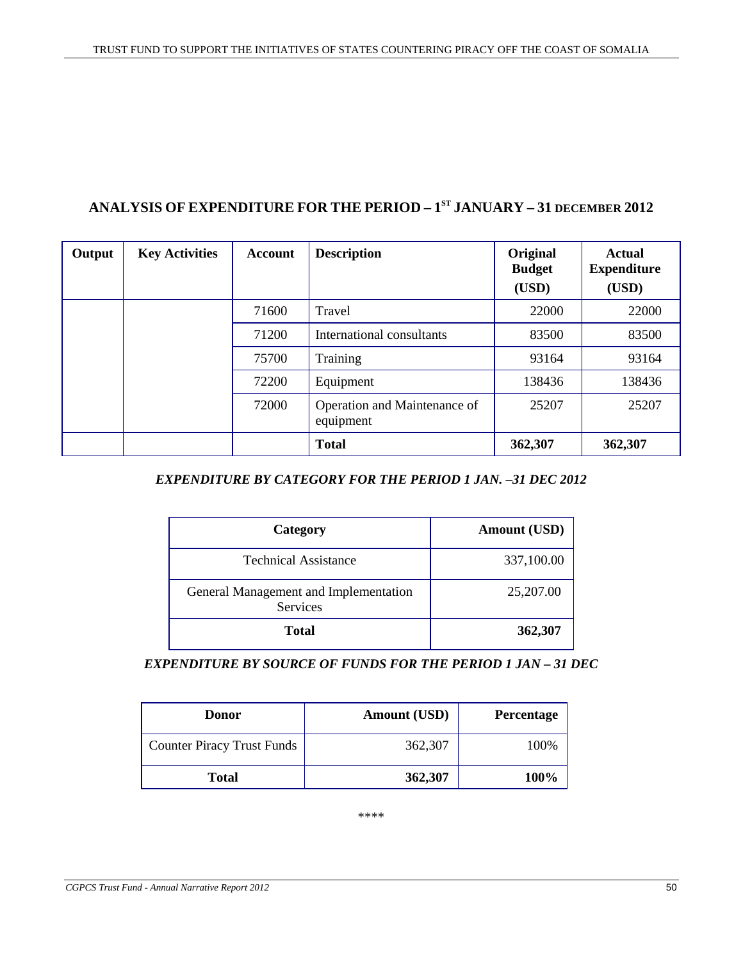# **ANALYSIS OF EXPENDITURE FOR THE PERIOD – 1 ST JANUARY – 31 DECEMBER 2012**

| Output | <b>Key Activities</b> | <b>Account</b> | <b>Description</b>                        | Original<br><b>Budget</b><br>(USD) | <b>Actual</b><br><b>Expenditure</b><br>(USD) |
|--------|-----------------------|----------------|-------------------------------------------|------------------------------------|----------------------------------------------|
|        |                       | 71600          | Travel                                    | 22000                              | 22000                                        |
|        |                       | 71200          | International consultants                 | 83500                              | 83500                                        |
|        |                       | 75700          | Training                                  | 93164                              | 93164                                        |
|        |                       | 72200          | Equipment                                 | 138436                             | 138436                                       |
|        |                       | 72000          | Operation and Maintenance of<br>equipment | 25207                              | 25207                                        |
|        |                       |                | <b>Total</b>                              | 362,307                            | 362,307                                      |

# *EXPENDITURE BY CATEGORY FOR THE PERIOD 1 JAN. –31 DEC 2012*

| Category                                          | <b>Amount (USD)</b> |
|---------------------------------------------------|---------------------|
| <b>Technical Assistance</b>                       | 337,100.00          |
| General Management and Implementation<br>Services | 25,207.00           |
| <b>Total</b>                                      | 362,307             |

*EXPENDITURE BY SOURCE OF FUNDS FOR THE PERIOD 1 JAN – 31 DEC* 

| <b>Donor</b>                      | <b>Amount (USD)</b> | <b>Percentage</b> |
|-----------------------------------|---------------------|-------------------|
| <b>Counter Piracy Trust Funds</b> | 362,307             | 100%              |
| <b>Total</b>                      | 362,307             | 100%              |

\*\*\*\*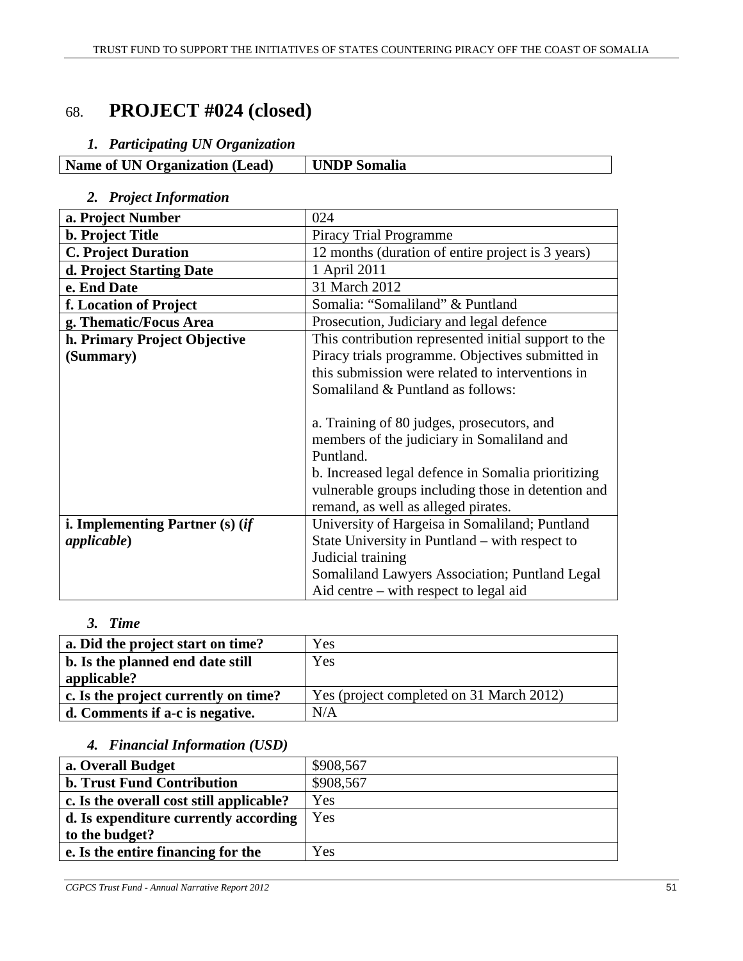# 68. **PROJECT #024 (closed)**

# *1. Participating UN Organization*

| <b>Name of UN Organization (Lead)</b> | <b>UNDP</b> Somalia |
|---------------------------------------|---------------------|

# *2. Project Information*

| a. Project Number               | 024                                                  |
|---------------------------------|------------------------------------------------------|
| <b>b.</b> Project Title         | <b>Piracy Trial Programme</b>                        |
| <b>C. Project Duration</b>      | 12 months (duration of entire project is 3 years)    |
| d. Project Starting Date        | 1 April 2011                                         |
| e. End Date                     | 31 March 2012                                        |
| f. Location of Project          | Somalia: "Somaliland" & Puntland                     |
| g. Thematic/Focus Area          | Prosecution, Judiciary and legal defence             |
| h. Primary Project Objective    | This contribution represented initial support to the |
| (Summary)                       | Piracy trials programme. Objectives submitted in     |
|                                 | this submission were related to interventions in     |
|                                 | Somaliland & Puntland as follows:                    |
|                                 |                                                      |
|                                 | a. Training of 80 judges, prosecutors, and           |
|                                 | members of the judiciary in Somaliland and           |
|                                 | Puntland.                                            |
|                                 | b. Increased legal defence in Somalia prioritizing   |
|                                 | vulnerable groups including those in detention and   |
|                                 | remand, as well as alleged pirates.                  |
| i. Implementing Partner (s) (if | University of Hargeisa in Somaliland; Puntland       |
| applicable)                     | State University in Puntland – with respect to       |
|                                 | Judicial training                                    |
|                                 | Somaliland Lawyers Association; Puntland Legal       |
|                                 | Aid centre $-$ with respect to legal aid             |

# *3. Time*

| a. Did the project start on time?    | Yes                                      |
|--------------------------------------|------------------------------------------|
| b. Is the planned end date still     | Yes                                      |
| applicable?                          |                                          |
| c. Is the project currently on time? | Yes (project completed on 31 March 2012) |
| d. Comments if a-c is negative.      | N/A                                      |

# *4. Financial Information (USD)*

| a. Overall Budget                        | \$908,567 |
|------------------------------------------|-----------|
| <b>b. Trust Fund Contribution</b>        | \$908,567 |
| c. Is the overall cost still applicable? | Yes       |
| d. Is expenditure currently according    | Yes       |
| to the budget?                           |           |
| e. Is the entire financing for the       | Yes       |
|                                          |           |

*CGPCS Trust Fund - Annual Narrative Report 2012* 51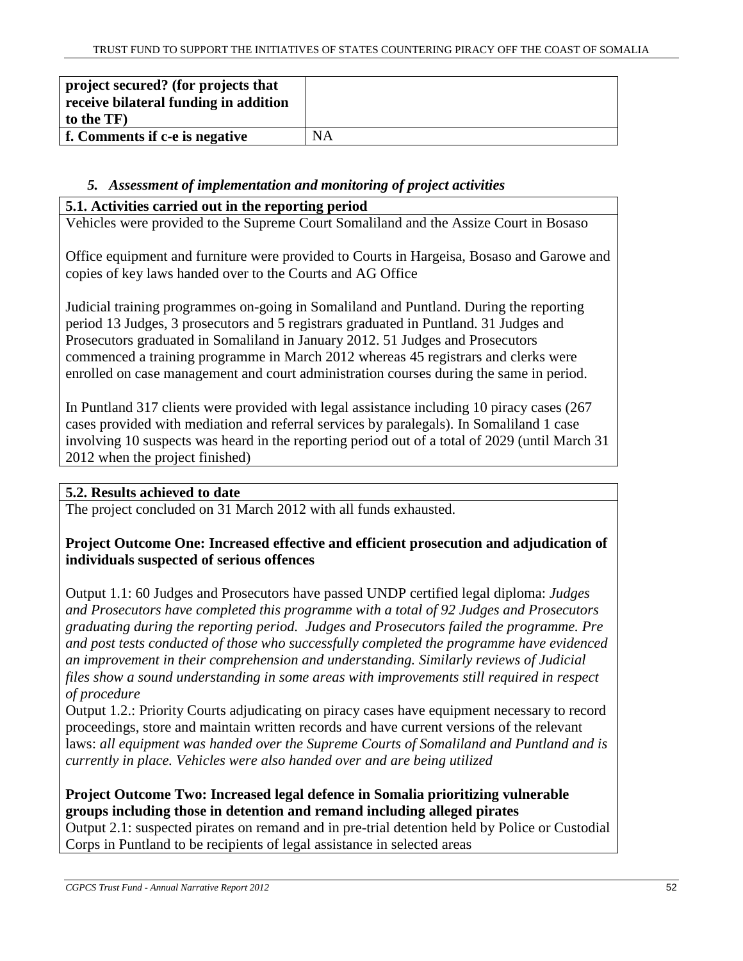| project secured? (for projects that<br>receive bilateral funding in addition |           |
|------------------------------------------------------------------------------|-----------|
| to the TF)                                                                   |           |
| f. Comments if c-e is negative                                               | <b>NA</b> |

# *5. Assessment of implementation and monitoring of project activities*

# **5.1. Activities carried out in the reporting period**

Vehicles were provided to the Supreme Court Somaliland and the Assize Court in Bosaso

Office equipment and furniture were provided to Courts in Hargeisa, Bosaso and Garowe and copies of key laws handed over to the Courts and AG Office

Judicial training programmes on-going in Somaliland and Puntland. During the reporting period 13 Judges, 3 prosecutors and 5 registrars graduated in Puntland. 31 Judges and Prosecutors graduated in Somaliland in January 2012. 51 Judges and Prosecutors commenced a training programme in March 2012 whereas 45 registrars and clerks were enrolled on case management and court administration courses during the same in period.

In Puntland 317 clients were provided with legal assistance including 10 piracy cases (267 cases provided with mediation and referral services by paralegals). In Somaliland 1 case involving 10 suspects was heard in the reporting period out of a total of 2029 (until March 31 2012 when the project finished)

# **5.2. Results achieved to date**

The project concluded on 31 March 2012 with all funds exhausted.

# **Project Outcome One: Increased effective and efficient prosecution and adjudication of individuals suspected of serious offences**

Output 1.1: 60 Judges and Prosecutors have passed UNDP certified legal diploma: *Judges and Prosecutors have completed this programme with a total of 92 Judges and Prosecutors graduating during the reporting period. Judges and Prosecutors failed the programme. Pre and post tests conducted of those who successfully completed the programme have evidenced an improvement in their comprehension and understanding. Similarly reviews of Judicial files show a sound understanding in some areas with improvements still required in respect of procedure* 

Output 1.2.: Priority Courts adjudicating on piracy cases have equipment necessary to record proceedings, store and maintain written records and have current versions of the relevant laws: *all equipment was handed over the Supreme Courts of Somaliland and Puntland and is currently in place. Vehicles were also handed over and are being utilized* 

# **Project Outcome Two: Increased legal defence in Somalia prioritizing vulnerable groups including those in detention and remand including alleged pirates**

Output 2.1: suspected pirates on remand and in pre-trial detention held by Police or Custodial Corps in Puntland to be recipients of legal assistance in selected areas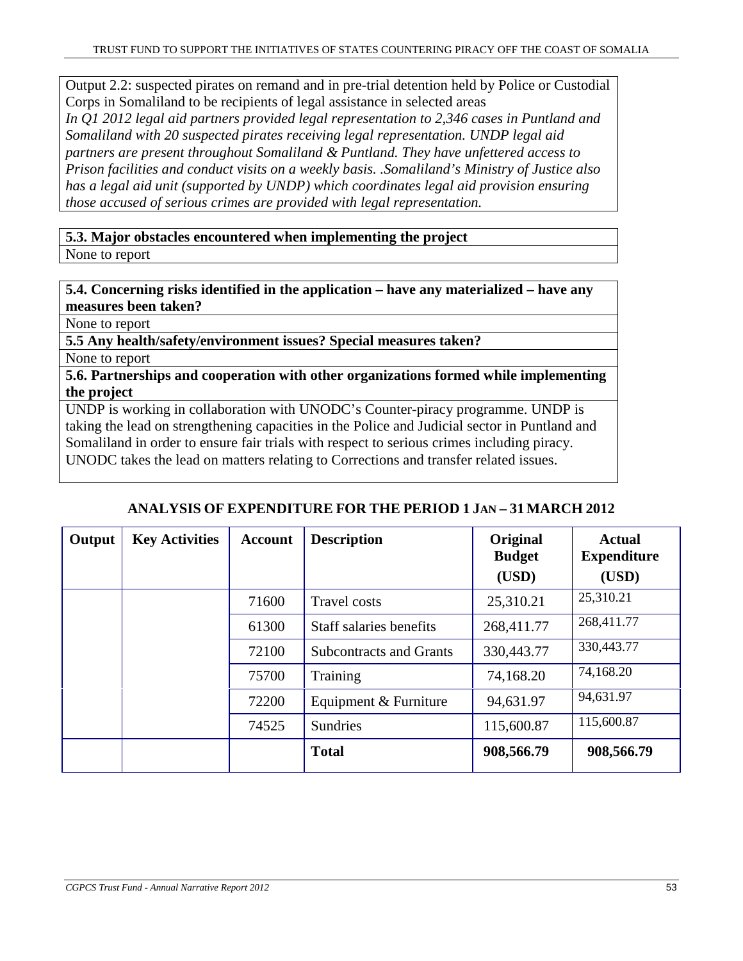Output 2.2: suspected pirates on remand and in pre-trial detention held by Police or Custodial Corps in Somaliland to be recipients of legal assistance in selected areas

*In Q1 2012 legal aid partners provided legal representation to 2,346 cases in Puntland and Somaliland with 20 suspected pirates receiving legal representation. UNDP legal aid partners are present throughout Somaliland & Puntland. They have unfettered access to Prison facilities and conduct visits on a weekly basis. .Somaliland's Ministry of Justice also has a legal aid unit (supported by UNDP) which coordinates legal aid provision ensuring those accused of serious crimes are provided with legal representation.* 

**5.3. Major obstacles encountered when implementing the project**  None to report

**5.4. Concerning risks identified in the application – have any materialized – have any measures been taken?**

None to report

**5.5 Any health/safety/environment issues? Special measures taken?** 

None to report

**5.6. Partnerships and cooperation with other organizations formed while implementing the project** 

UNDP is working in collaboration with UNODC's Counter-piracy programme. UNDP is taking the lead on strengthening capacities in the Police and Judicial sector in Puntland and Somaliland in order to ensure fair trials with respect to serious crimes including piracy. UNODC takes the lead on matters relating to Corrections and transfer related issues.

# **ANALYSIS OF EXPENDITURE FOR THE PERIOD 1 JAN – 31MARCH 2012**

| Output | <b>Key Activities</b> | <b>Account</b> | <b>Description</b>             | Original<br><b>Budget</b><br>(USD) | <b>Actual</b><br><b>Expenditure</b><br>(USD) |
|--------|-----------------------|----------------|--------------------------------|------------------------------------|----------------------------------------------|
|        |                       | 71600          | <b>Travel costs</b>            | 25,310.21                          | 25,310.21                                    |
|        |                       | 61300          | Staff salaries benefits        | 268,411.77                         | 268,411.77                                   |
|        |                       | 72100          | <b>Subcontracts and Grants</b> | 330,443.77                         | 330,443.77                                   |
|        |                       | 75700          | Training                       | 74,168.20                          | 74,168.20                                    |
|        |                       | 72200          | Equipment & Furniture          | 94,631.97                          | 94,631.97                                    |
|        |                       | 74525          | <b>Sundries</b>                | 115,600.87                         | 115,600.87                                   |
|        |                       |                | <b>Total</b>                   | 908,566.79                         | 908,566.79                                   |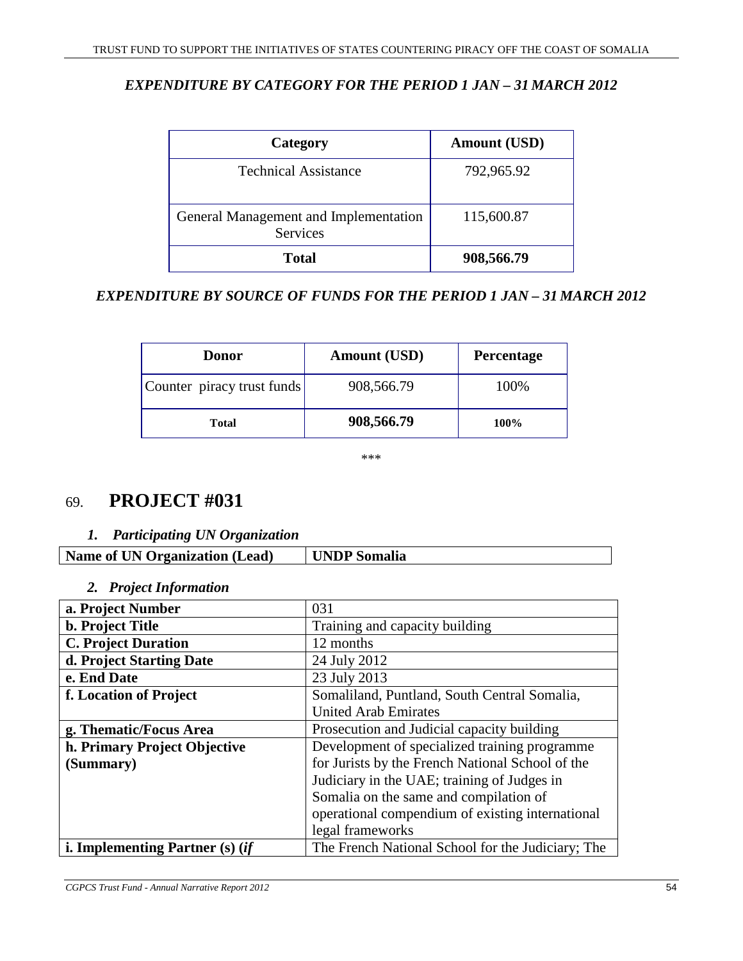# *EXPENDITURE BY CATEGORY FOR THE PERIOD 1 JAN – 31 MARCH 2012*

| Category                                          | <b>Amount (USD)</b> |
|---------------------------------------------------|---------------------|
| <b>Technical Assistance</b>                       | 792,965.92          |
| General Management and Implementation<br>Services | 115,600.87          |
| <b>Total</b>                                      | 908,566.79          |

# *EXPENDITURE BY SOURCE OF FUNDS FOR THE PERIOD 1 JAN – 31 MARCH 2012*

| <b>Donor</b>               | <b>Amount (USD)</b> | <b>Percentage</b> |
|----------------------------|---------------------|-------------------|
| Counter piracy trust funds | 908,566.79          | 100%              |
| <b>Total</b>               | 908,566.79          | 100%              |

\*\*\*

# 69. **PROJECT #031**

# *1. Participating UN Organization*

| <b>Name of UN Organization (Lead)</b> | UNDP Somalia |
|---------------------------------------|--------------|
|                                       |              |

# *2. Project Information*

| a. Project Number                 | 031                                               |
|-----------------------------------|---------------------------------------------------|
| <b>b. Project Title</b>           | Training and capacity building                    |
| <b>C. Project Duration</b>        | 12 months                                         |
| d. Project Starting Date          | 24 July 2012                                      |
| e. End Date                       | 23 July 2013                                      |
| f. Location of Project            | Somaliland, Puntland, South Central Somalia,      |
|                                   | <b>United Arab Emirates</b>                       |
| g. Thematic/Focus Area            | Prosecution and Judicial capacity building        |
| h. Primary Project Objective      | Development of specialized training programme     |
| (Summary)                         | for Jurists by the French National School of the  |
|                                   | Judiciary in the UAE; training of Judges in       |
|                                   | Somalia on the same and compilation of            |
|                                   | operational compendium of existing international  |
|                                   | legal frameworks                                  |
| i. Implementing Partner $(s)$ (if | The French National School for the Judiciary; The |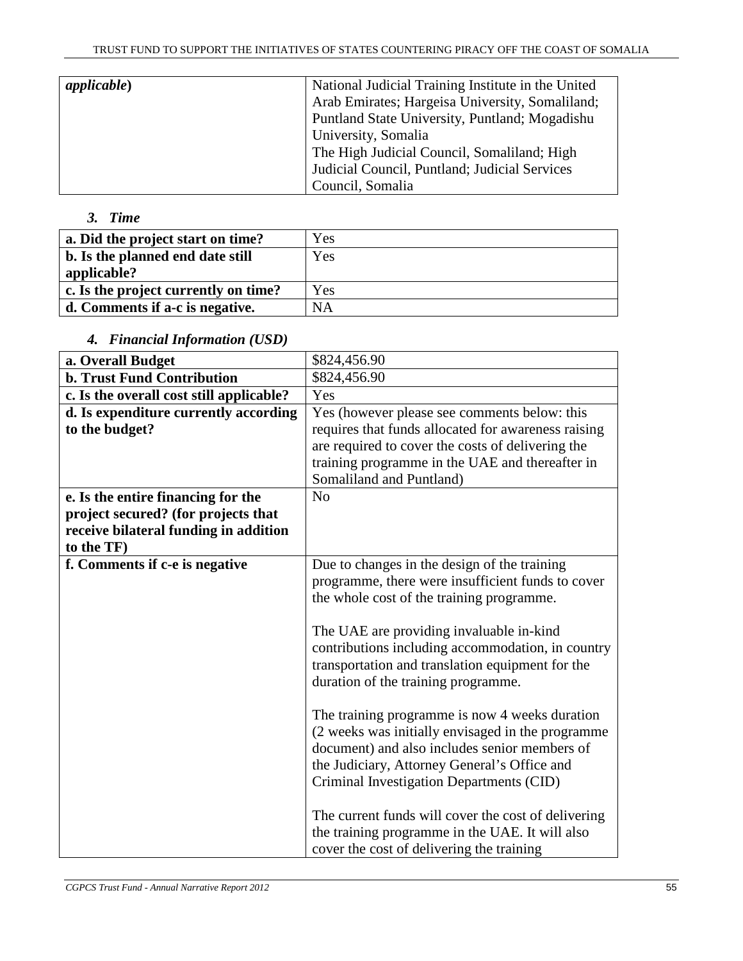| applicable) | National Judicial Training Institute in the United |
|-------------|----------------------------------------------------|
|             | Arab Emirates; Hargeisa University, Somaliland;    |
|             | Puntland State University, Puntland; Mogadishu     |
|             | University, Somalia                                |
|             | The High Judicial Council, Somaliland; High        |
|             | Judicial Council, Puntland; Judicial Services      |
|             | Council, Somalia                                   |

# *3. Time*

| a. Did the project start on time?    | Yes       |
|--------------------------------------|-----------|
| b. Is the planned end date still     | Yes       |
| applicable?                          |           |
| c. Is the project currently on time? | Yes       |
| d. Comments if a-c is negative.      | <b>NA</b> |
|                                      |           |

# *4. Financial Information (USD)*

| a. Overall Budget                                                                                                  | \$824,456.90                                                                                                                                                                                                                                                                                                                                                                                                                                   |
|--------------------------------------------------------------------------------------------------------------------|------------------------------------------------------------------------------------------------------------------------------------------------------------------------------------------------------------------------------------------------------------------------------------------------------------------------------------------------------------------------------------------------------------------------------------------------|
| <b>b. Trust Fund Contribution</b>                                                                                  | \$824,456.90                                                                                                                                                                                                                                                                                                                                                                                                                                   |
| c. Is the overall cost still applicable?                                                                           | Yes                                                                                                                                                                                                                                                                                                                                                                                                                                            |
| d. Is expenditure currently according<br>to the budget?                                                            | Yes (however please see comments below: this<br>requires that funds allocated for awareness raising<br>are required to cover the costs of delivering the<br>training programme in the UAE and thereafter in<br>Somaliland and Puntland)                                                                                                                                                                                                        |
| e. Is the entire financing for the<br>project secured? (for projects that<br>receive bilateral funding in addition | N <sub>o</sub>                                                                                                                                                                                                                                                                                                                                                                                                                                 |
| to the TF)                                                                                                         |                                                                                                                                                                                                                                                                                                                                                                                                                                                |
| f. Comments if c-e is negative                                                                                     | Due to changes in the design of the training<br>programme, there were insufficient funds to cover<br>the whole cost of the training programme.<br>The UAE are providing invaluable in-kind<br>contributions including accommodation, in country<br>transportation and translation equipment for the                                                                                                                                            |
|                                                                                                                    | duration of the training programme.<br>The training programme is now 4 weeks duration<br>(2 weeks was initially envisaged in the programme<br>document) and also includes senior members of<br>the Judiciary, Attorney General's Office and<br>Criminal Investigation Departments (CID)<br>The current funds will cover the cost of delivering<br>the training programme in the UAE. It will also<br>cover the cost of delivering the training |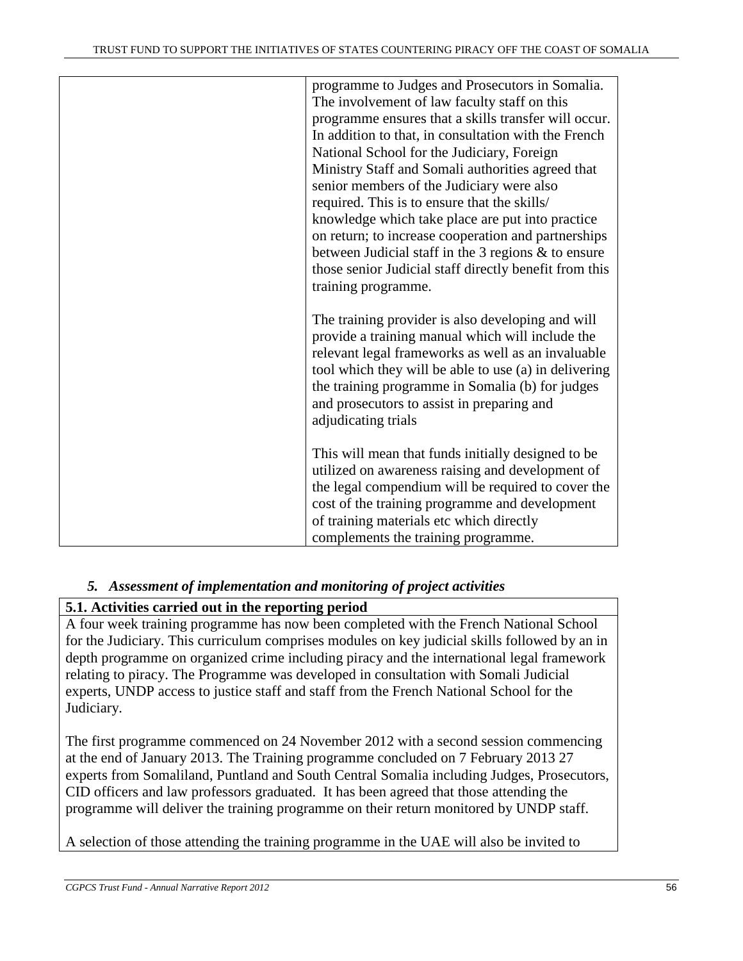| programme to Judges and Prosecutors in Somalia.<br>The involvement of law faculty staff on this<br>programme ensures that a skills transfer will occur.<br>In addition to that, in consultation with the French<br>National School for the Judiciary, Foreign<br>Ministry Staff and Somali authorities agreed that<br>senior members of the Judiciary were also<br>required. This is to ensure that the skills/<br>knowledge which take place are put into practice<br>on return; to increase cooperation and partnerships<br>between Judicial staff in the 3 regions & to ensure<br>those senior Judicial staff directly benefit from this<br>training programme. |
|--------------------------------------------------------------------------------------------------------------------------------------------------------------------------------------------------------------------------------------------------------------------------------------------------------------------------------------------------------------------------------------------------------------------------------------------------------------------------------------------------------------------------------------------------------------------------------------------------------------------------------------------------------------------|
| The training provider is also developing and will<br>provide a training manual which will include the<br>relevant legal frameworks as well as an invaluable<br>tool which they will be able to use (a) in delivering<br>the training programme in Somalia (b) for judges<br>and prosecutors to assist in preparing and<br>adjudicating trials                                                                                                                                                                                                                                                                                                                      |
| This will mean that funds initially designed to be<br>utilized on awareness raising and development of<br>the legal compendium will be required to cover the<br>cost of the training programme and development<br>of training materials etc which directly<br>complements the training programme.                                                                                                                                                                                                                                                                                                                                                                  |

# *5. Assessment of implementation and monitoring of project activities*

# **5.1. Activities carried out in the reporting period**

A four week training programme has now been completed with the French National School for the Judiciary. This curriculum comprises modules on key judicial skills followed by an in depth programme on organized crime including piracy and the international legal framework relating to piracy. The Programme was developed in consultation with Somali Judicial experts, UNDP access to justice staff and staff from the French National School for the Judiciary.

The first programme commenced on 24 November 2012 with a second session commencing at the end of January 2013. The Training programme concluded on 7 February 2013 27 experts from Somaliland, Puntland and South Central Somalia including Judges, Prosecutors, CID officers and law professors graduated. It has been agreed that those attending the programme will deliver the training programme on their return monitored by UNDP staff.

A selection of those attending the training programme in the UAE will also be invited to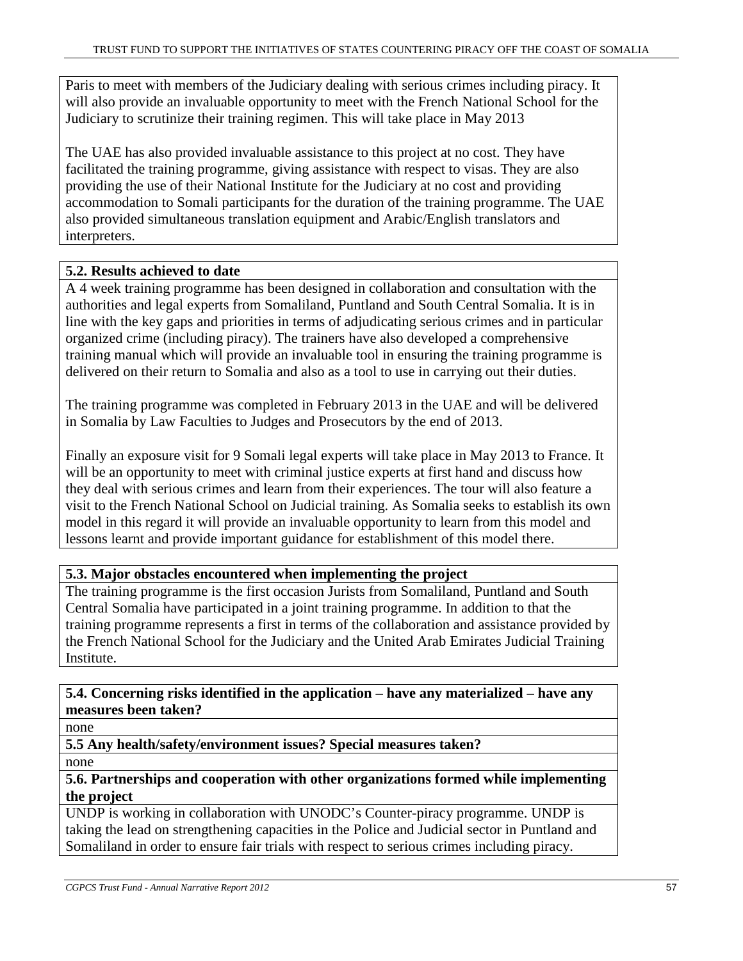Paris to meet with members of the Judiciary dealing with serious crimes including piracy. It will also provide an invaluable opportunity to meet with the French National School for the Judiciary to scrutinize their training regimen. This will take place in May 2013

The UAE has also provided invaluable assistance to this project at no cost. They have facilitated the training programme, giving assistance with respect to visas. They are also providing the use of their National Institute for the Judiciary at no cost and providing accommodation to Somali participants for the duration of the training programme. The UAE also provided simultaneous translation equipment and Arabic/English translators and interpreters.

# **5.2. Results achieved to date**

A 4 week training programme has been designed in collaboration and consultation with the authorities and legal experts from Somaliland, Puntland and South Central Somalia. It is in line with the key gaps and priorities in terms of adjudicating serious crimes and in particular organized crime (including piracy). The trainers have also developed a comprehensive training manual which will provide an invaluable tool in ensuring the training programme is delivered on their return to Somalia and also as a tool to use in carrying out their duties.

The training programme was completed in February 2013 in the UAE and will be delivered in Somalia by Law Faculties to Judges and Prosecutors by the end of 2013.

Finally an exposure visit for 9 Somali legal experts will take place in May 2013 to France. It will be an opportunity to meet with criminal justice experts at first hand and discuss how they deal with serious crimes and learn from their experiences. The tour will also feature a visit to the French National School on Judicial training. As Somalia seeks to establish its own model in this regard it will provide an invaluable opportunity to learn from this model and lessons learnt and provide important guidance for establishment of this model there.

# **5.3. Major obstacles encountered when implementing the project**

The training programme is the first occasion Jurists from Somaliland, Puntland and South Central Somalia have participated in a joint training programme. In addition to that the training programme represents a first in terms of the collaboration and assistance provided by the French National School for the Judiciary and the United Arab Emirates Judicial Training Institute.

**5.4. Concerning risks identified in the application – have any materialized – have any measures been taken?**

none

**5.5 Any health/safety/environment issues? Special measures taken?** 

none

# **5.6. Partnerships and cooperation with other organizations formed while implementing the project**

UNDP is working in collaboration with UNODC's Counter-piracy programme. UNDP is taking the lead on strengthening capacities in the Police and Judicial sector in Puntland and Somaliland in order to ensure fair trials with respect to serious crimes including piracy.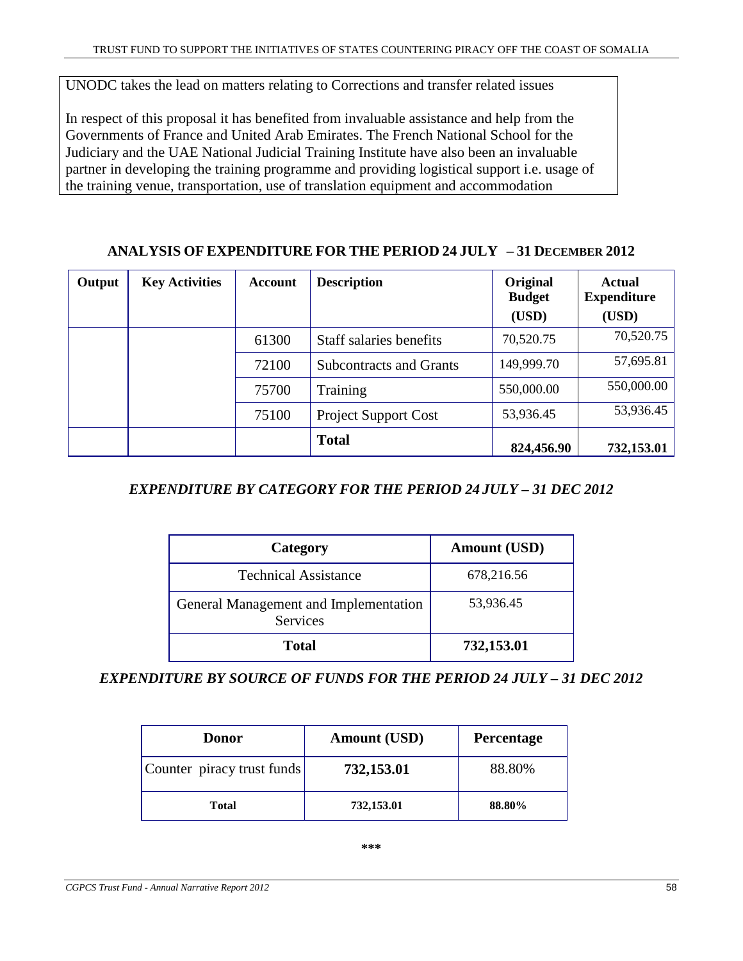UNODC takes the lead on matters relating to Corrections and transfer related issues

In respect of this proposal it has benefited from invaluable assistance and help from the Governments of France and United Arab Emirates. The French National School for the Judiciary and the UAE National Judicial Training Institute have also been an invaluable partner in developing the training programme and providing logistical support i.e. usage of the training venue, transportation, use of translation equipment and accommodation

# **ANALYSIS OF EXPENDITURE FOR THE PERIOD 24 JULY – 31 DECEMBER 2012**

| Output | <b>Key Activities</b> | <b>Account</b> | <b>Description</b>             | Original<br><b>Budget</b><br>(USD) | <b>Actual</b><br><b>Expenditure</b><br>(USD) |
|--------|-----------------------|----------------|--------------------------------|------------------------------------|----------------------------------------------|
|        |                       | 61300          | Staff salaries benefits        | 70,520.75                          | 70,520.75                                    |
|        |                       | 72100          | <b>Subcontracts and Grants</b> | 149,999.70                         | 57,695.81                                    |
|        |                       | 75700          | Training                       | 550,000.00                         | 550,000.00                                   |
|        |                       | 75100          | <b>Project Support Cost</b>    | 53,936.45                          | 53,936.45                                    |
|        |                       |                | <b>Total</b>                   | 824,456.90                         | 732,153.01                                   |

# *EXPENDITURE BY CATEGORY FOR THE PERIOD 24 JULY – 31 DEC 2012*

| Category                                                 | <b>Amount (USD)</b> |
|----------------------------------------------------------|---------------------|
| <b>Technical Assistance</b>                              | 678,216.56          |
| General Management and Implementation<br><b>Services</b> | 53,936.45           |
| <b>Total</b>                                             | 732,153.01          |

# *EXPENDITURE BY SOURCE OF FUNDS FOR THE PERIOD 24 JULY – 31 DEC 2012*

| <b>Donor</b>               | <b>Amount (USD)</b> | <b>Percentage</b> |
|----------------------------|---------------------|-------------------|
| Counter piracy trust funds | 732,153.01          | 88.80%            |
| Total                      | 732,153.01          | 88.80%            |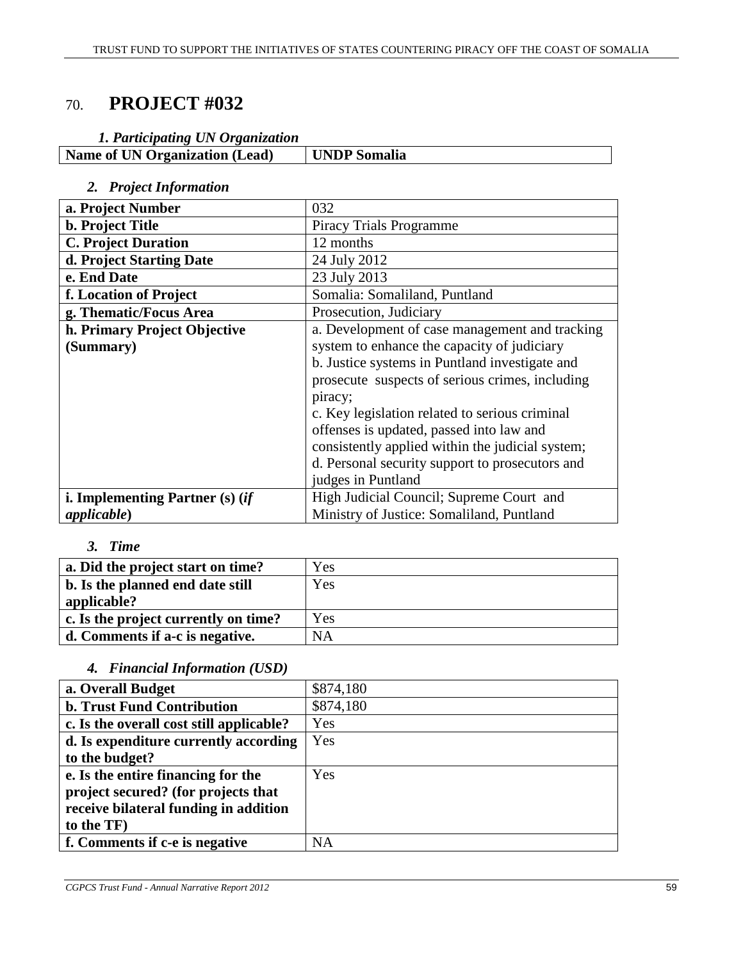# 70. **PROJECT #032**

| UNDP Somalia |
|--------------|
|              |

# *2. Project Information*

| a. Project Number                 | 032                                              |
|-----------------------------------|--------------------------------------------------|
| <b>b.</b> Project Title           | <b>Piracy Trials Programme</b>                   |
| <b>C. Project Duration</b>        | 12 months                                        |
| d. Project Starting Date          | 24 July 2012                                     |
| e. End Date                       | 23 July 2013                                     |
| f. Location of Project            | Somalia: Somaliland, Puntland                    |
| g. Thematic/Focus Area            | Prosecution, Judiciary                           |
| h. Primary Project Objective      | a. Development of case management and tracking   |
| (Summary)                         | system to enhance the capacity of judiciary      |
|                                   | b. Justice systems in Puntland investigate and   |
|                                   | prosecute suspects of serious crimes, including  |
|                                   | piracy;                                          |
|                                   | c. Key legislation related to serious criminal   |
|                                   | offenses is updated, passed into law and         |
|                                   | consistently applied within the judicial system; |
|                                   | d. Personal security support to prosecutors and  |
|                                   | judges in Puntland                               |
| i. Implementing Partner $(s)$ (if | High Judicial Council; Supreme Court and         |
| applicable)                       | Ministry of Justice: Somaliland, Puntland        |

#### *3. Time*

| a. Did the project start on time?    | Yes       |
|--------------------------------------|-----------|
| b. Is the planned end date still     | Yes       |
| applicable?                          |           |
| c. Is the project currently on time? | Yes       |
| d. Comments if a-c is negative.      | <b>NA</b> |

# *4. Financial Information (USD)*

| a. Overall Budget                        | \$874,180 |
|------------------------------------------|-----------|
| <b>b. Trust Fund Contribution</b>        | \$874,180 |
| c. Is the overall cost still applicable? | Yes       |
| d. Is expenditure currently according    | Yes       |
| to the budget?                           |           |
| e. Is the entire financing for the       | Yes       |
| project secured? (for projects that      |           |
| receive bilateral funding in addition    |           |
| to the TF)                               |           |
| f. Comments if c-e is negative           | <b>NA</b> |
|                                          |           |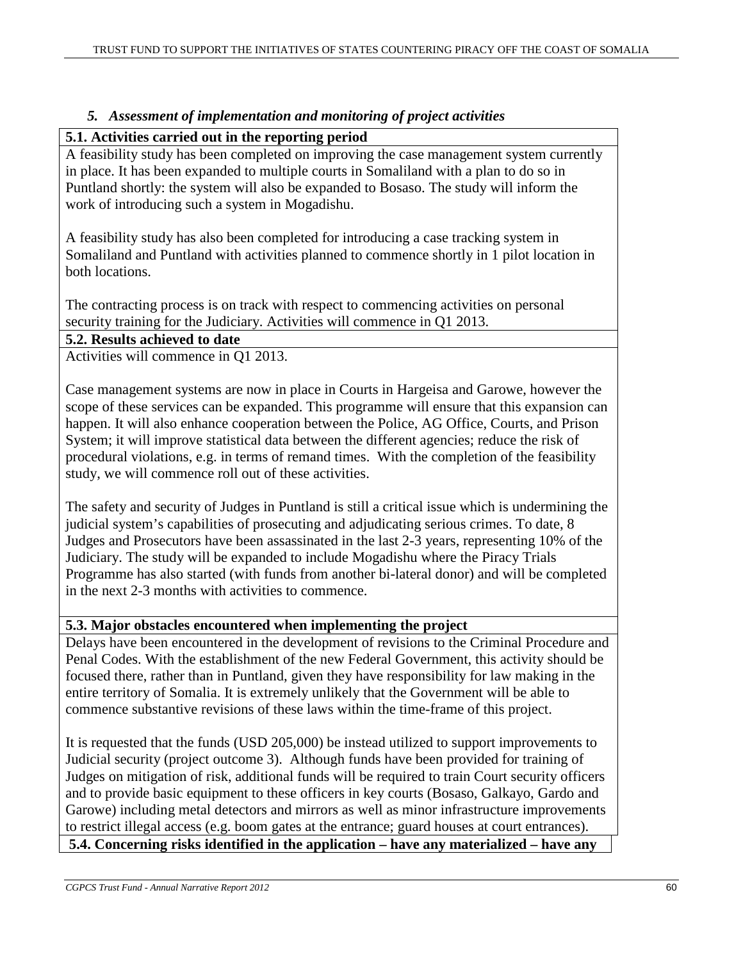# *5. Assessment of implementation and monitoring of project activities*

# **5.1. Activities carried out in the reporting period**

A feasibility study has been completed on improving the case management system currently in place. It has been expanded to multiple courts in Somaliland with a plan to do so in Puntland shortly: the system will also be expanded to Bosaso. The study will inform the work of introducing such a system in Mogadishu.

A feasibility study has also been completed for introducing a case tracking system in Somaliland and Puntland with activities planned to commence shortly in 1 pilot location in both locations.

The contracting process is on track with respect to commencing activities on personal security training for the Judiciary. Activities will commence in Q1 2013.

#### **5.2. Results achieved to date**

Activities will commence in Q1 2013.

Case management systems are now in place in Courts in Hargeisa and Garowe, however the scope of these services can be expanded. This programme will ensure that this expansion can happen. It will also enhance cooperation between the Police, AG Office, Courts, and Prison System; it will improve statistical data between the different agencies; reduce the risk of procedural violations, e.g. in terms of remand times. With the completion of the feasibility study, we will commence roll out of these activities.

The safety and security of Judges in Puntland is still a critical issue which is undermining the judicial system's capabilities of prosecuting and adjudicating serious crimes. To date, 8 Judges and Prosecutors have been assassinated in the last 2-3 years, representing 10% of the Judiciary. The study will be expanded to include Mogadishu where the Piracy Trials Programme has also started (with funds from another bi-lateral donor) and will be completed in the next 2-3 months with activities to commence.

# **5.3. Major obstacles encountered when implementing the project**

Delays have been encountered in the development of revisions to the Criminal Procedure and Penal Codes. With the establishment of the new Federal Government, this activity should be focused there, rather than in Puntland, given they have responsibility for law making in the entire territory of Somalia. It is extremely unlikely that the Government will be able to commence substantive revisions of these laws within the time-frame of this project.

It is requested that the funds (USD 205,000) be instead utilized to support improvements to Judicial security (project outcome 3). Although funds have been provided for training of Judges on mitigation of risk, additional funds will be required to train Court security officers and to provide basic equipment to these officers in key courts (Bosaso, Galkayo, Gardo and Garowe) including metal detectors and mirrors as well as minor infrastructure improvements to restrict illegal access (e.g. boom gates at the entrance; guard houses at court entrances).

**5.4. Concerning risks identified in the application – have any materialized – have any**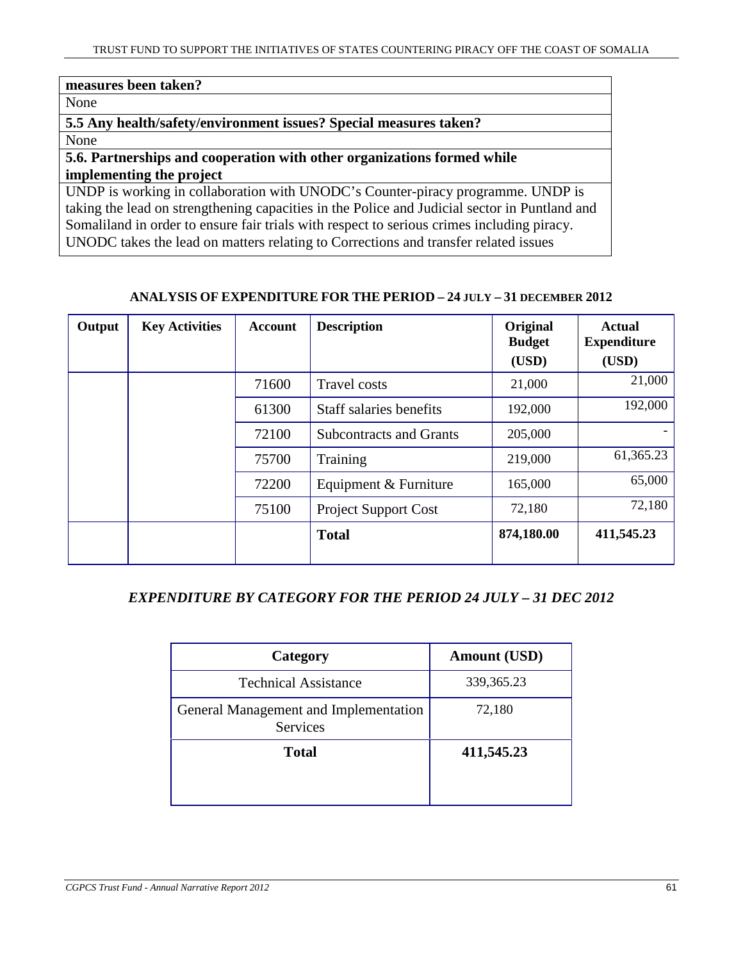# **measures been taken?** None **5.5 Any health/safety/environment issues? Special measures taken?**  None **5.6. Partnerships and cooperation with other organizations formed while**

# **implementing the project**

UNDP is working in collaboration with UNODC's Counter-piracy programme. UNDP is taking the lead on strengthening capacities in the Police and Judicial sector in Puntland and Somaliland in order to ensure fair trials with respect to serious crimes including piracy. UNODC takes the lead on matters relating to Corrections and transfer related issues

#### **ANALYSIS OF EXPENDITURE FOR THE PERIOD – 24 JULY – 31 DECEMBER 2012**

| Output | <b>Key Activities</b> | Account | <b>Description</b>             | Original<br><b>Budget</b><br>(USD) | <b>Actual</b><br><b>Expenditure</b><br>(USD) |
|--------|-----------------------|---------|--------------------------------|------------------------------------|----------------------------------------------|
|        |                       | 71600   | <b>Travel costs</b>            | 21,000                             | 21,000                                       |
|        |                       | 61300   | Staff salaries benefits        | 192,000                            | 192,000                                      |
|        |                       | 72100   | <b>Subcontracts and Grants</b> | 205,000                            |                                              |
|        |                       | 75700   | Training                       | 219,000                            | 61,365.23                                    |
|        |                       | 72200   | Equipment & Furniture          | 165,000                            | 65,000                                       |
|        |                       | 75100   | Project Support Cost           | 72,180                             | 72,180                                       |
|        |                       |         | <b>Total</b>                   | 874,180.00                         | 411,545.23                                   |

# *EXPENDITURE BY CATEGORY FOR THE PERIOD 24 JULY – 31 DEC 2012*

| Category                                                 | <b>Amount (USD)</b> |
|----------------------------------------------------------|---------------------|
| <b>Technical Assistance</b>                              | 339, 365. 23        |
| General Management and Implementation<br><b>Services</b> | 72,180              |
| <b>Total</b>                                             | 411,545.23          |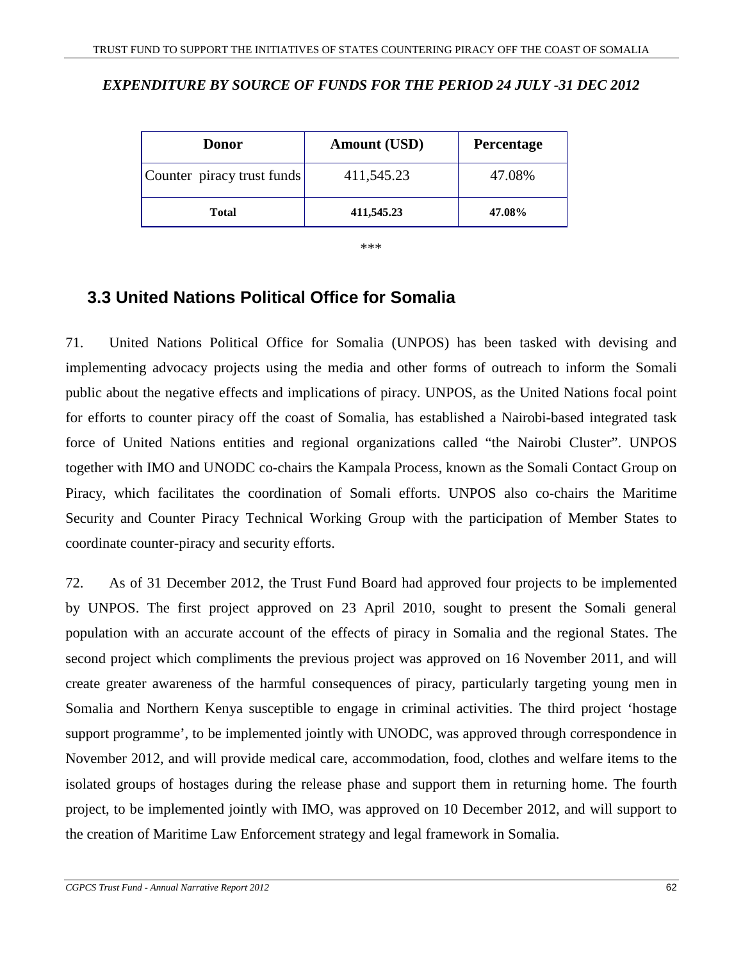# *EXPENDITURE BY SOURCE OF FUNDS FOR THE PERIOD 24 JULY -31 DEC 2012*

| <b>Donor</b>               | <b>Amount (USD)</b> | <b>Percentage</b> |
|----------------------------|---------------------|-------------------|
| Counter piracy trust funds | 411,545.23          | 47.08%            |
| <b>Total</b>               | 411,545.23          | 47.08%            |

\*\*\*

# **3.3 United Nations Political Office for Somalia**

71. United Nations Political Office for Somalia (UNPOS) has been tasked with devising and implementing advocacy projects using the media and other forms of outreach to inform the Somali public about the negative effects and implications of piracy. UNPOS, as the United Nations focal point for efforts to counter piracy off the coast of Somalia, has established a Nairobi-based integrated task force of United Nations entities and regional organizations called "the Nairobi Cluster". UNPOS together with IMO and UNODC co-chairs the Kampala Process, known as the Somali Contact Group on Piracy, which facilitates the coordination of Somali efforts. UNPOS also co-chairs the Maritime Security and Counter Piracy Technical Working Group with the participation of Member States to coordinate counter-piracy and security efforts.

72. As of 31 December 2012, the Trust Fund Board had approved four projects to be implemented by UNPOS. The first project approved on 23 April 2010, sought to present the Somali general population with an accurate account of the effects of piracy in Somalia and the regional States. The second project which compliments the previous project was approved on 16 November 2011, and will create greater awareness of the harmful consequences of piracy, particularly targeting young men in Somalia and Northern Kenya susceptible to engage in criminal activities. The third project 'hostage support programme', to be implemented jointly with UNODC, was approved through correspondence in November 2012, and will provide medical care, accommodation, food, clothes and welfare items to the isolated groups of hostages during the release phase and support them in returning home. The fourth project, to be implemented jointly with IMO, was approved on 10 December 2012, and will support to the creation of Maritime Law Enforcement strategy and legal framework in Somalia.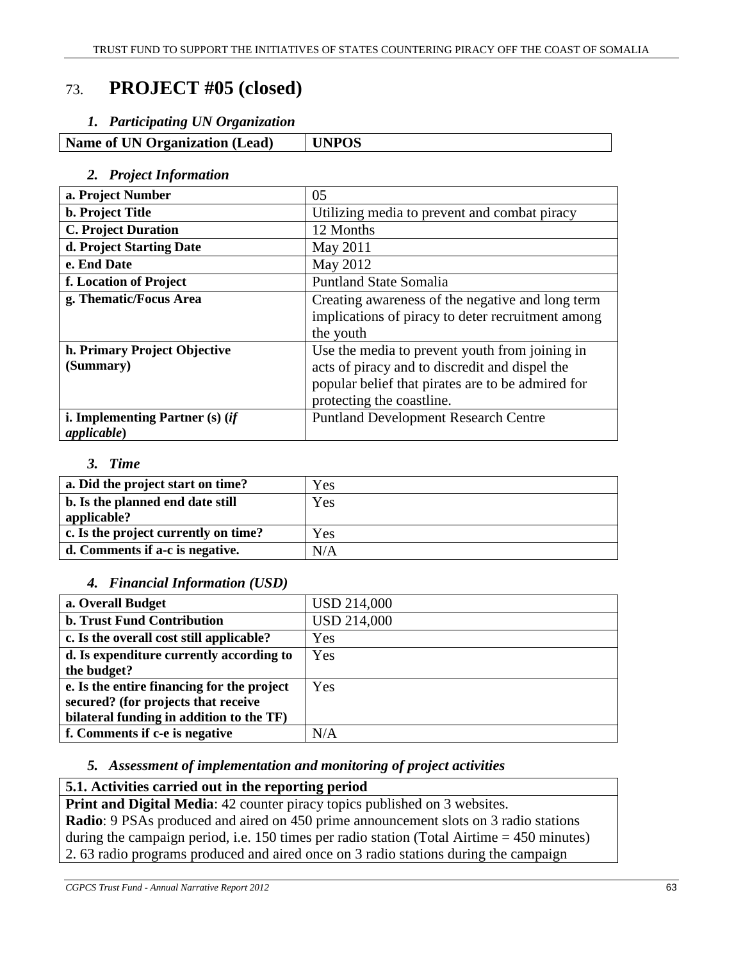# 73. **PROJECT #05 (closed)**

#### *1. Participating UN Organization*

**Name of UN Organization (Lead) UNPOS** 

#### *2. Project Information*

| a. Project Number                                        | 05                                                                                                                                                                                 |
|----------------------------------------------------------|------------------------------------------------------------------------------------------------------------------------------------------------------------------------------------|
| b. Project Title                                         | Utilizing media to prevent and combat piracy                                                                                                                                       |
| <b>C. Project Duration</b>                               | 12 Months                                                                                                                                                                          |
| d. Project Starting Date                                 | May 2011                                                                                                                                                                           |
| e. End Date                                              | May 2012                                                                                                                                                                           |
| f. Location of Project                                   | <b>Puntland State Somalia</b>                                                                                                                                                      |
| g. Thematic/Focus Area                                   | Creating awareness of the negative and long term<br>implications of piracy to deter recruitment among<br>the youth                                                                 |
| h. Primary Project Objective<br>(Summary)                | Use the media to prevent youth from joining in<br>acts of piracy and to discredit and dispel the<br>popular belief that pirates are to be admired for<br>protecting the coastline. |
| i. Implementing Partner $(s)$ (if<br><i>applicable</i> ) | <b>Puntland Development Research Centre</b>                                                                                                                                        |

#### *3. Time*

| a. Did the project start on time?    | Yes |
|--------------------------------------|-----|
| b. Is the planned end date still     | Yes |
| applicable?                          |     |
| c. Is the project currently on time? | Yes |
| d. Comments if a-c is negative.      | N/A |

# *4. Financial Information (USD)*

| a. Overall Budget                          | <b>USD 214,000</b> |
|--------------------------------------------|--------------------|
| <b>b. Trust Fund Contribution</b>          | <b>USD 214,000</b> |
| c. Is the overall cost still applicable?   | Yes                |
| d. Is expenditure currently according to   | Yes                |
| the budget?                                |                    |
| e. Is the entire financing for the project | Yes                |
| secured? (for projects that receive        |                    |
| bilateral funding in addition to the TF)   |                    |
| f. Comments if c-e is negative             | N/A                |
|                                            |                    |

# *5. Assessment of implementation and monitoring of project activities*

# **5.1. Activities carried out in the reporting period**

**Print and Digital Media**: 42 counter piracy topics published on 3 websites. **Radio**: 9 PSAs produced and aired on 450 prime announcement slots on 3 radio stations during the campaign period, i.e. 150 times per radio station (Total Airtime = 450 minutes) 2. 63 radio programs produced and aired once on 3 radio stations during the campaign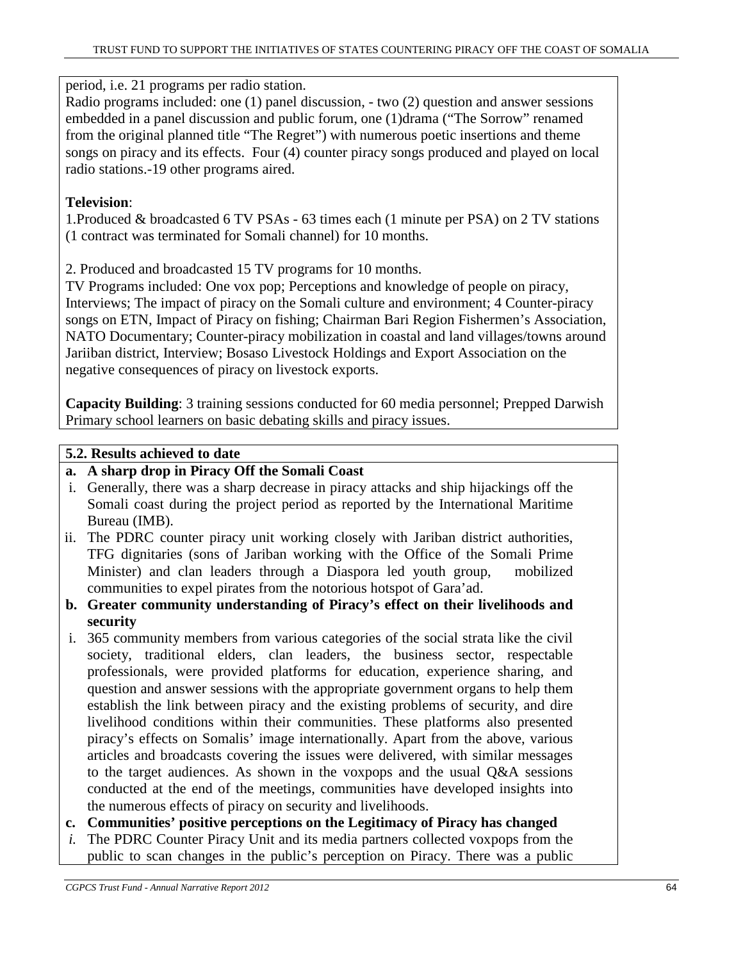period, i.e. 21 programs per radio station.

Radio programs included: one (1) panel discussion, - two (2) question and answer sessions embedded in a panel discussion and public forum, one (1)drama ("The Sorrow" renamed from the original planned title "The Regret") with numerous poetic insertions and theme songs on piracy and its effects. Four (4) counter piracy songs produced and played on local radio stations.-19 other programs aired.

# **Television**:

1.Produced & broadcasted 6 TV PSAs - 63 times each (1 minute per PSA) on 2 TV stations (1 contract was terminated for Somali channel) for 10 months.

2. Produced and broadcasted 15 TV programs for 10 months.

TV Programs included: One vox pop; Perceptions and knowledge of people on piracy, Interviews; The impact of piracy on the Somali culture and environment; 4 Counter-piracy songs on ETN, Impact of Piracy on fishing; Chairman Bari Region Fishermen's Association, NATO Documentary; Counter-piracy mobilization in coastal and land villages/towns around Jariiban district, Interview; Bosaso Livestock Holdings and Export Association on the negative consequences of piracy on livestock exports.

**Capacity Building**: 3 training sessions conducted for 60 media personnel; Prepped Darwish Primary school learners on basic debating skills and piracy issues.

# **5.2. Results achieved to date**

# **a. A sharp drop in Piracy Off the Somali Coast**

- i. Generally, there was a sharp decrease in piracy attacks and ship hijackings off the Somali coast during the project period as reported by the International Maritime Bureau (IMB).
- ii. The PDRC counter piracy unit working closely with Jariban district authorities, TFG dignitaries (sons of Jariban working with the Office of the Somali Prime Minister) and clan leaders through a Diaspora led youth group, mobilized communities to expel pirates from the notorious hotspot of Gara'ad.
- **b. Greater community understanding of Piracy's effect on their livelihoods and security**
- i. 365 community members from various categories of the social strata like the civil society, traditional elders, clan leaders, the business sector, respectable professionals, were provided platforms for education, experience sharing, and question and answer sessions with the appropriate government organs to help them establish the link between piracy and the existing problems of security, and dire livelihood conditions within their communities. These platforms also presented piracy's effects on Somalis' image internationally. Apart from the above, various articles and broadcasts covering the issues were delivered, with similar messages to the target audiences. As shown in the voxpops and the usual Q&A sessions conducted at the end of the meetings, communities have developed insights into the numerous effects of piracy on security and livelihoods.
- **c. Communities' positive perceptions on the Legitimacy of Piracy has changed**
- *i.* The PDRC Counter Piracy Unit and its media partners collected voxpops from the public to scan changes in the public's perception on Piracy. There was a public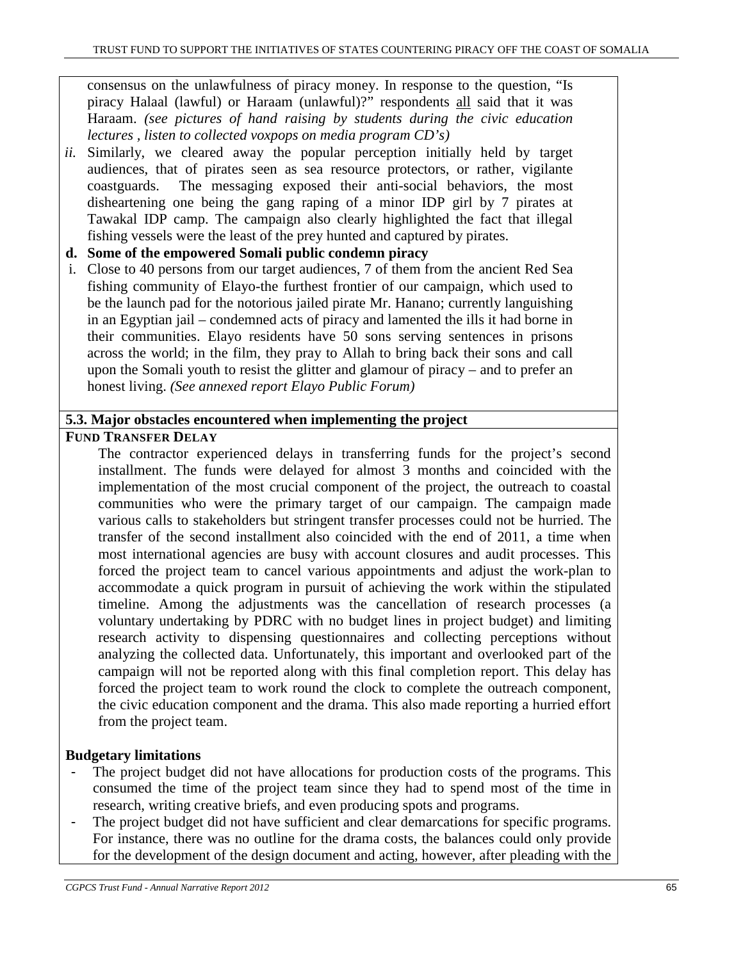consensus on the unlawfulness of piracy money. In response to the question, "Is piracy Halaal (lawful) or Haraam (unlawful)?" respondents all said that it was Haraam. *(see pictures of hand raising by students during the civic education lectures , listen to collected voxpops on media program CD's)* 

- *ii.* Similarly, we cleared away the popular perception initially held by target audiences, that of pirates seen as sea resource protectors, or rather, vigilante coastguards. The messaging exposed their anti-social behaviors, the most disheartening one being the gang raping of a minor IDP girl by 7 pirates at Tawakal IDP camp. The campaign also clearly highlighted the fact that illegal fishing vessels were the least of the prey hunted and captured by pirates.
- **d. Some of the empowered Somali public condemn piracy**
- i. Close to 40 persons from our target audiences, 7 of them from the ancient Red Sea fishing community of Elayo-the furthest frontier of our campaign, which used to be the launch pad for the notorious jailed pirate Mr. Hanano; currently languishing in an Egyptian jail – condemned acts of piracy and lamented the ills it had borne in their communities. Elayo residents have 50 sons serving sentences in prisons across the world; in the film, they pray to Allah to bring back their sons and call upon the Somali youth to resist the glitter and glamour of piracy – and to prefer an honest living. *(See annexed report Elayo Public Forum)*

#### **5.3. Major obstacles encountered when implementing the project**

#### **FUND TRANSFER DELAY**

The contractor experienced delays in transferring funds for the project's second installment. The funds were delayed for almost 3 months and coincided with the implementation of the most crucial component of the project, the outreach to coastal communities who were the primary target of our campaign. The campaign made various calls to stakeholders but stringent transfer processes could not be hurried. The transfer of the second installment also coincided with the end of 2011, a time when most international agencies are busy with account closures and audit processes. This forced the project team to cancel various appointments and adjust the work-plan to accommodate a quick program in pursuit of achieving the work within the stipulated timeline. Among the adjustments was the cancellation of research processes (a voluntary undertaking by PDRC with no budget lines in project budget) and limiting research activity to dispensing questionnaires and collecting perceptions without analyzing the collected data. Unfortunately, this important and overlooked part of the campaign will not be reported along with this final completion report. This delay has forced the project team to work round the clock to complete the outreach component, the civic education component and the drama. This also made reporting a hurried effort from the project team.

# **Budgetary limitations**

- The project budget did not have allocations for production costs of the programs. This consumed the time of the project team since they had to spend most of the time in research, writing creative briefs, and even producing spots and programs.
- The project budget did not have sufficient and clear demarcations for specific programs. For instance, there was no outline for the drama costs, the balances could only provide for the development of the design document and acting, however, after pleading with the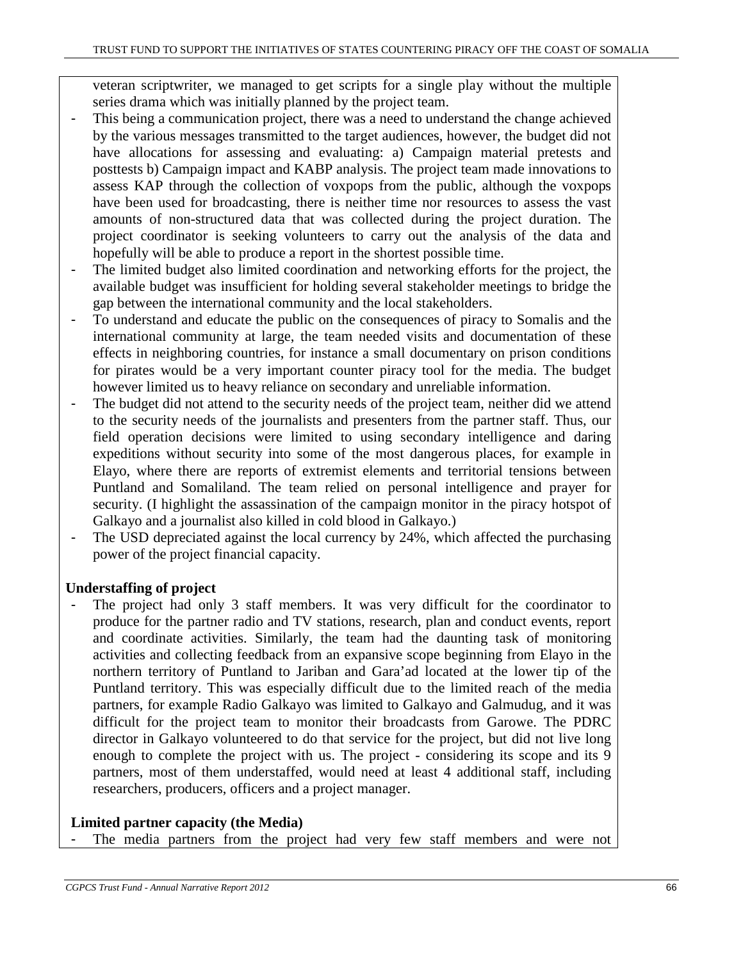veteran scriptwriter, we managed to get scripts for a single play without the multiple series drama which was initially planned by the project team.

- This being a communication project, there was a need to understand the change achieved by the various messages transmitted to the target audiences, however, the budget did not have allocations for assessing and evaluating: a) Campaign material pretests and posttests b) Campaign impact and KABP analysis. The project team made innovations to assess KAP through the collection of voxpops from the public, although the voxpops have been used for broadcasting, there is neither time nor resources to assess the vast amounts of non-structured data that was collected during the project duration. The project coordinator is seeking volunteers to carry out the analysis of the data and hopefully will be able to produce a report in the shortest possible time.
- The limited budget also limited coordination and networking efforts for the project, the available budget was insufficient for holding several stakeholder meetings to bridge the gap between the international community and the local stakeholders.
- To understand and educate the public on the consequences of piracy to Somalis and the international community at large, the team needed visits and documentation of these effects in neighboring countries, for instance a small documentary on prison conditions for pirates would be a very important counter piracy tool for the media. The budget however limited us to heavy reliance on secondary and unreliable information.
- The budget did not attend to the security needs of the project team, neither did we attend to the security needs of the journalists and presenters from the partner staff. Thus, our field operation decisions were limited to using secondary intelligence and daring expeditions without security into some of the most dangerous places, for example in Elayo, where there are reports of extremist elements and territorial tensions between Puntland and Somaliland. The team relied on personal intelligence and prayer for security. (I highlight the assassination of the campaign monitor in the piracy hotspot of Galkayo and a journalist also killed in cold blood in Galkayo.)
- The USD depreciated against the local currency by 24%, which affected the purchasing power of the project financial capacity.

# **Understaffing of project**

The project had only 3 staff members. It was very difficult for the coordinator to produce for the partner radio and TV stations, research, plan and conduct events, report and coordinate activities. Similarly, the team had the daunting task of monitoring activities and collecting feedback from an expansive scope beginning from Elayo in the northern territory of Puntland to Jariban and Gara'ad located at the lower tip of the Puntland territory. This was especially difficult due to the limited reach of the media partners, for example Radio Galkayo was limited to Galkayo and Galmudug, and it was difficult for the project team to monitor their broadcasts from Garowe. The PDRC director in Galkayo volunteered to do that service for the project, but did not live long enough to complete the project with us. The project - considering its scope and its 9 partners, most of them understaffed, would need at least 4 additional staff, including researchers, producers, officers and a project manager.

# **Limited partner capacity (the Media)**

The media partners from the project had very few staff members and were not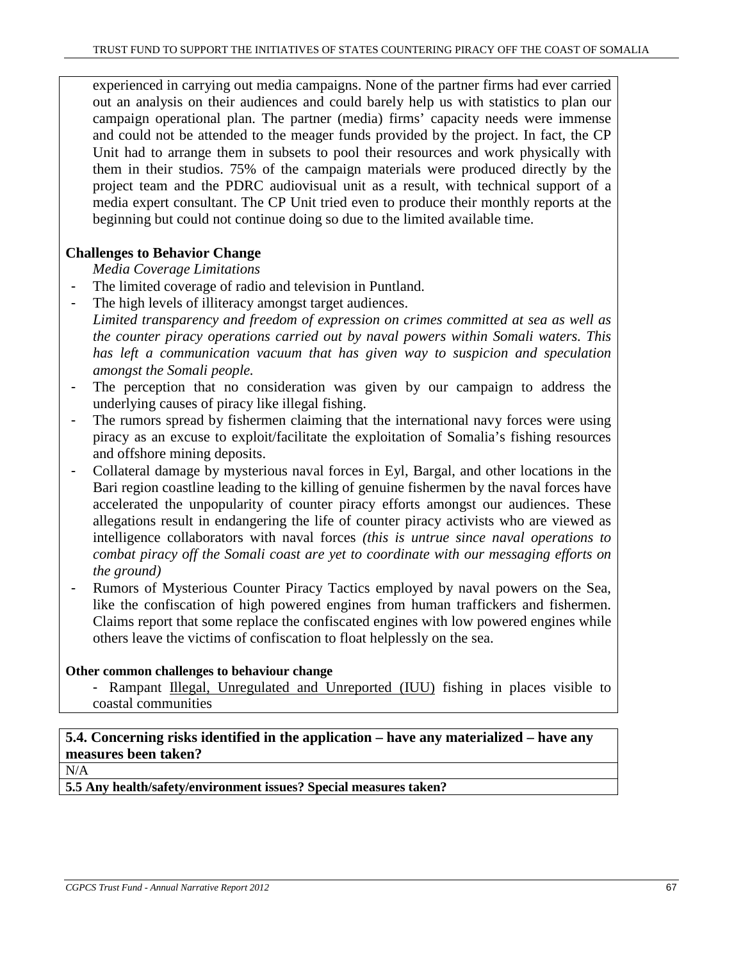experienced in carrying out media campaigns. None of the partner firms had ever carried out an analysis on their audiences and could barely help us with statistics to plan our campaign operational plan. The partner (media) firms' capacity needs were immense and could not be attended to the meager funds provided by the project. In fact, the CP Unit had to arrange them in subsets to pool their resources and work physically with them in their studios. 75% of the campaign materials were produced directly by the project team and the PDRC audiovisual unit as a result, with technical support of a media expert consultant. The CP Unit tried even to produce their monthly reports at the beginning but could not continue doing so due to the limited available time.

#### **Challenges to Behavior Change**

*Media Coverage Limitations* 

- The limited coverage of radio and television in Puntland.
- The high levels of illiteracy amongst target audiences.
- *Limited transparency and freedom of expression on crimes committed at sea as well as the counter piracy operations carried out by naval powers within Somali waters. This has left a communication vacuum that has given way to suspicion and speculation amongst the Somali people.*
- The perception that no consideration was given by our campaign to address the underlying causes of piracy like illegal fishing.
- The rumors spread by fishermen claiming that the international navy forces were using piracy as an excuse to exploit/facilitate the exploitation of Somalia's fishing resources and offshore mining deposits.
- Collateral damage by mysterious naval forces in Eyl, Bargal, and other locations in the Bari region coastline leading to the killing of genuine fishermen by the naval forces have accelerated the unpopularity of counter piracy efforts amongst our audiences. These allegations result in endangering the life of counter piracy activists who are viewed as intelligence collaborators with naval forces *(this is untrue since naval operations to combat piracy off the Somali coast are yet to coordinate with our messaging efforts on the ground)*
- Rumors of Mysterious Counter Piracy Tactics employed by naval powers on the Sea, like the confiscation of high powered engines from human traffickers and fishermen. Claims report that some replace the confiscated engines with low powered engines while others leave the victims of confiscation to float helplessly on the sea.

#### **Other common challenges to behaviour change**

- Rampant Illegal, Unregulated and Unreported (IUU) fishing in places visible to coastal communities

# **5.4. Concerning risks identified in the application – have any materialized – have any measures been taken?**

N/A

**5.5 Any health/safety/environment issues? Special measures taken?**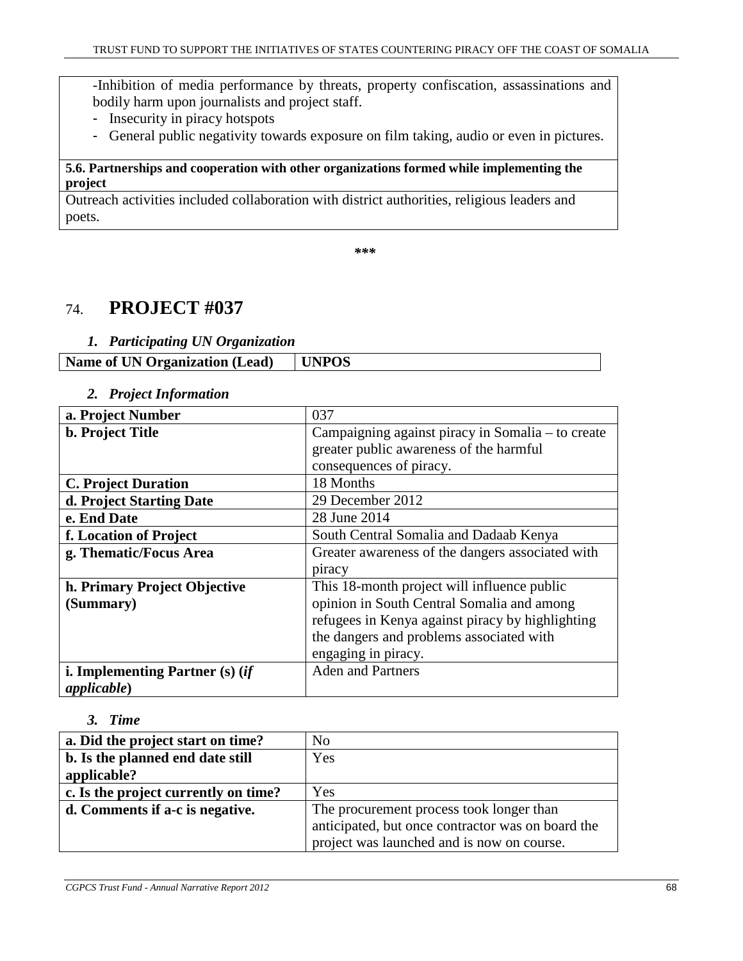-Inhibition of media performance by threats, property confiscation, assassinations and bodily harm upon journalists and project staff.

- Insecurity in piracy hotspots
- General public negativity towards exposure on film taking, audio or even in pictures.

#### **5.6. Partnerships and cooperation with other organizations formed while implementing the project**

Outreach activities included collaboration with district authorities, religious leaders and poets.

*\*\*\** 

# 74. **PROJECT #037**

#### *1. Participating UN Organization*

| <b>Name of UN Organization (Lead)</b> | <b>UNPOS</b> |
|---------------------------------------|--------------|
|                                       |              |

#### *2. Project Information*

| a. Project Number                 | 037                                               |
|-----------------------------------|---------------------------------------------------|
| <b>b. Project Title</b>           | Campaigning against piracy in Somalia - to create |
|                                   | greater public awareness of the harmful           |
|                                   | consequences of piracy.                           |
| <b>C. Project Duration</b>        | 18 Months                                         |
| d. Project Starting Date          | 29 December 2012                                  |
| e. End Date                       | 28 June 2014                                      |
| f. Location of Project            | South Central Somalia and Dadaab Kenya            |
| g. Thematic/Focus Area            | Greater awareness of the dangers associated with  |
|                                   | piracy                                            |
| h. Primary Project Objective      | This 18-month project will influence public       |
| (Summary)                         | opinion in South Central Somalia and among        |
|                                   | refugees in Kenya against piracy by highlighting  |
|                                   | the dangers and problems associated with          |
|                                   | engaging in piracy.                               |
| i. Implementing Partner $(s)$ (if | <b>Aden and Partners</b>                          |
| applicable)                       |                                                   |

#### *3. Time*

| a. Did the project start on time?    | N <sub>o</sub>                                    |
|--------------------------------------|---------------------------------------------------|
| b. Is the planned end date still     | Yes                                               |
| applicable?                          |                                                   |
| c. Is the project currently on time? | <b>Yes</b>                                        |
| d. Comments if a-c is negative.      | The procurement process took longer than          |
|                                      | anticipated, but once contractor was on board the |
|                                      | project was launched and is now on course.        |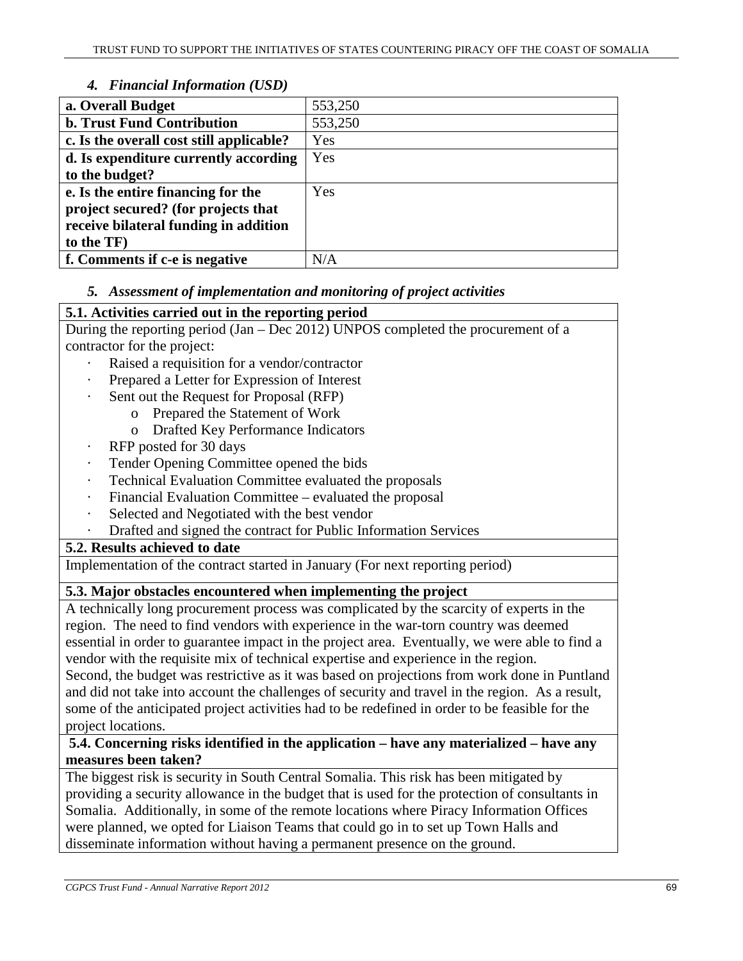# *4. Financial Information (USD)*

| a. Overall Budget                        | 553,250 |
|------------------------------------------|---------|
| <b>b. Trust Fund Contribution</b>        | 553,250 |
| c. Is the overall cost still applicable? | Yes     |
| d. Is expenditure currently according    | Yes     |
| to the budget?                           |         |
| e. Is the entire financing for the       | Yes     |
| project secured? (for projects that      |         |
| receive bilateral funding in addition    |         |
| to the TF)                               |         |
| f. Comments if c-e is negative           | N/A     |

# *5. Assessment of implementation and monitoring of project activities*

# **5.1. Activities carried out in the reporting period**

During the reporting period (Jan – Dec 2012) UNPOS completed the procurement of a contractor for the project:

- Raised a requisition for a vendor/contractor
- Prepared a Letter for Expression of Interest
- Sent out the Request for Proposal (RFP)
	- o Prepared the Statement of Work
		- o Drafted Key Performance Indicators
- RFP posted for 30 days
- Tender Opening Committee opened the bids
- Technical Evaluation Committee evaluated the proposals
- Financial Evaluation Committee evaluated the proposal
- Selected and Negotiated with the best vendor
- · Drafted and signed the contract for Public Information Services

# **5.2. Results achieved to date**

Implementation of the contract started in January (For next reporting period)

# **5.3. Major obstacles encountered when implementing the project**

A technically long procurement process was complicated by the scarcity of experts in the region. The need to find vendors with experience in the war-torn country was deemed essential in order to guarantee impact in the project area. Eventually, we were able to find a vendor with the requisite mix of technical expertise and experience in the region. Second, the budget was restrictive as it was based on projections from work done in Puntland

and did not take into account the challenges of security and travel in the region. As a result, some of the anticipated project activities had to be redefined in order to be feasible for the project locations.

# **5.4. Concerning risks identified in the application – have any materialized – have any measures been taken?**

The biggest risk is security in South Central Somalia. This risk has been mitigated by providing a security allowance in the budget that is used for the protection of consultants in Somalia. Additionally, in some of the remote locations where Piracy Information Offices were planned, we opted for Liaison Teams that could go in to set up Town Halls and disseminate information without having a permanent presence on the ground.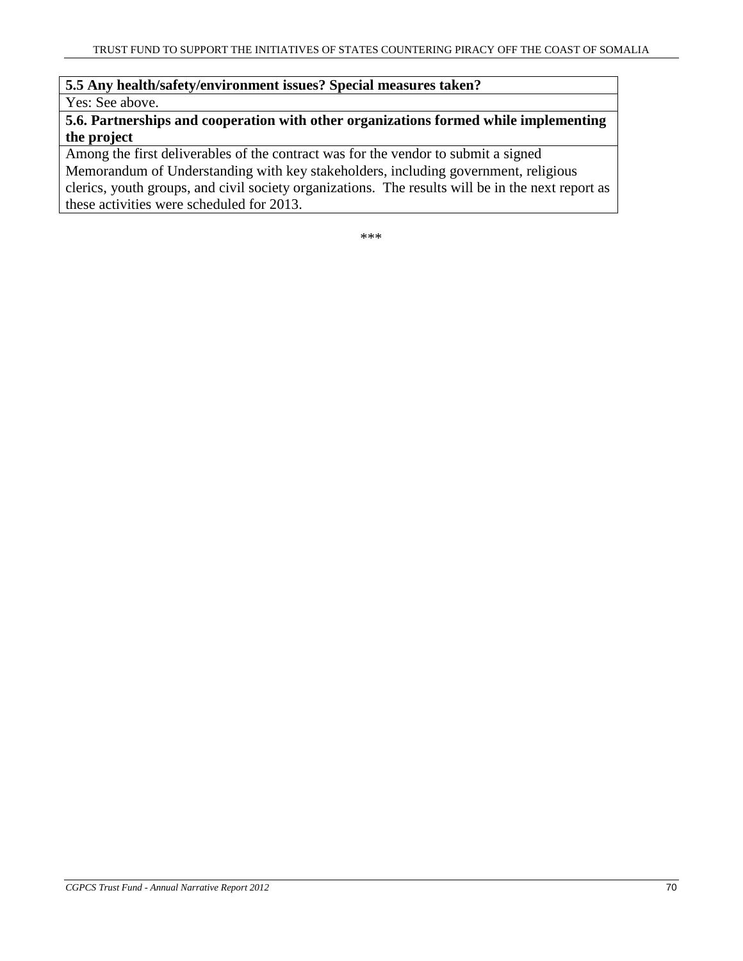#### **5.5 Any health/safety/environment issues? Special measures taken?**

Yes: See above.

**5.6. Partnerships and cooperation with other organizations formed while implementing the project** 

Among the first deliverables of the contract was for the vendor to submit a signed Memorandum of Understanding with key stakeholders, including government, religious clerics, youth groups, and civil society organizations. The results will be in the next report as these activities were scheduled for 2013.

\*\*\*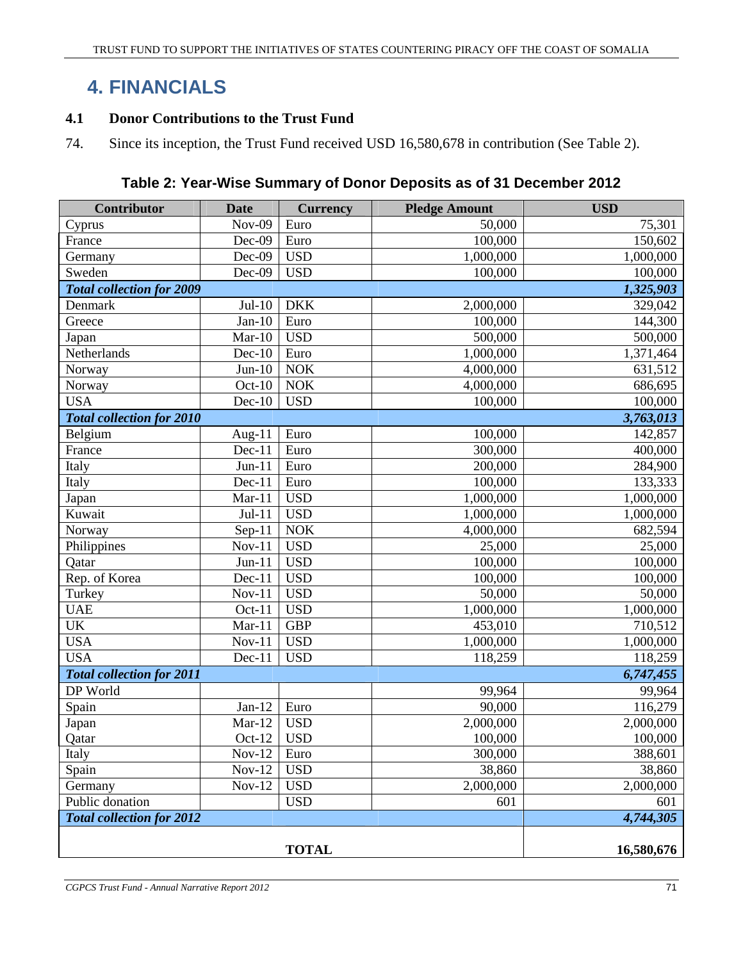# **4. FINANCIALS**

# **4.1 Donor Contributions to the Trust Fund**

74. Since its inception, the Trust Fund received USD 16,580,678 in contribution (See Table 2).

| Table 2: Year-Wise Summary of Donor Deposits as of 31 December 2012 |  |
|---------------------------------------------------------------------|--|
|---------------------------------------------------------------------|--|

| Contributor                      | <b>Date</b>   | <b>Currency</b> | <b>Pledge Amount</b> | <b>USD</b> |
|----------------------------------|---------------|-----------------|----------------------|------------|
| Cyprus                           | <b>Nov-09</b> | Euro            | 50,000               | 75,301     |
| France                           | Dec-09        | Euro            | 100,000              | 150,602    |
| Germany                          | Dec-09        | <b>USD</b>      | 1,000,000            | 1,000,000  |
| Sweden                           | Dec-09        | <b>USD</b>      | 100,000              | 100,000    |
| <b>Total collection for 2009</b> |               |                 |                      | 1,325,903  |
| Denmark                          | $Jul-10$      | <b>DKK</b>      | 2,000,000            | 329,042    |
| Greece                           | $Jan-10$      | Euro            | 100,000              | 144,300    |
| Japan                            | $Mar-10$      | <b>USD</b>      | 500,000              | 500,000    |
| Netherlands                      | $Dec-10$      | Euro            | 1,000,000            | 1,371,464  |
| Norway                           | $Jun-10$      | <b>NOK</b>      | 4,000,000            | 631,512    |
| Norway                           | $Oct-10$      | <b>NOK</b>      | 4,000,000            | 686,695    |
| <b>USA</b>                       | $Dec-10$      | <b>USD</b>      | 100,000              | 100,000    |
| <b>Total collection for 2010</b> |               |                 |                      | 3,763,013  |
| Belgium                          | Aug- $11$     | Euro            | 100,000              | 142,857    |
| France                           | $Dec-11$      | Euro            | 300,000              | 400,000    |
| Italy                            | $Jun-11$      | Euro            | 200,000              | 284,900    |
| Italy                            | Dec-11        | Euro            | 100,000              | 133,333    |
| Japan                            | $Mar-11$      | <b>USD</b>      | 1,000,000            | 1,000,000  |
| Kuwait                           | $Jul-11$      | <b>USD</b>      | 1,000,000            | 1,000,000  |
| Norway                           | $Sep-11$      | <b>NOK</b>      | 4,000,000            | 682,594    |
| Philippines                      | $Nov-11$      | <b>USD</b>      | 25,000               | 25,000     |
| Qatar                            | $Jun-11$      | <b>USD</b>      | 100,000              | 100,000    |
| Rep. of Korea                    | $Dec-11$      | <b>USD</b>      | 100,000              | 100,000    |
| Turkey                           | $Nov-11$      | <b>USD</b>      | 50,000               | 50,000     |
| <b>UAE</b>                       | $Oct-11$      | <b>USD</b>      | 1,000,000            | 1,000,000  |
| <b>UK</b>                        | $Mar-11$      | <b>GBP</b>      | 453,010              | 710,512    |
| <b>USA</b>                       | $Nov-11$      | <b>USD</b>      | 1,000,000            | 1,000,000  |
| <b>USA</b>                       | $Dec-11$      | <b>USD</b>      | 118,259              | 118,259    |
| <b>Total collection for 2011</b> |               |                 |                      | 6,747,455  |
| DP World                         |               |                 | 99,964               | 99,964     |
| Spain                            | $Jan-12$      | Euro            | 90,000               | 116,279    |
| Japan                            | $Mar-12$      | <b>USD</b>      | 2,000,000            | 2,000,000  |
| Qatar                            | $Oct-12$      | <b>USD</b>      | 100,000              | 100,000    |
| Italy                            | $Nov-12$      | Euro            | 300,000              | 388,601    |
| Spain                            | $Nov-12$      | <b>USD</b>      | 38,860               | 38,860     |
| Germany                          | $Nov-12$      | <b>USD</b>      | 2,000,000            | 2,000,000  |
| Public donation                  |               | <b>USD</b>      | 601                  | 601        |
| <b>Total collection for 2012</b> |               |                 | 4,744,305            |            |
|                                  |               |                 |                      |            |
|                                  |               | <b>TOTAL</b>    |                      | 16,580,676 |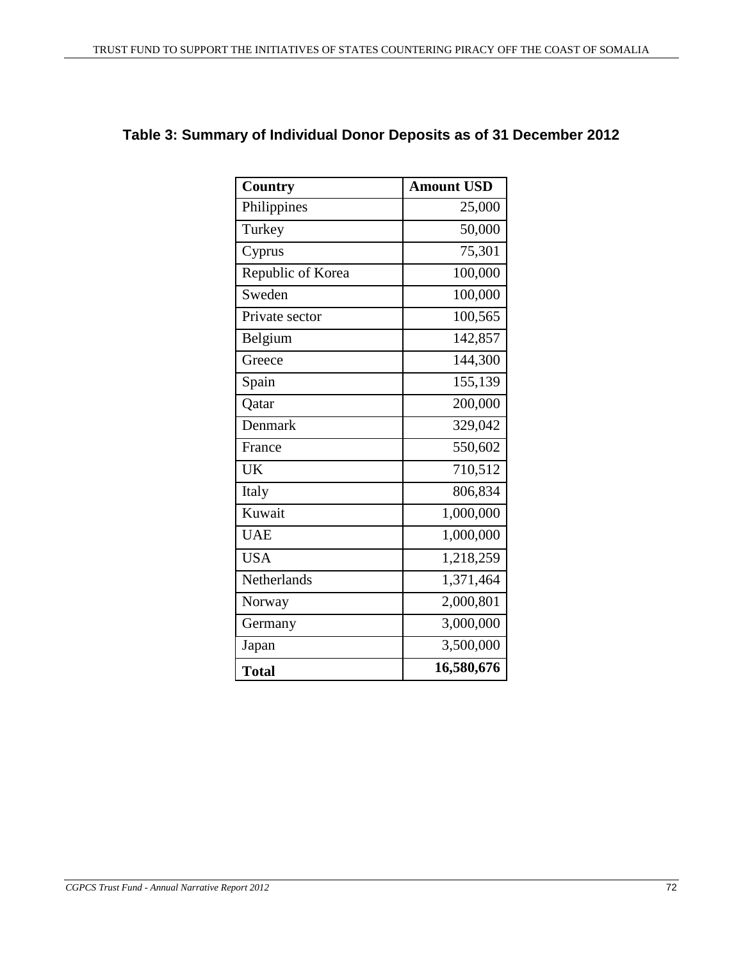| <b>Country</b>    | <b>Amount USD</b> |
|-------------------|-------------------|
| Philippines       | 25,000            |
| Turkey            | 50,000            |
| Cyprus            | 75,301            |
| Republic of Korea | 100,000           |
| Sweden            | 100,000           |
| Private sector    | 100,565           |
| Belgium           | 142,857           |
| Greece            | 144,300           |
| Spain             | 155,139           |
| <b>Qatar</b>      | 200,000           |
| Denmark           | 329,042           |
| France            | 550,602           |
| <b>UK</b>         | 710,512           |
| Italy             | 806,834           |
| Kuwait            | 1,000,000         |
| <b>UAE</b>        | 1,000,000         |
| <b>USA</b>        | 1,218,259         |
| Netherlands       | 1,371,464         |
| Norway            | 2,000,801         |
| Germany           | 3,000,000         |
| Japan             | 3,500,000         |
| <b>Total</b>      | 16,580,676        |

# **Table 3: Summary of Individual Donor Deposits as of 31 December 2012**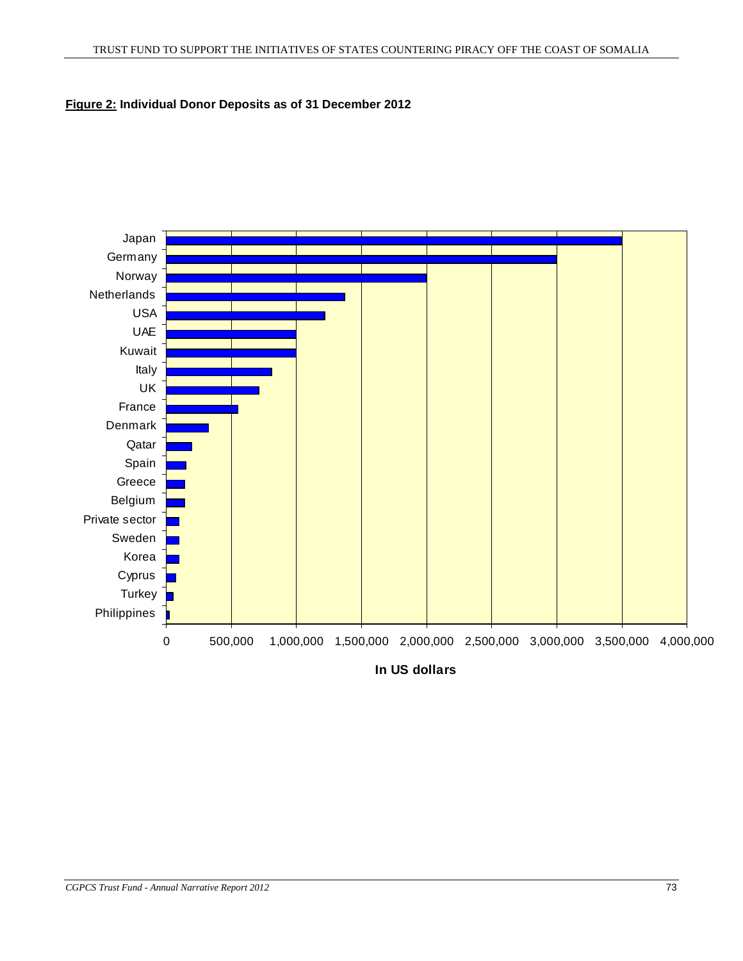# **Figure 2: Individual Donor Deposits as of 31 December 2012**

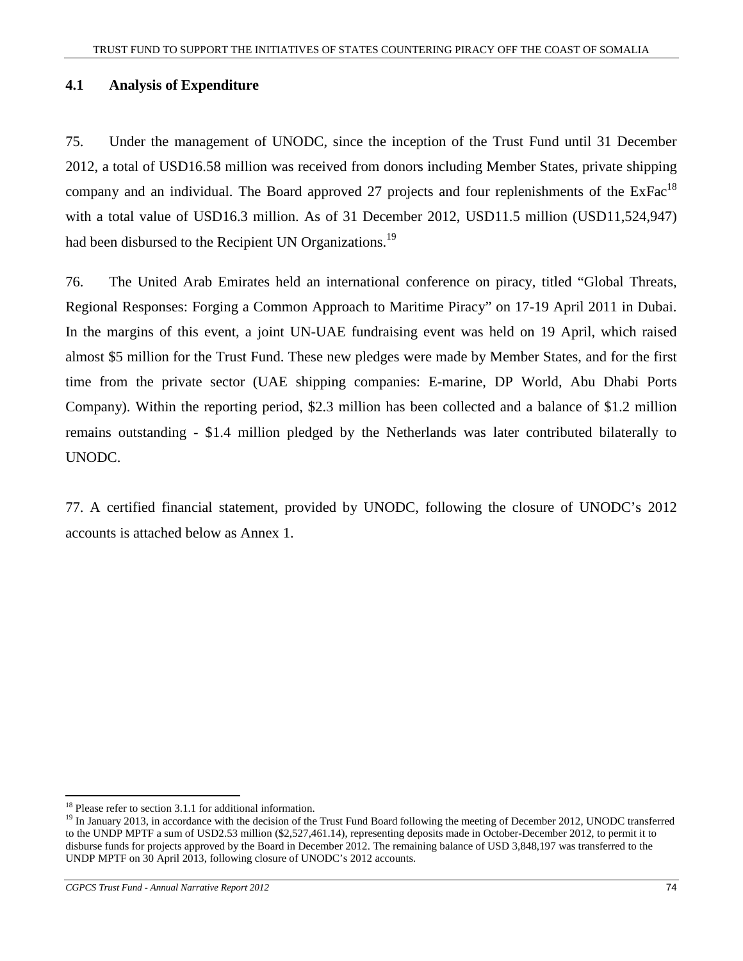# **4.1 Analysis of Expenditure**

75. Under the management of UNODC, since the inception of the Trust Fund until 31 December 2012, a total of USD16.58 million was received from donors including Member States, private shipping company and an individual. The Board approved 27 projects and four replenishments of the  $ExFac<sup>18</sup>$ with a total value of USD16.3 million. As of 31 December 2012, USD11.5 million (USD11,524,947) had been disbursed to the Recipient UN Organizations.<sup>19</sup>

76. The United Arab Emirates held an international conference on piracy, titled "Global Threats, Regional Responses: Forging a Common Approach to Maritime Piracy" on 17-19 April 2011 in Dubai. In the margins of this event, a joint UN-UAE fundraising event was held on 19 April, which raised almost \$5 million for the Trust Fund. These new pledges were made by Member States, and for the first time from the private sector (UAE shipping companies: E-marine, DP World, Abu Dhabi Ports Company). Within the reporting period, \$2.3 million has been collected and a balance of \$1.2 million remains outstanding - \$1.4 million pledged by the Netherlands was later contributed bilaterally to UNODC.

77. A certified financial statement, provided by UNODC, following the closure of UNODC's 2012 accounts is attached below as Annex 1.

<sup>-</sup><sup>18</sup> Please refer to section 3.1.1 for additional information.

<sup>&</sup>lt;sup>19</sup> In January 2013, in accordance with the decision of the Trust Fund Board following the meeting of December 2012, UNODC transferred to the UNDP MPTF a sum of USD2.53 million (\$2,527,461.14), representing deposits made in October-December 2012, to permit it to disburse funds for projects approved by the Board in December 2012. The remaining balance of USD 3,848,197 was transferred to the UNDP MPTF on 30 April 2013, following closure of UNODC's 2012 accounts.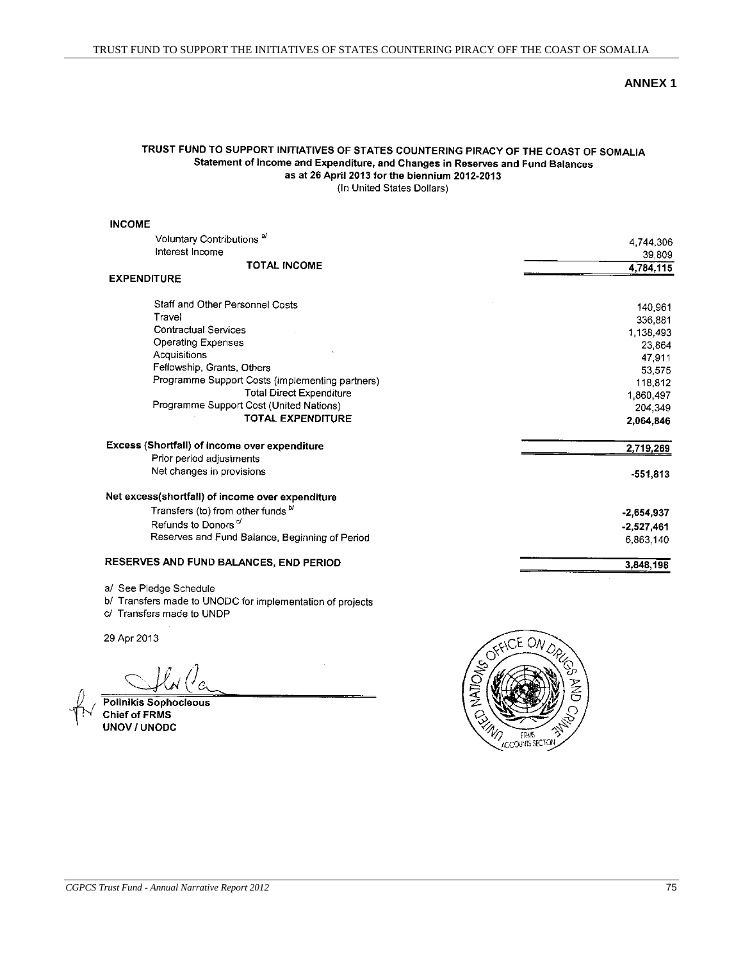#### **ANNEX 1**

# TRUST FUND TO SUPPORT INITIATIVES OF STATES COUNTERING PIRACY OF THE COAST OF SOMALIA Statement of Income and Expenditure, and Changes in Reserves and Fund Balances as at 26 April 2013 for the biennium 2012-2013

(In United States Dollars)

#### **INCOME** Voluntary Contributions<sup>a/</sup> 4,744,306 Interest Income 39,809 **TOTAL INCOME** 4,784,115 **EXPENDITURE** Staff and Other Personnel Costs 140,961 Travel 336,881 **Contractual Services** 1,138,493 **Operating Expenses** 23,864 Acquisitions 47,911 Fellowship, Grants, Others 53,575 Programme Support Costs (implementing partners) 118,812 **Total Direct Expenditure** 1,860,497 Programme Support Cost (United Nations) 204,349 TOTAL EXPENDITURE 2,064,846 Excess (Shortfall) of income over expenditure 2,719,269 Prior period adjustments Net changes in provisions  $-551,813$ Net excess(shortfall) of income over expenditure Transfers (to) from other funds b/  $-2,654,937$ Refunds to Donors<sup>c/</sup>  $-2,527,461$ Reserves and Fund Balance, Beginning of Period 6,863,140 RESERVES AND FUND BALANCES, END PERIOD 3,848,198

a/ See Pledge Schedule

b/ Transfers made to UNODC for implementation of projects

c/ Transfers made to UNDP

29 Apr 2013

**Polinikis Sophocleous Chief of FRMS UNOV / UNODC** 

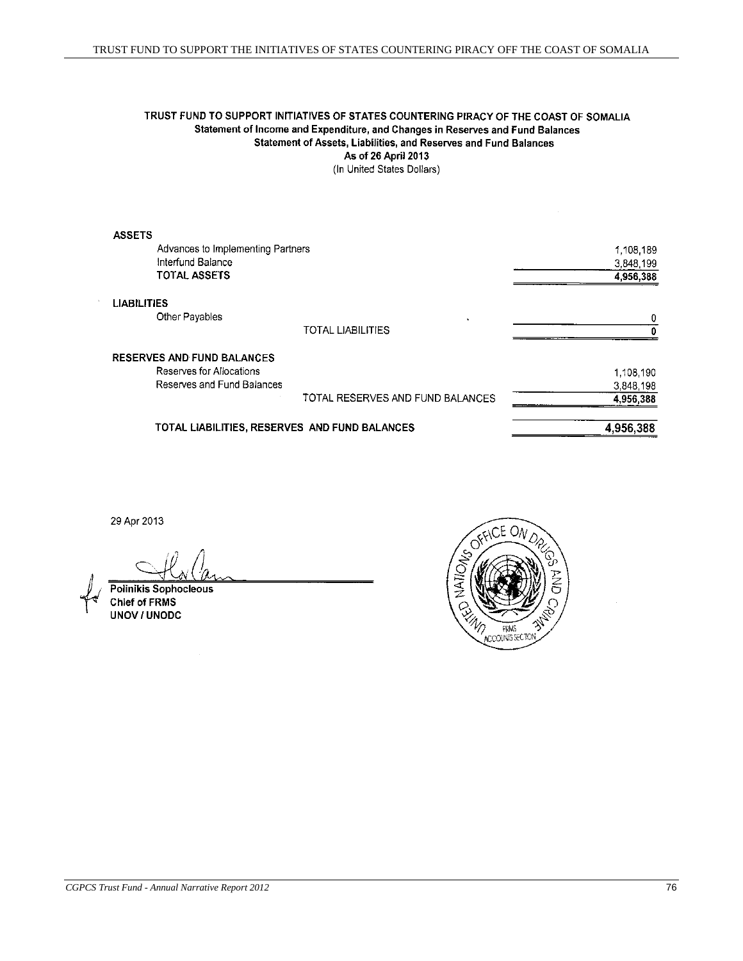# TRUST FUND TO SUPPORT INITIATIVES OF STATES COUNTERING PIRACY OF THE COAST OF SOMALIA Statement of Income and Expenditure, and Changes in Reserves and Fund Balances Statement of Assets, Liabilities, and Reserves and Fund Balances As of 26 April 2013

(In United States Dollars)

|                                                               | TOTAL LIABILITIES, RESERVES AND FUND BALANCES                    | 4,956,388                                                             |
|---------------------------------------------------------------|------------------------------------------------------------------|-----------------------------------------------------------------------|
|                                                               |                                                                  | 4.956.388                                                             |
|                                                               |                                                                  | 3,848,198                                                             |
| <b>RESERVES AND FUND BALANCES</b><br>Reserves for Allocations |                                                                  | 1,108,190                                                             |
|                                                               | <b>TOTAL LIABILITIES</b>                                         |                                                                       |
| Other Payables                                                | ٠                                                                | 0                                                                     |
|                                                               |                                                                  |                                                                       |
|                                                               |                                                                  | 4,956,388                                                             |
| Interfund Balance                                             |                                                                  | 3,848,199                                                             |
|                                                               |                                                                  | 1,108,189                                                             |
| <b>ASSETS</b>                                                 |                                                                  |                                                                       |
|                                                               | <b>TOTAL ASSETS</b><br>LIABILITIES<br>Reserves and Fund Balances | Advances to Implementing Partners<br>TOTAL RESERVES AND FUND BALANCES |

29 Apr 2013

**Polinikis Sophocleous** Chief of FRMS UNOV / UNODC

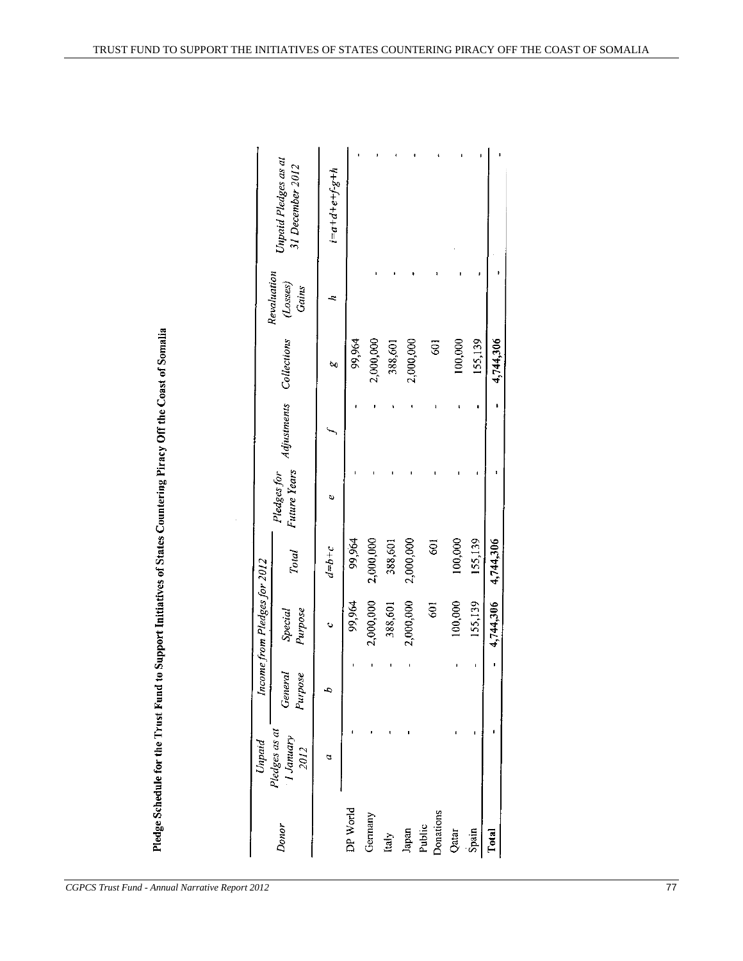Pledge Schedule for the Trust Fund to Support Initiatives of States Countering Piracy Off the Coast of Somalia

|                                       | Unpaid                             |                    | Income from Pledges for 2012 |                |                                    |             |             |                                        |                                          |
|---------------------------------------|------------------------------------|--------------------|------------------------------|----------------|------------------------------------|-------------|-------------|----------------------------------------|------------------------------------------|
| Donor                                 | Pledges as at<br>1 January<br>2012 | Purpose<br>General | Purpose<br>Special           | <b>Total</b>   | <b>Future Years</b><br>Pledges for | Aajustments | Collections | Revaluation<br>(Loses)<br><b>Gains</b> | Unpaid Pledges as at<br>31 December 2012 |
|                                       | a                                  |                    | Ò                            | $a=b+c$        | ψ                                  |             | ರಿಂ         |                                        | $i = a + d + e + f - g + h$              |
| DP World                              |                                    |                    | 99,964                       | 99,964         |                                    |             | 99,964      |                                        |                                          |
| Germany                               |                                    |                    | 2,000,000                    | 2,000,000      |                                    |             | 2,000,000   |                                        |                                          |
|                                       |                                    |                    | 388,601                      | 388,601        |                                    |             | 388,601     |                                        |                                          |
|                                       |                                    |                    | 2,000,000                    | 2,000,000      |                                    |             | 2,000,000   |                                        |                                          |
| Italy<br>Japan<br>Public<br>Donations |                                    |                    | $\overline{5}$               | $\overline{5}$ |                                    |             | Ş           |                                        |                                          |
| Qatar                                 |                                    |                    | 100,000                      | 100,000        |                                    |             | 100,000     |                                        |                                          |
| Spain                                 |                                    |                    | 155,139                      | 155,139        |                                    |             | 155,139     |                                        |                                          |
| <b>Dotal</b>                          |                                    |                    | 4,744,306 4,744,306          |                |                                    |             | 4,744,306   |                                        |                                          |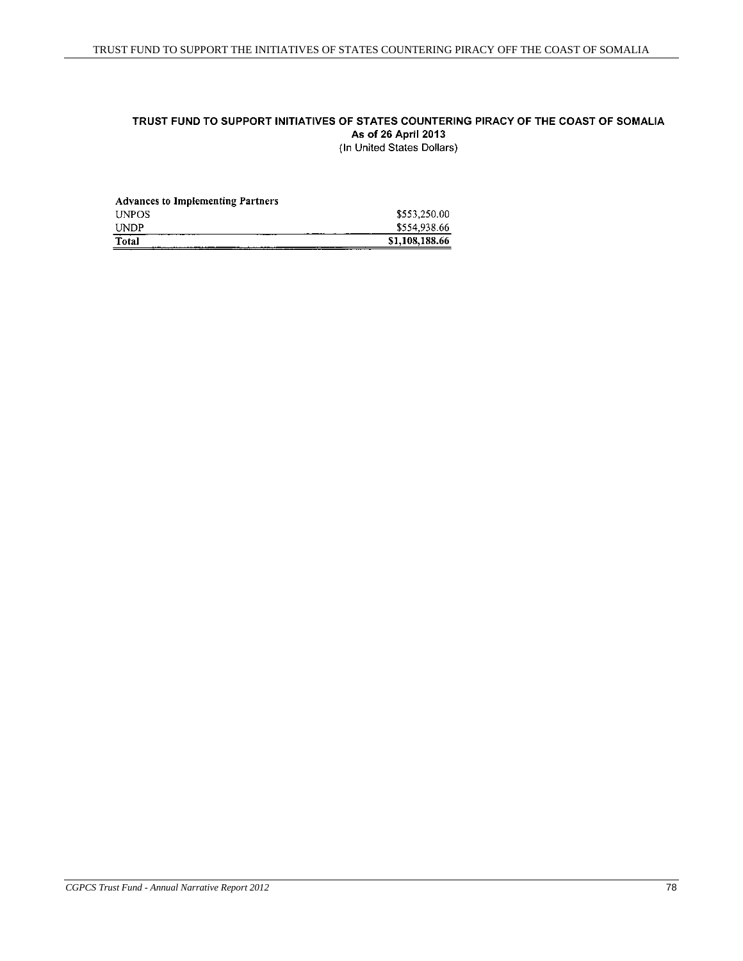## TRUST FUND TO SUPPORT INITIATIVES OF STATES COUNTERING PIRACY OF THE COAST OF SOMALIA As of 26 April 2013 (In United States Dollars)

| <b>Advances to Implementing Partners</b> |                |
|------------------------------------------|----------------|
| <b>UNPOS</b>                             | \$553,250.00   |
| <b>UNDP</b>                              | \$554,938.66   |
| Total                                    | \$1,108,188.66 |